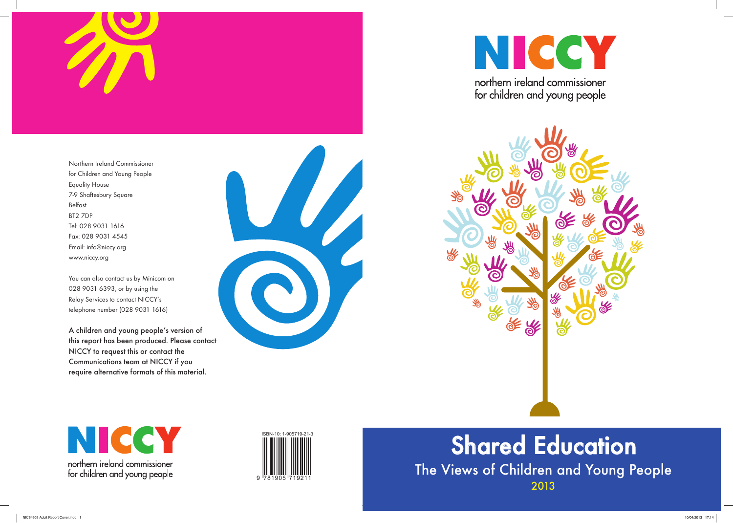

Northern Ireland Commissioner for Children and Young People Equality House 7-9 Shaftesbury Square Belfast BT2 7DP Tel: 028 9031 1616 Fax: 028 9031 4545 Email: info@niccy.org www.niccy.org

You can also contact us by Minicom on 028 9031 6393, or by using the Relay Services to contact NICCY's telephone number (028 9031 1616)

# The Views of Children and Young People 2013 Shared Education

A children and young people's version of this report has been produced. Please contact NICCY to request this or contact the Communications team at NICCY if you require alternative formats of this material.









for children and young people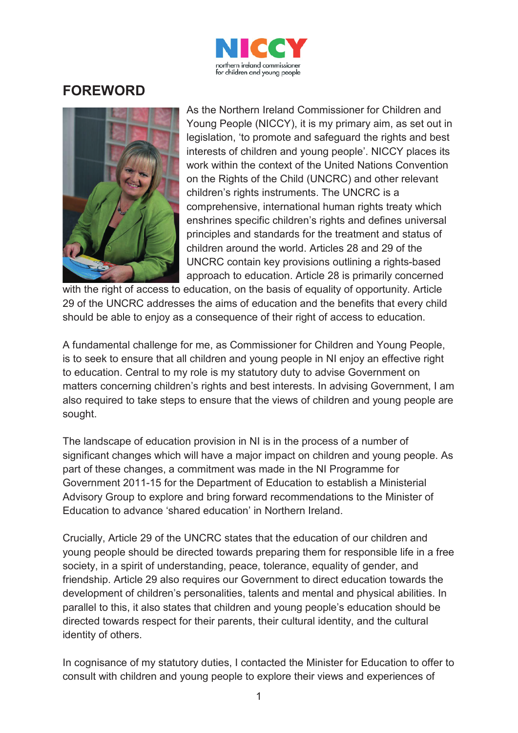

## **FOREWORD**



As the Northern Ireland Commissioner for Children and Young People (NICCY), it is my primary aim, as set out in legislation, 'to promote and safeguard the rights and best interests of children and young people'. NICCY places its work within the context of the United Nations Convention on the Rights of the Child (UNCRC) and other relevant children's rights instruments. The UNCRC is a comprehensive, international human rights treaty which enshrines specific children's rights and defines universal principles and standards for the treatment and status of children around the world. Articles 28 and 29 of the UNCRC contain key provisions outlining a rights-based approach to education. Article 28 is primarily concerned

with the right of access to education, on the basis of equality of opportunity. Article 29 of the UNCRC addresses the aims of education and the benefits that every child should be able to enjoy as a consequence of their right of access to education.

A fundamental challenge for me, as Commissioner for Children and Young People, is to seek to ensure that all children and young people in NI enjoy an effective right to education. Central to my role is my statutory duty to advise Government on matters concerning children's rights and best interests. In advising Government, I am also required to take steps to ensure that the views of children and young people are sought.

The landscape of education provision in NI is in the process of a number of significant changes which will have a major impact on children and young people. As part of these changes, a commitment was made in the NI Programme for Government 2011-15 for the Department of Education to establish a Ministerial Advisory Group to explore and bring forward recommendations to the Minister of Education to advance 'shared education' in Northern Ireland.

Crucially, Article 29 of the UNCRC states that the education of our children and young people should be directed towards preparing them for responsible life in a free society, in a spirit of understanding, peace, tolerance, equality of gender, and friendship. Article 29 also requires our Government to direct education towards the development of children's personalities, talents and mental and physical abilities. In parallel to this, it also states that children and young people's education should be directed towards respect for their parents, their cultural identity, and the cultural identity of others.

In cognisance of my statutory duties, I contacted the Minister for Education to offer to consult with children and young people to explore their views and experiences of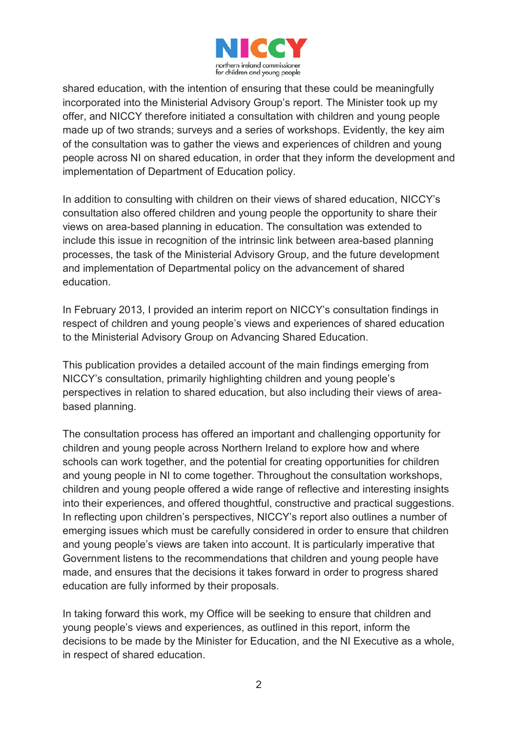

shared education, with the intention of ensuring that these could be meaningfully incorporated into the Ministerial Advisory Group's report. The Minister took up my offer, and NICCY therefore initiated a consultation with children and young people made up of two strands; surveys and a series of workshops. Evidently, the key aim of the consultation was to gather the views and experiences of children and young people across NI on shared education, in order that they inform the development and implementation of Department of Education policy.

In addition to consulting with children on their views of shared education, NICCY's consultation also offered children and young people the opportunity to share their views on area-based planning in education. The consultation was extended to include this issue in recognition of the intrinsic link between area-based planning processes, the task of the Ministerial Advisory Group, and the future development and implementation of Departmental policy on the advancement of shared education.

In February 2013, I provided an interim report on NICCY's consultation findings in respect of children and young people's views and experiences of shared education to the Ministerial Advisory Group on Advancing Shared Education.

This publication provides a detailed account of the main findings emerging from NICCY's consultation, primarily highlighting children and young people's perspectives in relation to shared education, but also including their views of areabased planning.

The consultation process has offered an important and challenging opportunity for children and young people across Northern Ireland to explore how and where schools can work together, and the potential for creating opportunities for children and young people in NI to come together. Throughout the consultation workshops, children and young people offered a wide range of reflective and interesting insights into their experiences, and offered thoughtful, constructive and practical suggestions. In reflecting upon children's perspectives, NICCY's report also outlines a number of emerging issues which must be carefully considered in order to ensure that children and young people's views are taken into account. It is particularly imperative that Government listens to the recommendations that children and young people have made, and ensures that the decisions it takes forward in order to progress shared education are fully informed by their proposals.

In taking forward this work, my Office will be seeking to ensure that children and young people's views and experiences, as outlined in this report, inform the decisions to be made by the Minister for Education, and the NI Executive as a whole, in respect of shared education.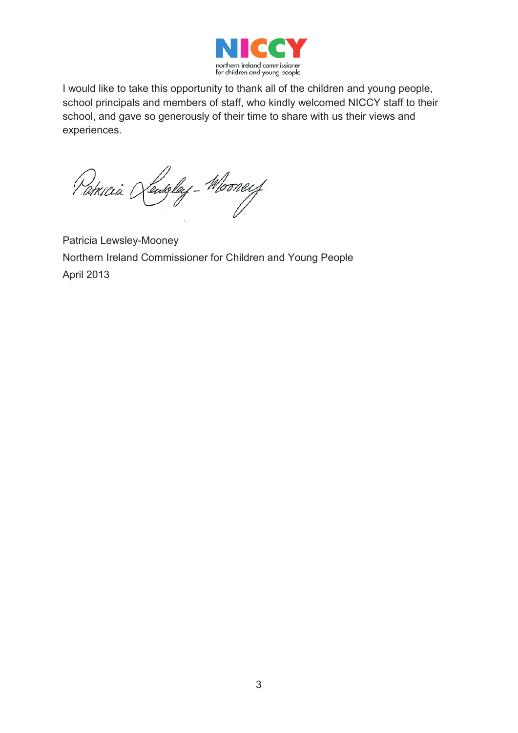

I would like to take this opportunity to thank all of the children and young people, school principals and members of staff, who kindly welcomed NICCY staff to their school, and gave so generously of their time to share with us their views and experiences.

Potricia Kentgley-Mooneef

Patricia Lewsley-Mooney Northern Ireland Commissioner for Children and Young People April 2013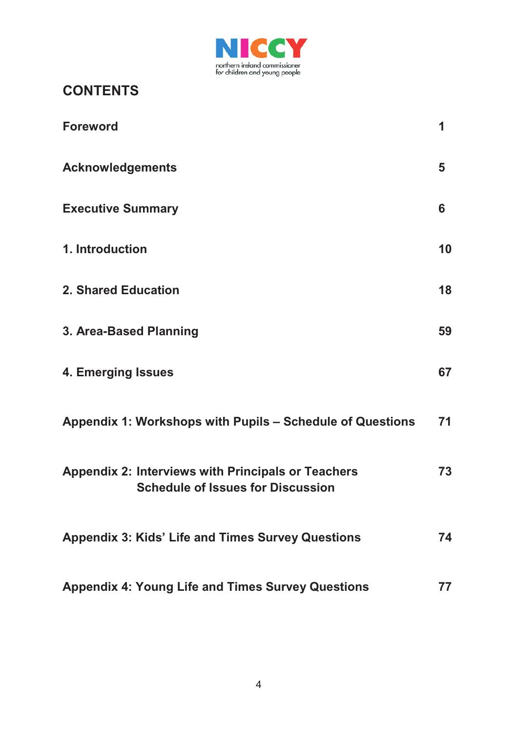

## **CONTENTS**

| <b>Foreword</b>                                                                                       | 1  |
|-------------------------------------------------------------------------------------------------------|----|
| <b>Acknowledgements</b>                                                                               | 5  |
| <b>Executive Summary</b>                                                                              | 6  |
| 1. Introduction                                                                                       | 10 |
| <b>2. Shared Education</b>                                                                            | 18 |
| 3. Area-Based Planning                                                                                | 59 |
| 4. Emerging Issues                                                                                    | 67 |
| Appendix 1: Workshops with Pupils - Schedule of Questions                                             | 71 |
| <b>Appendix 2: Interviews with Principals or Teachers</b><br><b>Schedule of Issues for Discussion</b> | 73 |
| <b>Appendix 3: Kids' Life and Times Survey Questions</b>                                              | 74 |
| <b>Appendix 4: Young Life and Times Survey Questions</b>                                              | 77 |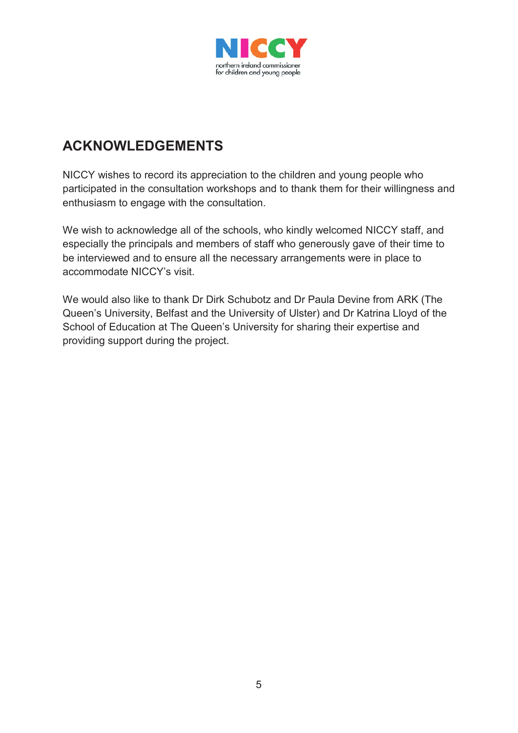

## **ACKNOWLEDGEMENTS**

NICCY wishes to record its appreciation to the children and young people who participated in the consultation workshops and to thank them for their willingness and enthusiasm to engage with the consultation.

We wish to acknowledge all of the schools, who kindly welcomed NICCY staff, and especially the principals and members of staff who generously gave of their time to be interviewed and to ensure all the necessary arrangements were in place to accommodate NICCY's visit.

We would also like to thank Dr Dirk Schubotz and Dr Paula Devine from ARK (The Queen's University, Belfast and the University of Ulster) and Dr Katrina Lloyd of the School of Education at The Queen's University for sharing their expertise and providing support during the project.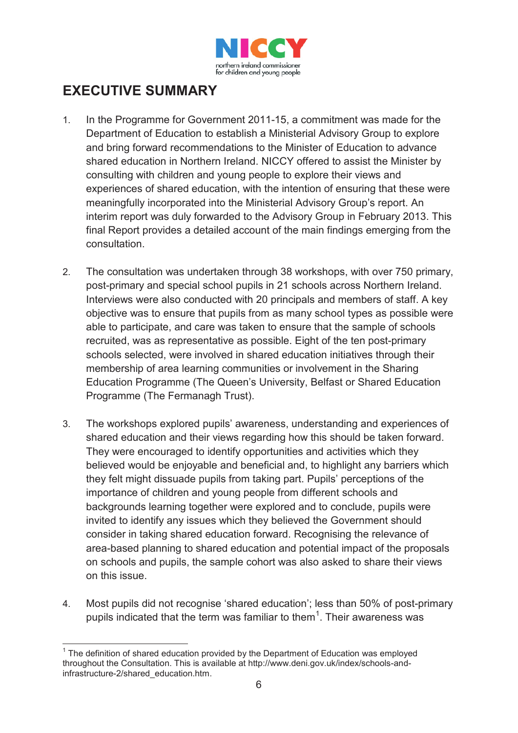

## **EXECUTIVE SUMMARY**

- 1. In the Programme for Government 2011-15, a commitment was made for the Department of Education to establish a Ministerial Advisory Group to explore and bring forward recommendations to the Minister of Education to advance shared education in Northern Ireland. NICCY offered to assist the Minister by consulting with children and young people to explore their views and experiences of shared education, with the intention of ensuring that these were meaningfully incorporated into the Ministerial Advisory Group's report. An interim report was duly forwarded to the Advisory Group in February 2013. This final Report provides a detailed account of the main findings emerging from the consultation.
- 2. The consultation was undertaken through 38 workshops, with over 750 primary, post-primary and special school pupils in 21 schools across Northern Ireland. Interviews were also conducted with 20 principals and members of staff. A key objective was to ensure that pupils from as many school types as possible were able to participate, and care was taken to ensure that the sample of schools recruited, was as representative as possible. Eight of the ten post-primary schools selected, were involved in shared education initiatives through their membership of area learning communities or involvement in the Sharing Education Programme (The Queen's University, Belfast or Shared Education Programme (The Fermanagh Trust).
- 3. The workshops explored pupils' awareness, understanding and experiences of shared education and their views regarding how this should be taken forward. They were encouraged to identify opportunities and activities which they believed would be enjoyable and beneficial and, to highlight any barriers which they felt might dissuade pupils from taking part. Pupils' perceptions of the importance of children and young people from different schools and backgrounds learning together were explored and to conclude, pupils were invited to identify any issues which they believed the Government should consider in taking shared education forward. Recognising the relevance of area-based planning to shared education and potential impact of the proposals on schools and pupils, the sample cohort was also asked to share their views on this issue.
- 4. Most pupils did not recognise 'shared education'; less than 50% of post-primary pupils indicated that the term was familiar to them<sup>1</sup>. Their awareness was

<sup>-</sup> $1$  The definition of shared education provided by the Department of Education was employed throughout the Consultation. This is available at http://www.deni.gov.uk/index/schools-andinfrastructure-2/shared\_education.htm.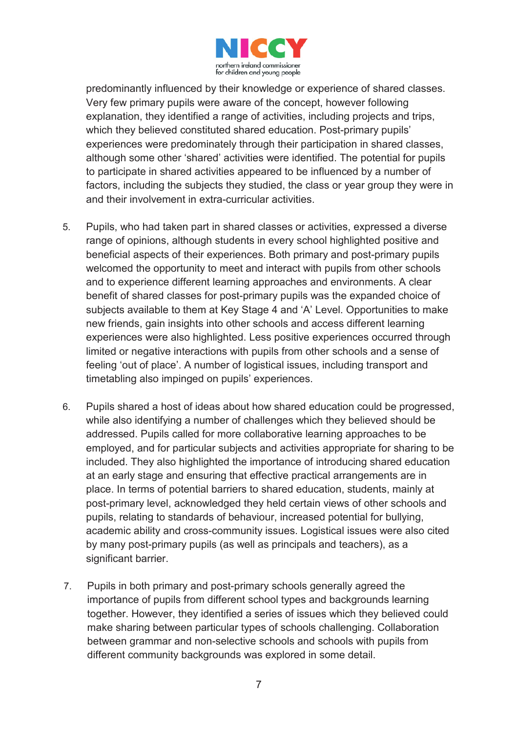

predominantly influenced by their knowledge or experience of shared classes. Very few primary pupils were aware of the concept, however following explanation, they identified a range of activities, including projects and trips, which they believed constituted shared education. Post-primary pupils' experiences were predominately through their participation in shared classes, although some other 'shared' activities were identified. The potential for pupils to participate in shared activities appeared to be influenced by a number of factors, including the subjects they studied, the class or year group they were in and their involvement in extra-curricular activities.

- 5. Pupils, who had taken part in shared classes or activities, expressed a diverse range of opinions, although students in every school highlighted positive and beneficial aspects of their experiences. Both primary and post-primary pupils welcomed the opportunity to meet and interact with pupils from other schools and to experience different learning approaches and environments. A clear benefit of shared classes for post-primary pupils was the expanded choice of subjects available to them at Key Stage 4 and 'A' Level. Opportunities to make new friends, gain insights into other schools and access different learning experiences were also highlighted. Less positive experiences occurred through limited or negative interactions with pupils from other schools and a sense of feeling 'out of place'. A number of logistical issues, including transport and timetabling also impinged on pupils' experiences.
- 6. Pupils shared a host of ideas about how shared education could be progressed, while also identifying a number of challenges which they believed should be addressed. Pupils called for more collaborative learning approaches to be employed, and for particular subjects and activities appropriate for sharing to be included. They also highlighted the importance of introducing shared education at an early stage and ensuring that effective practical arrangements are in place. In terms of potential barriers to shared education, students, mainly at post-primary level, acknowledged they held certain views of other schools and pupils, relating to standards of behaviour, increased potential for bullying, academic ability and cross-community issues. Logistical issues were also cited by many post-primary pupils (as well as principals and teachers), as a significant barrier.
- 7. Pupils in both primary and post-primary schools generally agreed the importance of pupils from different school types and backgrounds learning together. However, they identified a series of issues which they believed could make sharing between particular types of schools challenging. Collaboration between grammar and non-selective schools and schools with pupils from different community backgrounds was explored in some detail.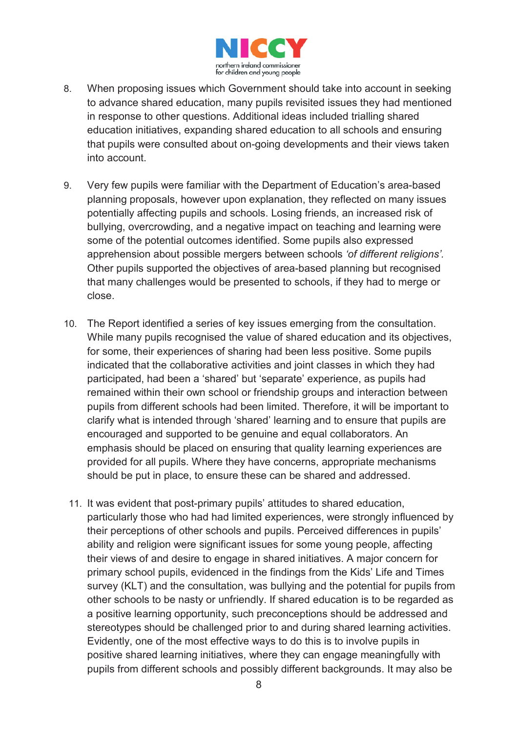

- 8. When proposing issues which Government should take into account in seeking to advance shared education, many pupils revisited issues they had mentioned in response to other questions. Additional ideas included trialling shared education initiatives, expanding shared education to all schools and ensuring that pupils were consulted about on-going developments and their views taken into account.
- 9. Very few pupils were familiar with the Department of Education's area-based planning proposals, however upon explanation, they reflected on many issues potentially affecting pupils and schools. Losing friends, an increased risk of bullying, overcrowding, and a negative impact on teaching and learning were some of the potential outcomes identified. Some pupils also expressed apprehension about possible mergers between schools *'of different religions'.*  Other pupils supported the objectives of area-based planning but recognised that many challenges would be presented to schools, if they had to merge or close.
- 10. The Report identified a series of key issues emerging from the consultation. While many pupils recognised the value of shared education and its objectives, for some, their experiences of sharing had been less positive. Some pupils indicated that the collaborative activities and joint classes in which they had participated, had been a 'shared' but 'separate' experience, as pupils had remained within their own school or friendship groups and interaction between pupils from different schools had been limited. Therefore, it will be important to clarify what is intended through 'shared' learning and to ensure that pupils are encouraged and supported to be genuine and equal collaborators. An emphasis should be placed on ensuring that quality learning experiences are provided for all pupils. Where they have concerns, appropriate mechanisms should be put in place, to ensure these can be shared and addressed.
- 11. It was evident that post-primary pupils' attitudes to shared education, particularly those who had had limited experiences, were strongly influenced by their perceptions of other schools and pupils. Perceived differences in pupils' ability and religion were significant issues for some young people, affecting their views of and desire to engage in shared initiatives. A major concern for primary school pupils, evidenced in the findings from the Kids' Life and Times survey (KLT) and the consultation, was bullying and the potential for pupils from other schools to be nasty or unfriendly. If shared education is to be regarded as a positive learning opportunity, such preconceptions should be addressed and stereotypes should be challenged prior to and during shared learning activities. Evidently, one of the most effective ways to do this is to involve pupils in positive shared learning initiatives, where they can engage meaningfully with pupils from different schools and possibly different backgrounds. It may also be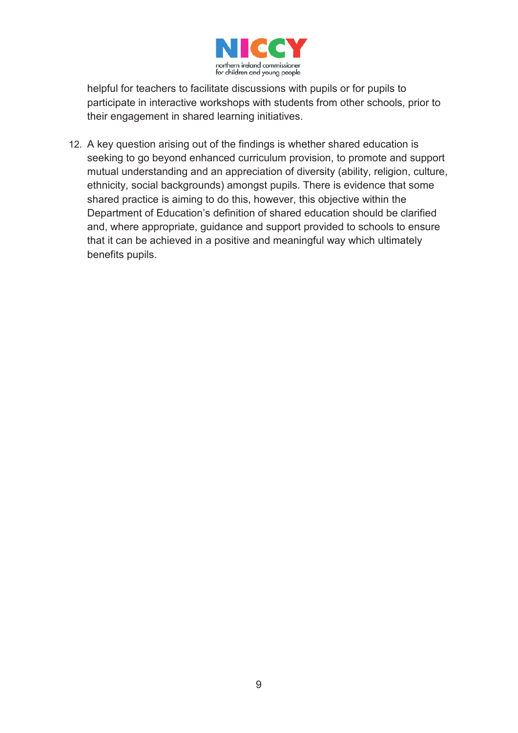

helpful for teachers to facilitate discussions with pupils or for pupils to participate in interactive workshops with students from other schools, prior to their engagement in shared learning initiatives.

12. A key question arising out of the findings is whether shared education is seeking to go beyond enhanced curriculum provision, to promote and support mutual understanding and an appreciation of diversity (ability, religion, culture, ethnicity, social backgrounds) amongst pupils. There is evidence that some shared practice is aiming to do this, however, this objective within the Department of Education's definition of shared education should be clarified and, where appropriate, guidance and support provided to schools to ensure that it can be achieved in a positive and meaningful way which ultimately benefits pupils.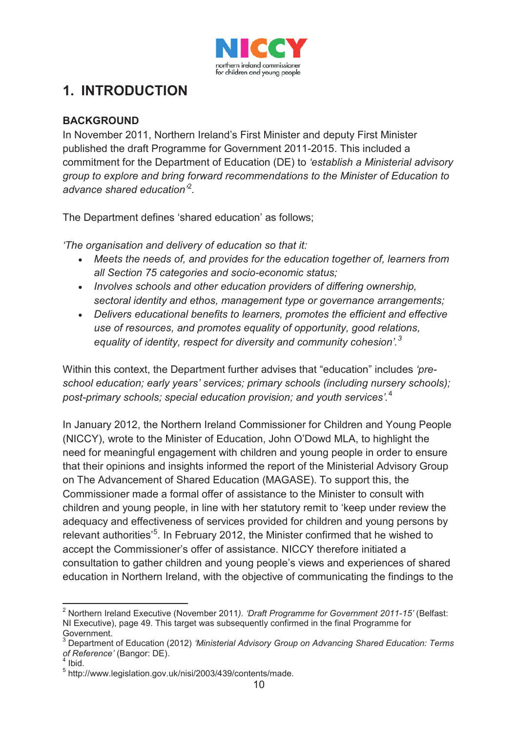

## **1. INTRODUCTION**

#### **BACKGROUND**

In November 2011, Northern Ireland's First Minister and deputy First Minister published the draft Programme for Government 2011-2015. This included a commitment for the Department of Education (DE) to *'establish a Ministerial advisory group to explore and bring forward recommendations to the Minister of Education to advance shared education'*<sup>2</sup> *.*

The Department defines 'shared education' as follows;

*'The organisation and delivery of education so that it:*

- *Meets the needs of, and provides for the education together of, learners from all Section 75 categories and socio-economic status;*
- *Involves schools and other education providers of differing ownership, sectoral identity and ethos, management type or governance arrangements;*
- *Delivers educational benefits to learners, promotes the efficient and effective use of resources, and promotes equality of opportunity, good relations, equality of identity, respect for diversity and community cohesion'. 3*

Within this context, the Department further advises that "education" includes *'preschool education; early years' services; primary schools (including nursery schools); post-primary schools; special education provision; and youth services'.*<sup>4</sup>

In January 2012, the Northern Ireland Commissioner for Children and Young People (NICCY), wrote to the Minister of Education, John O'Dowd MLA, to highlight the need for meaningful engagement with children and young people in order to ensure that their opinions and insights informed the report of the Ministerial Advisory Group on The Advancement of Shared Education (MAGASE). To support this, the Commissioner made a formal offer of assistance to the Minister to consult with children and young people, in line with her statutory remit to 'keep under review the adequacy and effectiveness of services provided for children and young persons by relevant authorities<sup>'5</sup>. In February 2012, the Minister confirmed that he wished to accept the Commissioner's offer of assistance. NICCY therefore initiated a consultation to gather children and young people's views and experiences of shared education in Northern Ireland, with the objective of communicating the findings to the

<sup>-</sup><sup>2</sup> Northern Ireland Executive (November 2011*). 'Draft Programme for Government 2011-15'* (Belfast: NI Executive), page 49. This target was subsequently confirmed in the final Programme for Government.

<sup>3</sup> Department of Education (2012) *'Ministerial Advisory Group on Advancing Shared Education: Terms*  of Reference' (Bangor: DE).

<sup>5</sup> http://www.legislation.gov.uk/nisi/2003/439/contents/made.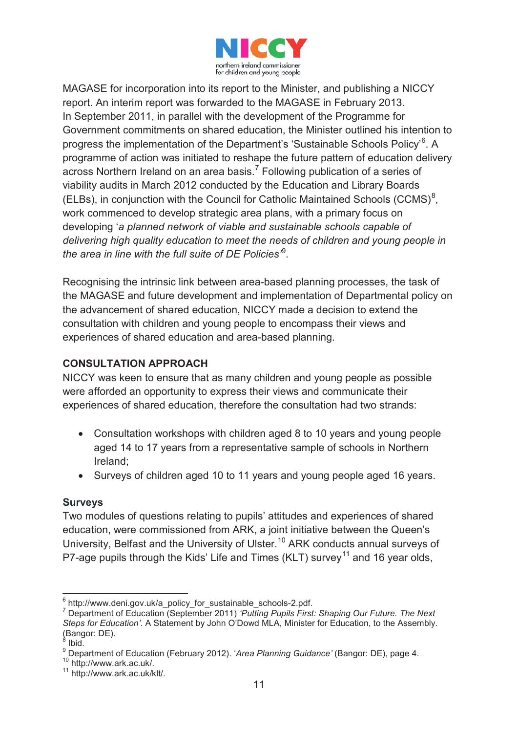

MAGASE for incorporation into its report to the Minister, and publishing a NICCY report. An interim report was forwarded to the MAGASE in February 2013. In September 2011, in parallel with the development of the Programme for Government commitments on shared education, the Minister outlined his intention to progress the implementation of the Department's 'Sustainable Schools Policy'<sup>6</sup>. A programme of action was initiated to reshape the future pattern of education delivery across Northern Ireland on an area basis.<sup>7</sup> Following publication of a series of viability audits in March 2012 conducted by the Education and Library Boards (ELBs), in conjunction with the Council for Catholic Maintained Schools (CCMS) $<sup>8</sup>$ ,</sup> work commenced to develop strategic area plans, with a primary focus on developing '*a planned network of viable and sustainable schools capable of delivering high quality education to meet the needs of children and young people in the area in line with the full suite of DE Policies'*<sup>9</sup> .

Recognising the intrinsic link between area-based planning processes, the task of the MAGASE and future development and implementation of Departmental policy on the advancement of shared education, NICCY made a decision to extend the consultation with children and young people to encompass their views and experiences of shared education and area-based planning.

#### **CONSULTATION APPROACH**

NICCY was keen to ensure that as many children and young people as possible were afforded an opportunity to express their views and communicate their experiences of shared education, therefore the consultation had two strands:

- Consultation workshops with children aged 8 to 10 years and young people aged 14 to 17 years from a representative sample of schools in Northern Ireland;
- Surveys of children aged 10 to 11 years and young people aged 16 years.

#### **Surveys**

Two modules of questions relating to pupils' attitudes and experiences of shared education, were commissioned from ARK, a joint initiative between the Queen's University, Belfast and the University of Ulster.<sup>10</sup> ARK conducts annual surveys of P7-age pupils through the Kids' Life and Times (KLT) survey<sup>11</sup> and 16 year olds,

<sup>&</sup>lt;u>.</u>  $\frac{6}{1}$ http://www.deni.gov.uk/a\_policy\_for\_sustainable\_schools-2.pdf.

<sup>7</sup> Department of Education (September 2011) *'Putting Pupils First: Shaping Our Future. The Next Steps for Education'*. A Statement by John O'Dowd MLA, Minister for Education, to the Assembly. (Bangor: DE).

Ibid.

<sup>9</sup> Department of Education (February 2012). '*Area Planning Guidance'* (Bangor: DE), page 4.<br><sup>10</sup> http://www.ark.ac.uk/.<br><sup>11</sup> http://www.ark.ac.uk/klt/.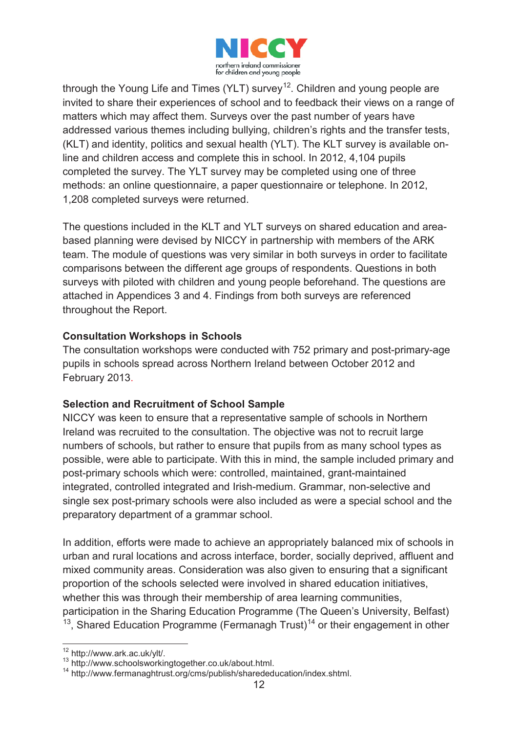

through the Young Life and Times (YLT) survey<sup>12</sup>. Children and young people are invited to share their experiences of school and to feedback their views on a range of matters which may affect them. Surveys over the past number of years have addressed various themes including bullying, children's rights and the transfer tests, (KLT) and identity, politics and sexual health (YLT). The KLT survey is available online and children access and complete this in school. In 2012, 4,104 pupils completed the survey. The YLT survey may be completed using one of three methods: an online questionnaire, a paper questionnaire or telephone. In 2012, 1,208 completed surveys were returned.

The questions included in the KLT and YLT surveys on shared education and areabased planning were devised by NICCY in partnership with members of the ARK team. The module of questions was very similar in both surveys in order to facilitate comparisons between the different age groups of respondents. Questions in both surveys with piloted with children and young people beforehand. The questions are attached in Appendices 3 and 4. Findings from both surveys are referenced throughout the Report.

#### **Consultation Workshops in Schools**

The consultation workshops were conducted with 752 primary and post-primary-age pupils in schools spread across Northern Ireland between October 2012 and February 2013.

#### **Selection and Recruitment of School Sample**

NICCY was keen to ensure that a representative sample of schools in Northern Ireland was recruited to the consultation. The objective was not to recruit large numbers of schools, but rather to ensure that pupils from as many school types as possible, were able to participate. With this in mind, the sample included primary and post-primary schools which were: controlled, maintained, grant-maintained integrated, controlled integrated and Irish-medium. Grammar, non-selective and single sex post-primary schools were also included as were a special school and the preparatory department of a grammar school.

In addition, efforts were made to achieve an appropriately balanced mix of schools in urban and rural locations and across interface, border, socially deprived, affluent and mixed community areas. Consideration was also given to ensuring that a significant proportion of the schools selected were involved in shared education initiatives, whether this was through their membership of area learning communities, participation in the Sharing Education Programme (The Queen's University, Belfast)  $13$ , Shared Education Programme (Fermanagh Trust)<sup>14</sup> or their engagement in other

-

<sup>12</sup> http://www.ark.ac.uk/ylt/.

<sup>13</sup> http://www.schoolsworkingtogether.co.uk/about.html. 14 http://www.fermanaghtrust.org/cms/publish/sharededucation/index.shtml.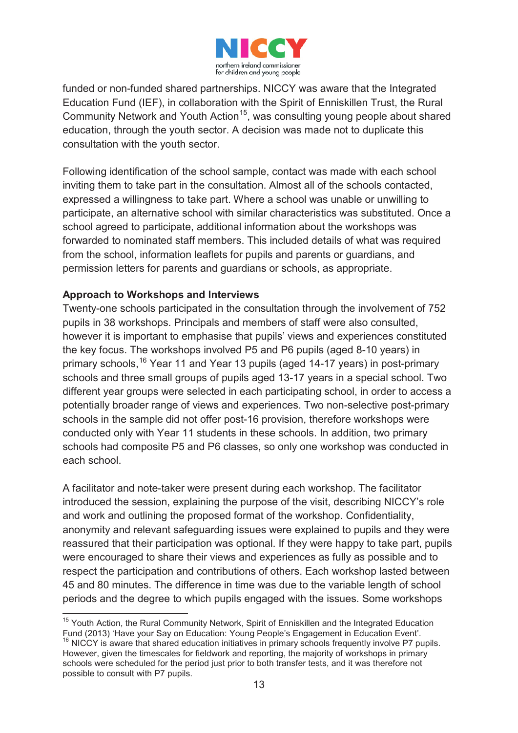

funded or non-funded shared partnerships. NICCY was aware that the Integrated Education Fund (IEF), in collaboration with the Spirit of Enniskillen Trust, the Rural Community Network and Youth Action<sup>15</sup>, was consulting young people about shared education, through the youth sector. A decision was made not to duplicate this consultation with the youth sector.

Following identification of the school sample, contact was made with each school inviting them to take part in the consultation. Almost all of the schools contacted, expressed a willingness to take part. Where a school was unable or unwilling to participate, an alternative school with similar characteristics was substituted. Once a school agreed to participate, additional information about the workshops was forwarded to nominated staff members. This included details of what was required from the school, information leaflets for pupils and parents or guardians, and permission letters for parents and guardians or schools, as appropriate.

#### **Approach to Workshops and Interviews**

-

Twenty-one schools participated in the consultation through the involvement of 752 pupils in 38 workshops. Principals and members of staff were also consulted, however it is important to emphasise that pupils' views and experiences constituted the key focus. The workshops involved P5 and P6 pupils (aged 8-10 years) in primary schools, 16 Year 11 and Year 13 pupils (aged 14-17 years) in post-primary schools and three small groups of pupils aged 13-17 years in a special school. Two different year groups were selected in each participating school, in order to access a potentially broader range of views and experiences. Two non-selective post-primary schools in the sample did not offer post-16 provision, therefore workshops were conducted only with Year 11 students in these schools. In addition, two primary schools had composite P5 and P6 classes, so only one workshop was conducted in each school.

A facilitator and note-taker were present during each workshop. The facilitator introduced the session, explaining the purpose of the visit, describing NICCY's role and work and outlining the proposed format of the workshop. Confidentiality, anonymity and relevant safeguarding issues were explained to pupils and they were reassured that their participation was optional. If they were happy to take part, pupils were encouraged to share their views and experiences as fully as possible and to respect the participation and contributions of others. Each workshop lasted between 45 and 80 minutes. The difference in time was due to the variable length of school periods and the degree to which pupils engaged with the issues. Some workshops

<sup>&</sup>lt;sup>15</sup> Youth Action, the Rural Community Network, Spirit of Enniskillen and the Integrated Education Fund (2013) 'Have your Say on Education: Young People's Engagement in Education Event'. <sup>16</sup> NICCY is aware that shared education initiatives in primary schools frequently involve P7 pupils. However, given the timescales for fieldwork and reporting, the majority of workshops in primary schools were scheduled for the period just prior to both transfer tests, and it was therefore not possible to consult with P7 pupils.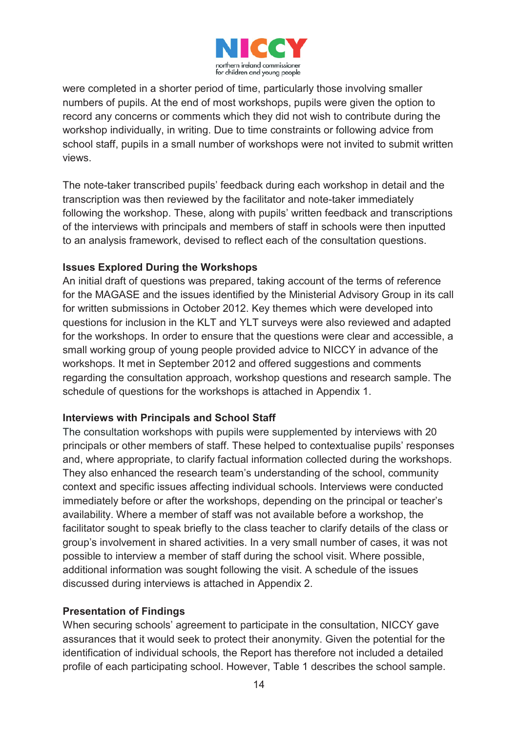

were completed in a shorter period of time, particularly those involving smaller numbers of pupils. At the end of most workshops, pupils were given the option to record any concerns or comments which they did not wish to contribute during the workshop individually, in writing. Due to time constraints or following advice from school staff, pupils in a small number of workshops were not invited to submit written views.

The note-taker transcribed pupils' feedback during each workshop in detail and the transcription was then reviewed by the facilitator and note-taker immediately following the workshop. These, along with pupils' written feedback and transcriptions of the interviews with principals and members of staff in schools were then inputted to an analysis framework, devised to reflect each of the consultation questions.

#### **Issues Explored During the Workshops**

An initial draft of questions was prepared, taking account of the terms of reference for the MAGASE and the issues identified by the Ministerial Advisory Group in its call for written submissions in October 2012. Key themes which were developed into questions for inclusion in the KLT and YLT surveys were also reviewed and adapted for the workshops. In order to ensure that the questions were clear and accessible, a small working group of young people provided advice to NICCY in advance of the workshops. It met in September 2012 and offered suggestions and comments regarding the consultation approach, workshop questions and research sample. The schedule of questions for the workshops is attached in Appendix 1.

#### **Interviews with Principals and School Staff**

The consultation workshops with pupils were supplemented by interviews with 20 principals or other members of staff. These helped to contextualise pupils' responses and, where appropriate, to clarify factual information collected during the workshops. They also enhanced the research team's understanding of the school, community context and specific issues affecting individual schools. Interviews were conducted immediately before or after the workshops, depending on the principal or teacher's availability. Where a member of staff was not available before a workshop, the facilitator sought to speak briefly to the class teacher to clarify details of the class or group's involvement in shared activities. In a very small number of cases, it was not possible to interview a member of staff during the school visit. Where possible, additional information was sought following the visit. A schedule of the issues discussed during interviews is attached in Appendix 2.

#### **Presentation of Findings**

When securing schools' agreement to participate in the consultation, NICCY gave assurances that it would seek to protect their anonymity. Given the potential for the identification of individual schools, the Report has therefore not included a detailed profile of each participating school. However, Table 1 describes the school sample.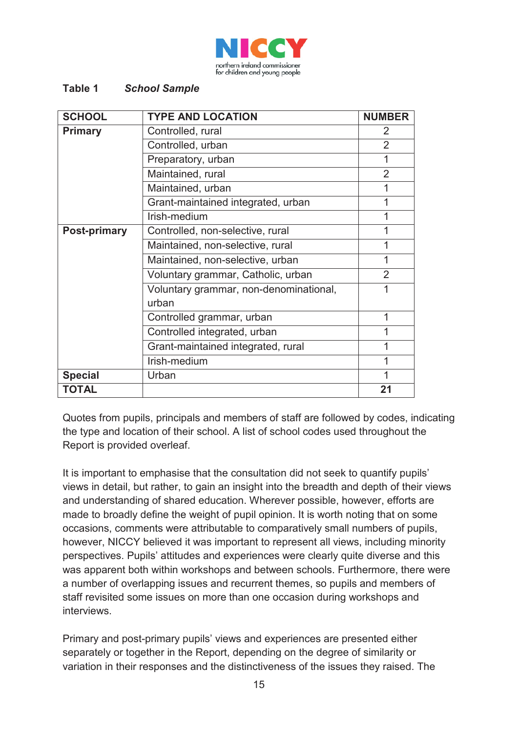

#### **Table 1** *School Sample*

| <b>SCHOOL</b>       | <b>TYPE AND LOCATION</b>               | <b>NUMBER</b>  |
|---------------------|----------------------------------------|----------------|
| <b>Primary</b>      | Controlled, rural                      | 2              |
|                     | Controlled, urban                      | $\overline{2}$ |
|                     | Preparatory, urban                     | 1              |
|                     | Maintained, rural                      | $\overline{2}$ |
|                     | Maintained, urban                      | 1              |
|                     | Grant-maintained integrated, urban     | 1              |
|                     | Irish-medium                           | 1              |
| <b>Post-primary</b> | Controlled, non-selective, rural       | 1              |
|                     | Maintained, non-selective, rural       | 1              |
|                     | Maintained, non-selective, urban       | 1              |
|                     | Voluntary grammar, Catholic, urban     | $\overline{2}$ |
|                     | Voluntary grammar, non-denominational, | 1              |
|                     | urban                                  |                |
|                     | Controlled grammar, urban              | 1              |
|                     | Controlled integrated, urban           | 1              |
|                     | Grant-maintained integrated, rural     | 1              |
|                     | Irish-medium                           | 1              |
| <b>Special</b>      | Urban                                  | 1              |
| TOTAL               |                                        | 21             |

Quotes from pupils, principals and members of staff are followed by codes, indicating the type and location of their school. A list of school codes used throughout the Report is provided overleaf.

It is important to emphasise that the consultation did not seek to quantify pupils' views in detail, but rather, to gain an insight into the breadth and depth of their views and understanding of shared education. Wherever possible, however, efforts are made to broadly define the weight of pupil opinion. It is worth noting that on some occasions, comments were attributable to comparatively small numbers of pupils, however, NICCY believed it was important to represent all views, including minority perspectives. Pupils' attitudes and experiences were clearly quite diverse and this was apparent both within workshops and between schools. Furthermore, there were a number of overlapping issues and recurrent themes, so pupils and members of staff revisited some issues on more than one occasion during workshops and interviews.

Primary and post-primary pupils' views and experiences are presented either separately or together in the Report, depending on the degree of similarity or variation in their responses and the distinctiveness of the issues they raised. The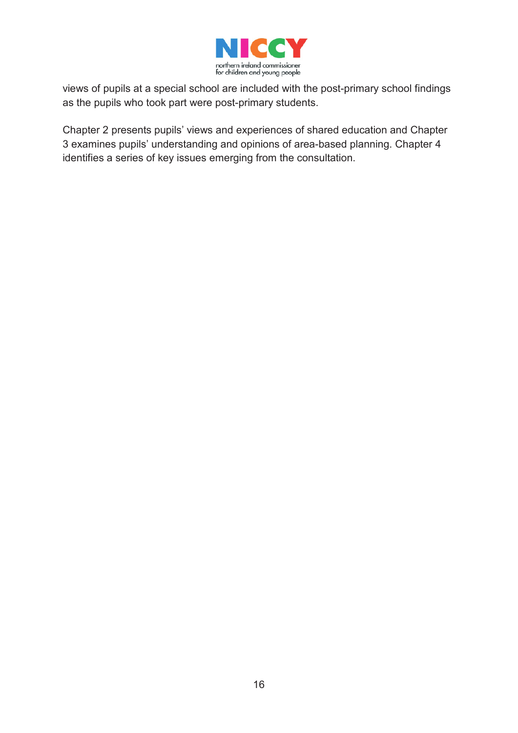

views of pupils at a special school are included with the post-primary school findings as the pupils who took part were post-primary students.

Chapter 2 presents pupils' views and experiences of shared education and Chapter 3 examines pupils' understanding and opinions of area-based planning. Chapter 4 identifies a series of key issues emerging from the consultation.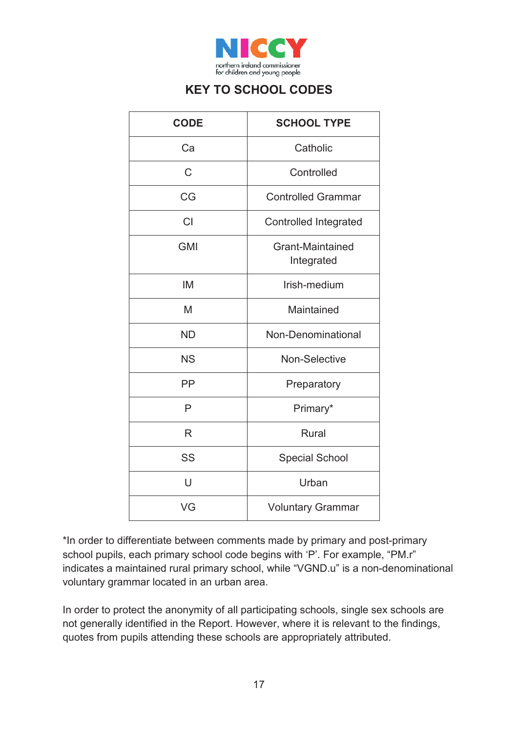

### **KEY TO SCHOOL CODES**

| <b>CODE</b> | <b>SCHOOL TYPE</b>             |
|-------------|--------------------------------|
| Ca          | Catholic                       |
| С           | Controlled                     |
| CG          | <b>Controlled Grammar</b>      |
| <b>CI</b>   | <b>Controlled Integrated</b>   |
| <b>GMI</b>  | Grant-Maintained<br>Integrated |
| <b>IM</b>   | Irish-medium                   |
| M           | Maintained                     |
| <b>ND</b>   | Non-Denominational             |
| <b>NS</b>   | <b>Non-Selective</b>           |
| PP          | Preparatory                    |
| P           | Primary*                       |
| R           | <b>Rural</b>                   |
| SS          | <b>Special School</b>          |
| U           | Urban                          |
| VG          | <b>Voluntary Grammar</b>       |

\*In order to differentiate between comments made by primary and post-primary school pupils, each primary school code begins with 'P'. For example, "PM.r" indicates a maintained rural primary school, while "VGND.u" is a non-denominational voluntary grammar located in an urban area.

In order to protect the anonymity of all participating schools, single sex schools are not generally identified in the Report. However, where it is relevant to the findings, quotes from pupils attending these schools are appropriately attributed.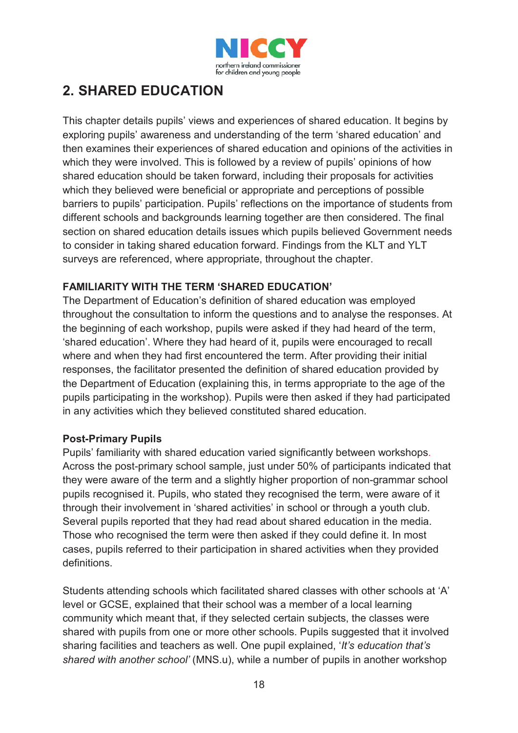

## **2. SHARED EDUCATION**

This chapter details pupils' views and experiences of shared education. It begins by exploring pupils' awareness and understanding of the term 'shared education' and then examines their experiences of shared education and opinions of the activities in which they were involved. This is followed by a review of pupils' opinions of how shared education should be taken forward, including their proposals for activities which they believed were beneficial or appropriate and perceptions of possible barriers to pupils' participation. Pupils' reflections on the importance of students from different schools and backgrounds learning together are then considered. The final section on shared education details issues which pupils believed Government needs to consider in taking shared education forward. Findings from the KLT and YLT surveys are referenced, where appropriate, throughout the chapter.

#### **FAMILIARITY WITH THE TERM 'SHARED EDUCATION'**

The Department of Education's definition of shared education was employed throughout the consultation to inform the questions and to analyse the responses. At the beginning of each workshop, pupils were asked if they had heard of the term, 'shared education'. Where they had heard of it, pupils were encouraged to recall where and when they had first encountered the term. After providing their initial responses, the facilitator presented the definition of shared education provided by the Department of Education (explaining this, in terms appropriate to the age of the pupils participating in the workshop). Pupils were then asked if they had participated in any activities which they believed constituted shared education.

#### **Post-Primary Pupils**

Pupils' familiarity with shared education varied significantly between workshops. Across the post-primary school sample, just under 50% of participants indicated that they were aware of the term and a slightly higher proportion of non-grammar school pupils recognised it. Pupils, who stated they recognised the term, were aware of it through their involvement in 'shared activities' in school or through a youth club. Several pupils reported that they had read about shared education in the media. Those who recognised the term were then asked if they could define it. In most cases, pupils referred to their participation in shared activities when they provided definitions.

Students attending schools which facilitated shared classes with other schools at 'A' level or GCSE, explained that their school was a member of a local learning community which meant that, if they selected certain subjects, the classes were shared with pupils from one or more other schools. Pupils suggested that it involved sharing facilities and teachers as well. One pupil explained, '*It's education that's shared with another school'* (MNS.u), while a number of pupils in another workshop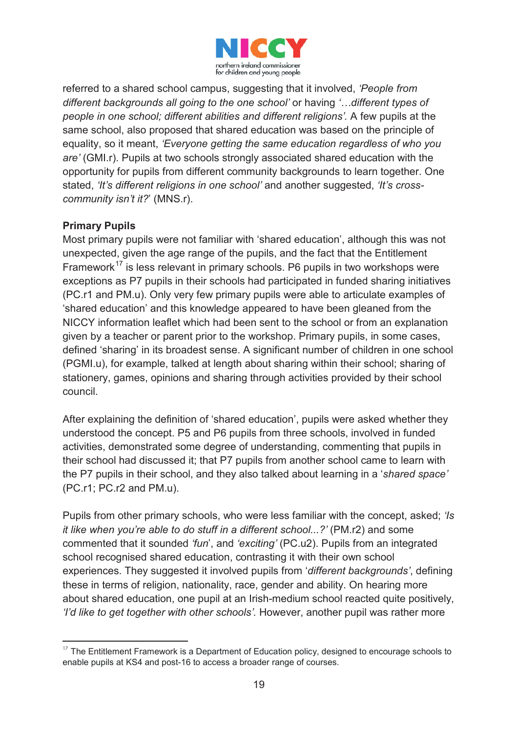

referred to a shared school campus, suggesting that it involved, *'People from different backgrounds all going to the one school'* or having *'…different types of people in one school; different abilities and different religions'.* A few pupils at the same school, also proposed that shared education was based on the principle of equality, so it meant, *'Everyone getting the same education regardless of who you are'* (GMI.r). Pupils at two schools strongly associated shared education with the opportunity for pupils from different community backgrounds to learn together. One stated, *'It's different religions in one school'* and another suggested, *'It's crosscommunity isn't it?*' (MNS.r).

#### **Primary Pupils**

-

Most primary pupils were not familiar with 'shared education', although this was not unexpected, given the age range of the pupils, and the fact that the Entitlement Framework<sup>17</sup> is less relevant in primary schools. P6 pupils in two workshops were exceptions as P7 pupils in their schools had participated in funded sharing initiatives (PC.r1 and PM.u). Only very few primary pupils were able to articulate examples of 'shared education' and this knowledge appeared to have been gleaned from the NICCY information leaflet which had been sent to the school or from an explanation given by a teacher or parent prior to the workshop. Primary pupils, in some cases, defined 'sharing' in its broadest sense. A significant number of children in one school (PGMI.u), for example, talked at length about sharing within their school; sharing of stationery, games, opinions and sharing through activities provided by their school council.

After explaining the definition of 'shared education', pupils were asked whether they understood the concept. P5 and P6 pupils from three schools, involved in funded activities, demonstrated some degree of understanding, commenting that pupils in their school had discussed it; that P7 pupils from another school came to learn with the P7 pupils in their school, and they also talked about learning in a '*shared space'*  (PC.r1; PC.r2 and PM.u).

Pupils from other primary schools, who were less familiar with the concept, asked; *'Is it like when you're able to do stuff in a different school...?'* (PM.r2) and some commented that it sounded *'fun*', and *'exciting'* (PC.u2). Pupils from an integrated school recognised shared education, contrasting it with their own school experiences. They suggested it involved pupils from '*different backgrounds'*, defining these in terms of religion, nationality, race, gender and ability. On hearing more about shared education, one pupil at an Irish-medium school reacted quite positively, *'I'd like to get together with other schools'.* However, another pupil was rather more

 $17$  The Entitlement Framework is a Department of Education policy, designed to encourage schools to enable pupils at KS4 and post-16 to access a broader range of courses.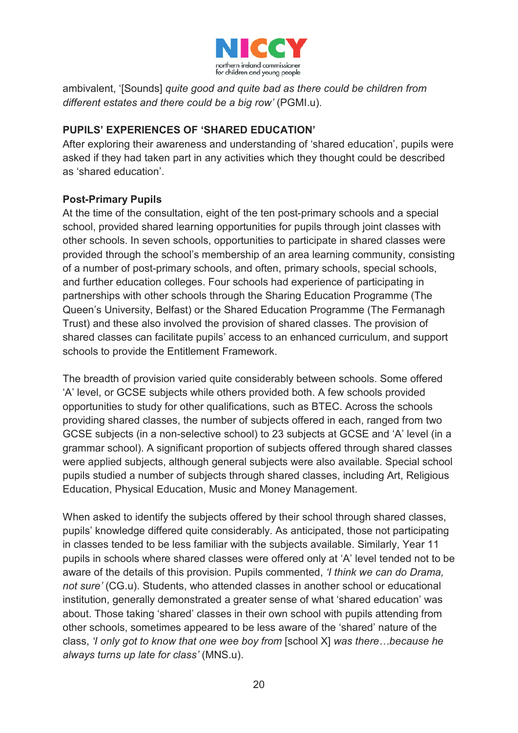

ambivalent, '[Sounds] *quite good and quite bad as there could be children from different estates and there could be a big row'* (PGMI.u).

#### **PUPILS' EXPERIENCES OF 'SHARED EDUCATION'**

After exploring their awareness and understanding of 'shared education', pupils were asked if they had taken part in any activities which they thought could be described as 'shared education'.

#### **Post-Primary Pupils**

At the time of the consultation, eight of the ten post-primary schools and a special school, provided shared learning opportunities for pupils through joint classes with other schools. In seven schools, opportunities to participate in shared classes were provided through the school's membership of an area learning community, consisting of a number of post-primary schools, and often, primary schools, special schools, and further education colleges. Four schools had experience of participating in partnerships with other schools through the Sharing Education Programme (The Queen's University, Belfast) or the Shared Education Programme (The Fermanagh Trust) and these also involved the provision of shared classes. The provision of shared classes can facilitate pupils' access to an enhanced curriculum, and support schools to provide the Entitlement Framework.

The breadth of provision varied quite considerably between schools. Some offered 'A' level, or GCSE subjects while others provided both. A few schools provided opportunities to study for other qualifications, such as BTEC. Across the schools providing shared classes, the number of subjects offered in each, ranged from two GCSE subjects (in a non-selective school) to 23 subjects at GCSE and 'A' level (in a grammar school). A significant proportion of subjects offered through shared classes were applied subjects, although general subjects were also available. Special school pupils studied a number of subjects through shared classes, including Art, Religious Education, Physical Education, Music and Money Management.

When asked to identify the subjects offered by their school through shared classes, pupils' knowledge differed quite considerably. As anticipated, those not participating in classes tended to be less familiar with the subjects available. Similarly, Year 11 pupils in schools where shared classes were offered only at 'A' level tended not to be aware of the details of this provision. Pupils commented, *'I think we can do Drama, not sure'* (CG.u). Students, who attended classes in another school or educational institution, generally demonstrated a greater sense of what 'shared education' was about. Those taking 'shared' classes in their own school with pupils attending from other schools, sometimes appeared to be less aware of the 'shared' nature of the class, *'I only got to know that one wee boy from* [school X] *was there…because he always turns up late for class'* (MNS.u).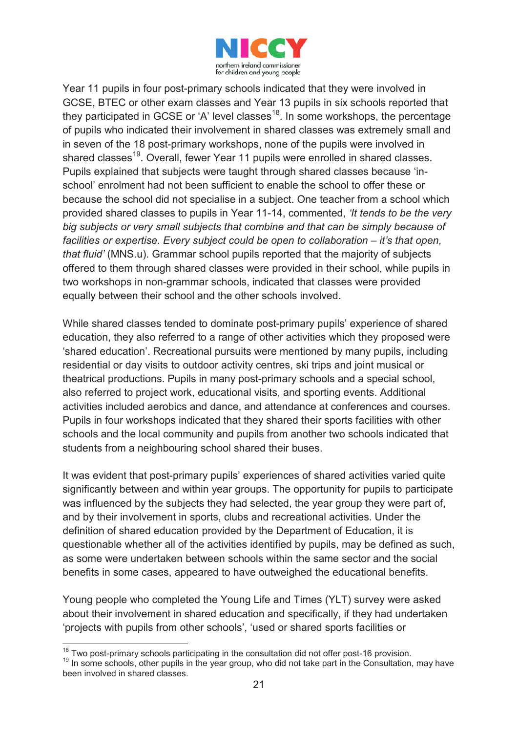

Year 11 pupils in four post-primary schools indicated that they were involved in GCSE, BTEC or other exam classes and Year 13 pupils in six schools reported that they participated in GCSE or 'A' level classes<sup>18</sup>. In some workshops, the percentage of pupils who indicated their involvement in shared classes was extremely small and in seven of the 18 post-primary workshops, none of the pupils were involved in shared classes<sup>19</sup>. Overall, fewer Year 11 pupils were enrolled in shared classes. Pupils explained that subjects were taught through shared classes because 'inschool' enrolment had not been sufficient to enable the school to offer these or because the school did not specialise in a subject. One teacher from a school which provided shared classes to pupils in Year 11-14, commented, *'It tends to be the very big subjects or very small subjects that combine and that can be simply because of facilities or expertise. Every subject could be open to collaboration – it's that open, that fluid'* (MNS.u). Grammar school pupils reported that the majority of subjects offered to them through shared classes were provided in their school, while pupils in two workshops in non-grammar schools, indicated that classes were provided equally between their school and the other schools involved.

While shared classes tended to dominate post-primary pupils' experience of shared education, they also referred to a range of other activities which they proposed were 'shared education'. Recreational pursuits were mentioned by many pupils, including residential or day visits to outdoor activity centres, ski trips and joint musical or theatrical productions. Pupils in many post-primary schools and a special school, also referred to project work, educational visits, and sporting events. Additional activities included aerobics and dance, and attendance at conferences and courses. Pupils in four workshops indicated that they shared their sports facilities with other schools and the local community and pupils from another two schools indicated that students from a neighbouring school shared their buses.

It was evident that post-primary pupils' experiences of shared activities varied quite significantly between and within year groups. The opportunity for pupils to participate was influenced by the subjects they had selected, the year group they were part of, and by their involvement in sports, clubs and recreational activities. Under the definition of shared education provided by the Department of Education, it is questionable whether all of the activities identified by pupils, may be defined as such, as some were undertaken between schools within the same sector and the social benefits in some cases, appeared to have outweighed the educational benefits.

Young people who completed the Young Life and Times (YLT) survey were asked about their involvement in shared education and specifically, if they had undertaken 'projects with pupils from other schools', 'used or shared sports facilities or

<sup>&</sup>lt;sup>18</sup> Two post-primary schools participating in the consultation did not offer post-16 provision.

<sup>&</sup>lt;sup>19</sup> In some schools, other pupils in the year group, who did not take part in the Consultation, may have been involved in shared classes.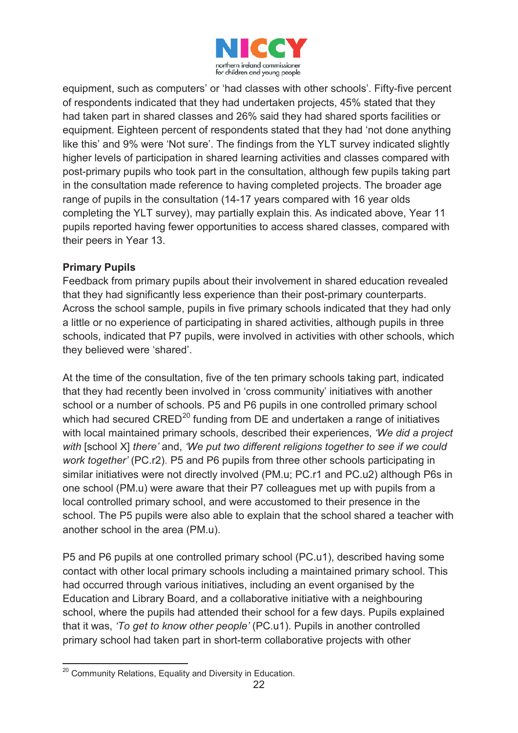![](_page_22_Picture_0.jpeg)

equipment, such as computers' or 'had classes with other schools'. Fifty-five percent of respondents indicated that they had undertaken projects, 45% stated that they had taken part in shared classes and 26% said they had shared sports facilities or equipment. Eighteen percent of respondents stated that they had 'not done anything like this' and 9% were 'Not sure'. The findings from the YLT survey indicated slightly higher levels of participation in shared learning activities and classes compared with post-primary pupils who took part in the consultation, although few pupils taking part in the consultation made reference to having completed projects. The broader age range of pupils in the consultation (14-17 years compared with 16 year olds completing the YLT survey), may partially explain this. As indicated above, Year 11 pupils reported having fewer opportunities to access shared classes, compared with their peers in Year 13.

#### **Primary Pupils**

Feedback from primary pupils about their involvement in shared education revealed that they had significantly less experience than their post-primary counterparts. Across the school sample, pupils in five primary schools indicated that they had only a little or no experience of participating in shared activities, although pupils in three schools, indicated that P7 pupils, were involved in activities with other schools, which they believed were 'shared'.

At the time of the consultation, five of the ten primary schools taking part, indicated that they had recently been involved in 'cross community' initiatives with another school or a number of schools. P5 and P6 pupils in one controlled primary school which had secured  $CRED^{20}$  funding from DE and undertaken a range of initiatives with local maintained primary schools, described their experiences, *'We did a project with* [school X] *there'* and, *'We put two different religions together to see if we could work together'* (PC.r2). P5 and P6 pupils from three other schools participating in similar initiatives were not directly involved (PM.u; PC.r1 and PC.u2) although P6s in one school (PM.u) were aware that their P7 colleagues met up with pupils from a local controlled primary school, and were accustomed to their presence in the school. The P5 pupils were also able to explain that the school shared a teacher with another school in the area (PM.u).

P5 and P6 pupils at one controlled primary school (PC.u1), described having some contact with other local primary schools including a maintained primary school. This had occurred through various initiatives, including an event organised by the Education and Library Board, and a collaborative initiative with a neighbouring school, where the pupils had attended their school for a few days. Pupils explained that it was, *'To get to know other people'* (PC.u1). Pupils in another controlled primary school had taken part in short-term collaborative projects with other

<sup>-</sup><sup>20</sup> Community Relations, Equality and Diversity in Education.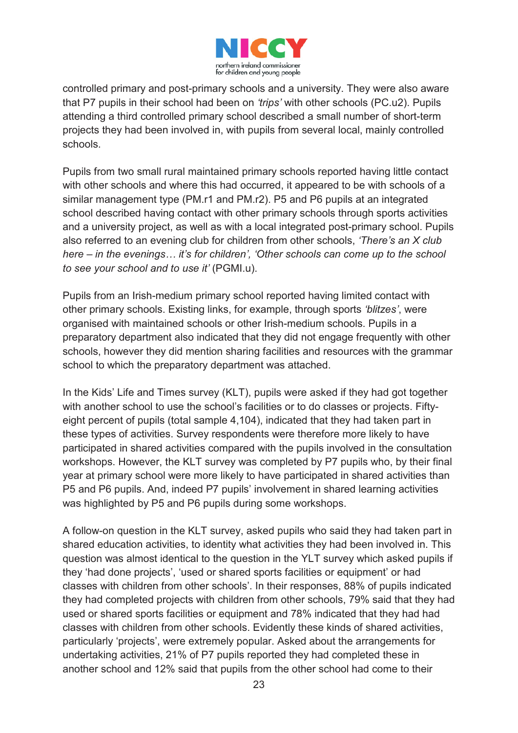![](_page_23_Picture_0.jpeg)

controlled primary and post-primary schools and a university. They were also aware that P7 pupils in their school had been on *'trips'* with other schools (PC.u2). Pupils attending a third controlled primary school described a small number of short-term projects they had been involved in, with pupils from several local, mainly controlled schools.

Pupils from two small rural maintained primary schools reported having little contact with other schools and where this had occurred, it appeared to be with schools of a similar management type (PM.r1 and PM.r2). P5 and P6 pupils at an integrated school described having contact with other primary schools through sports activities and a university project, as well as with a local integrated post-primary school. Pupils also referred to an evening club for children from other schools, *'There's an X club here – in the evenings… it's for children', 'Other schools can come up to the school to see your school and to use it'* (PGMI.u).

Pupils from an Irish-medium primary school reported having limited contact with other primary schools. Existing links, for example, through sports *'blitzes'*, were organised with maintained schools or other Irish-medium schools. Pupils in a preparatory department also indicated that they did not engage frequently with other schools, however they did mention sharing facilities and resources with the grammar school to which the preparatory department was attached.

In the Kids' Life and Times survey (KLT), pupils were asked if they had got together with another school to use the school's facilities or to do classes or projects. Fiftyeight percent of pupils (total sample 4,104), indicated that they had taken part in these types of activities. Survey respondents were therefore more likely to have participated in shared activities compared with the pupils involved in the consultation workshops. However, the KLT survey was completed by P7 pupils who, by their final year at primary school were more likely to have participated in shared activities than P5 and P6 pupils. And, indeed P7 pupils' involvement in shared learning activities was highlighted by P5 and P6 pupils during some workshops.

A follow-on question in the KLT survey, asked pupils who said they had taken part in shared education activities, to identity what activities they had been involved in. This question was almost identical to the question in the YLT survey which asked pupils if they 'had done projects', 'used or shared sports facilities or equipment' or had classes with children from other schools'. In their responses, 88% of pupils indicated they had completed projects with children from other schools, 79% said that they had used or shared sports facilities or equipment and 78% indicated that they had had classes with children from other schools. Evidently these kinds of shared activities, particularly 'projects', were extremely popular. Asked about the arrangements for undertaking activities, 21% of P7 pupils reported they had completed these in another school and 12% said that pupils from the other school had come to their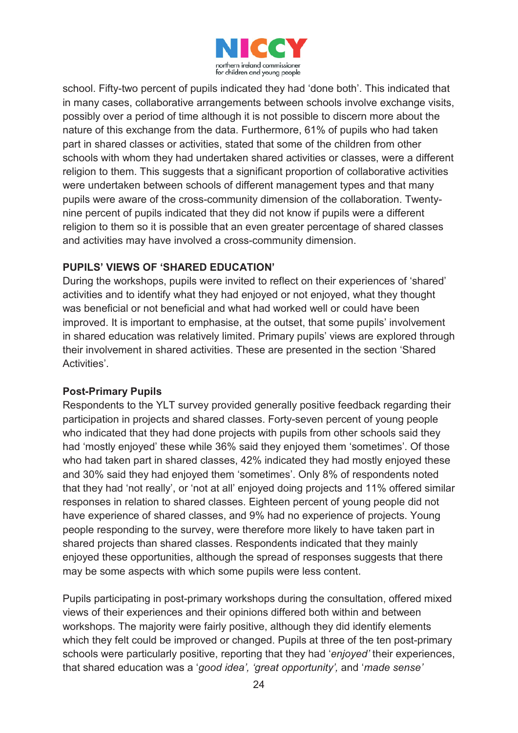![](_page_24_Picture_0.jpeg)

school. Fifty-two percent of pupils indicated they had 'done both'. This indicated that in many cases, collaborative arrangements between schools involve exchange visits, possibly over a period of time although it is not possible to discern more about the nature of this exchange from the data. Furthermore, 61% of pupils who had taken part in shared classes or activities, stated that some of the children from other schools with whom they had undertaken shared activities or classes, were a different religion to them. This suggests that a significant proportion of collaborative activities were undertaken between schools of different management types and that many pupils were aware of the cross-community dimension of the collaboration. Twentynine percent of pupils indicated that they did not know if pupils were a different religion to them so it is possible that an even greater percentage of shared classes and activities may have involved a cross-community dimension.

#### **PUPILS' VIEWS OF 'SHARED EDUCATION'**

During the workshops, pupils were invited to reflect on their experiences of 'shared' activities and to identify what they had enjoyed or not enjoyed, what they thought was beneficial or not beneficial and what had worked well or could have been improved. It is important to emphasise, at the outset, that some pupils' involvement in shared education was relatively limited. Primary pupils' views are explored through their involvement in shared activities. These are presented in the section 'Shared Activities'.

#### **Post-Primary Pupils**

Respondents to the YLT survey provided generally positive feedback regarding their participation in projects and shared classes. Forty-seven percent of young people who indicated that they had done projects with pupils from other schools said they had 'mostly enjoyed' these while 36% said they enjoyed them 'sometimes'. Of those who had taken part in shared classes, 42% indicated they had mostly enjoyed these and 30% said they had enjoyed them 'sometimes'. Only 8% of respondents noted that they had 'not really', or 'not at all' enjoyed doing projects and 11% offered similar responses in relation to shared classes. Eighteen percent of young people did not have experience of shared classes, and 9% had no experience of projects. Young people responding to the survey, were therefore more likely to have taken part in shared projects than shared classes. Respondents indicated that they mainly enjoyed these opportunities, although the spread of responses suggests that there may be some aspects with which some pupils were less content.

Pupils participating in post-primary workshops during the consultation, offered mixed views of their experiences and their opinions differed both within and between workshops. The majority were fairly positive, although they did identify elements which they felt could be improved or changed. Pupils at three of the ten post-primary schools were particularly positive, reporting that they had '*enjoyed'* their experiences, that shared education was a '*good idea', 'great opportunity',* and '*made sense'*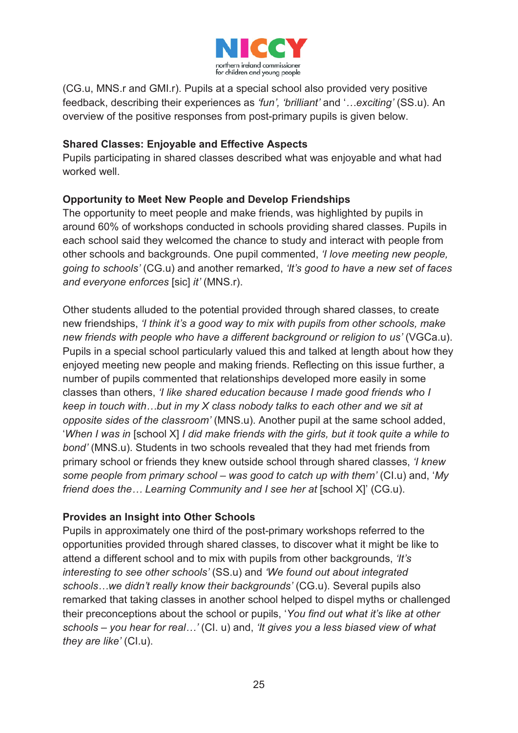![](_page_25_Picture_0.jpeg)

(CG.u, MNS.r and GMI.r). Pupils at a special school also provided very positive feedback, describing their experiences as *'fun', 'brilliant'* and '*…exciting'* (SS.u). An overview of the positive responses from post-primary pupils is given below.

#### **Shared Classes: Enjoyable and Effective Aspects**

Pupils participating in shared classes described what was enjoyable and what had worked well

#### **Opportunity to Meet New People and Develop Friendships**

The opportunity to meet people and make friends, was highlighted by pupils in around 60% of workshops conducted in schools providing shared classes. Pupils in each school said they welcomed the chance to study and interact with people from other schools and backgrounds. One pupil commented, *'I love meeting new people, going to schools'* (CG.u) and another remarked, *'It's good to have a new set of faces and everyone enforces* [sic] *it'* (MNS.r).

Other students alluded to the potential provided through shared classes, to create new friendships, *'I think it's a good way to mix with pupils from other schools, make new friends with people who have a different background or religion to us'* (VGCa.u). Pupils in a special school particularly valued this and talked at length about how they enjoyed meeting new people and making friends. Reflecting on this issue further, a number of pupils commented that relationships developed more easily in some classes than others, *'I like shared education because I made good friends who I keep in touch with…but in my X class nobody talks to each other and we sit at opposite sides of the classroom'* (MNS.u). Another pupil at the same school added, '*When I was in* [school X] *I did make friends with the girls, but it took quite a while to bond'* (MNS.u). Students in two schools revealed that they had met friends from primary school or friends they knew outside school through shared classes, *'I knew some people from primary school – was good to catch up with them'* (CI.u) and, '*My friend does the... Learning Community and I see her at [school X]' (CG.u).* 

#### **Provides an Insight into Other Schools**

Pupils in approximately one third of the post-primary workshops referred to the opportunities provided through shared classes, to discover what it might be like to attend a different school and to mix with pupils from other backgrounds, *'It's interesting to see other schools'* (SS.u) and *'We found out about integrated schools…we didn't really know their backgrounds'* (CG.u). Several pupils also remarked that taking classes in another school helped to dispel myths or challenged their preconceptions about the school or pupils, '*You find out what it's like at other schools – you hear for real…'* (CI. u) and, *'It gives you a less biased view of what they are like'* (CI.u).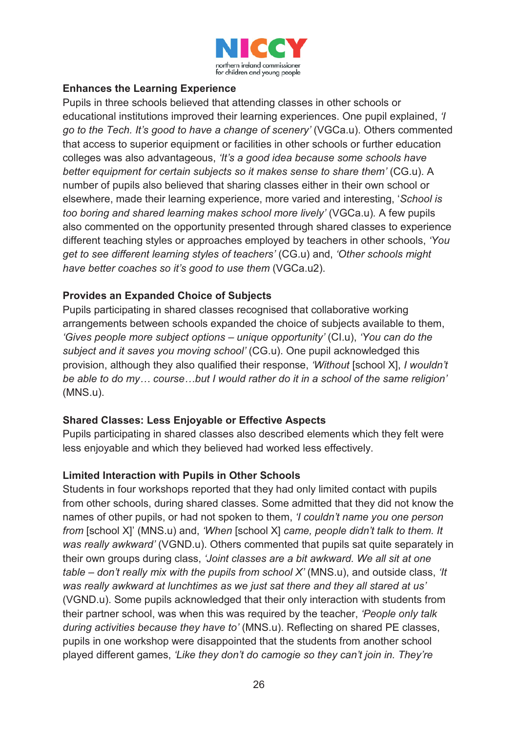![](_page_26_Picture_0.jpeg)

#### **Enhances the Learning Experience**

Pupils in three schools believed that attending classes in other schools or educational institutions improved their learning experiences. One pupil explained, *'I go to the Tech. It's good to have a change of scenery'* (VGCa.u). Others commented that access to superior equipment or facilities in other schools or further education colleges was also advantageous, *'It's a good idea because some schools have better equipment for certain subjects so it makes sense to share them' (CG.u). A* number of pupils also believed that sharing classes either in their own school or elsewhere, made their learning experience, more varied and interesting, '*School is too boring and shared learning makes school more lively'* (VGCa.u)*.* A few pupils also commented on the opportunity presented through shared classes to experience different teaching styles or approaches employed by teachers in other schools, *'You get to see different learning styles of teachers'* (CG.u) and, *'Other schools might have better coaches so it's good to use them* (VGCa.u2).

#### **Provides an Expanded Choice of Subjects**

Pupils participating in shared classes recognised that collaborative working arrangements between schools expanded the choice of subjects available to them, *'Gives people more subject options – unique opportunity'* (CI.u), *'You can do the subject and it saves you moving school'* (CG.u). One pupil acknowledged this provision, although they also qualified their response, *'Without* [school X], *I wouldn't be able to do my… course…but I would rather do it in a school of the same religion'*  (MNS.u).

#### **Shared Classes: Less Enjoyable or Effective Aspects**

Pupils participating in shared classes also described elements which they felt were less enjoyable and which they believed had worked less effectively.

#### **Limited Interaction with Pupils in Other Schools**

Students in four workshops reported that they had only limited contact with pupils from other schools, during shared classes. Some admitted that they did not know the names of other pupils, or had not spoken to them, *'I couldn't name you one person from* [school X]' (MNS.u) and, *'When* [school X] *came, people didn't talk to them. It was really awkward'* (VGND.u). Others commented that pupils sat quite separately in their own groups during class, *'Joint classes are a bit awkward. We all sit at one table – don't really mix with the pupils from school X'* (MNS.u), and outside class, *'It was really awkward at lunchtimes as we just sat there and they all stared at us'*  (VGND.u). Some pupils acknowledged that their only interaction with students from their partner school, was when this was required by the teacher, *'People only talk during activities because they have to'* (MNS.u). Reflecting on shared PE classes, pupils in one workshop were disappointed that the students from another school played different games, *'Like they don't do camogie so they can't join in. They're*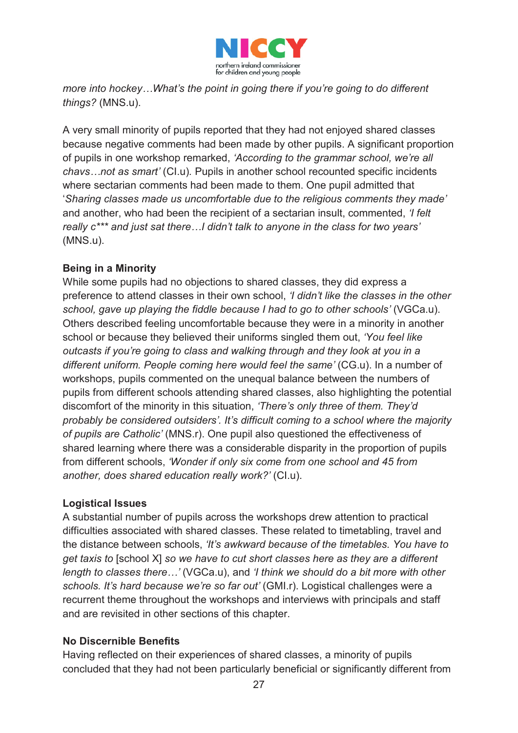![](_page_27_Picture_0.jpeg)

*more into hockey…What's the point in going there if you're going to do different things?* (MNS.u).

A very small minority of pupils reported that they had not enjoyed shared classes because negative comments had been made by other pupils. A significant proportion of pupils in one workshop remarked, *'According to the grammar school, we're all chavs…not as smart'* (CI.u)*.* Pupils in another school recounted specific incidents where sectarian comments had been made to them. One pupil admitted that '*Sharing classes made us uncomfortable due to the religious comments they made'*  and another, who had been the recipient of a sectarian insult, commented, *'I felt really c\*\*\* and just sat there…I didn't talk to anyone in the class for two years'* (MNS.u).

#### **Being in a Minority**

While some pupils had no objections to shared classes, they did express a preference to attend classes in their own school, *'I didn't like the classes in the other school, gave up playing the fiddle because I had to go to other schools'* (VGCa.u). Others described feeling uncomfortable because they were in a minority in another school or because they believed their uniforms singled them out, *'You feel like outcasts if you're going to class and walking through and they look at you in a*  different uniform. People coming here would feel the same' (CG.u). In a number of workshops, pupils commented on the unequal balance between the numbers of pupils from different schools attending shared classes, also highlighting the potential discomfort of the minority in this situation, *'There's only three of them. They'd probably be considered outsiders'. It's difficult coming to a school where the majority of pupils are Catholic'* (MNS.r). One pupil also questioned the effectiveness of shared learning where there was a considerable disparity in the proportion of pupils from different schools, *'Wonder if only six come from one school and 45 from another, does shared education really work?'* (CI.u).

#### **Logistical Issues**

A substantial number of pupils across the workshops drew attention to practical difficulties associated with shared classes. These related to timetabling, travel and the distance between schools, *'It's awkward because of the timetables. You have to get taxis to* [school X] *so we have to cut short classes here as they are a different length to classes there…'* (VGCa.u), and *'I think we should do a bit more with other schools. It's hard because we're so far out'* (GMI.r). Logistical challenges were a recurrent theme throughout the workshops and interviews with principals and staff and are revisited in other sections of this chapter.

#### **No Discernible Benefits**

Having reflected on their experiences of shared classes, a minority of pupils concluded that they had not been particularly beneficial or significantly different from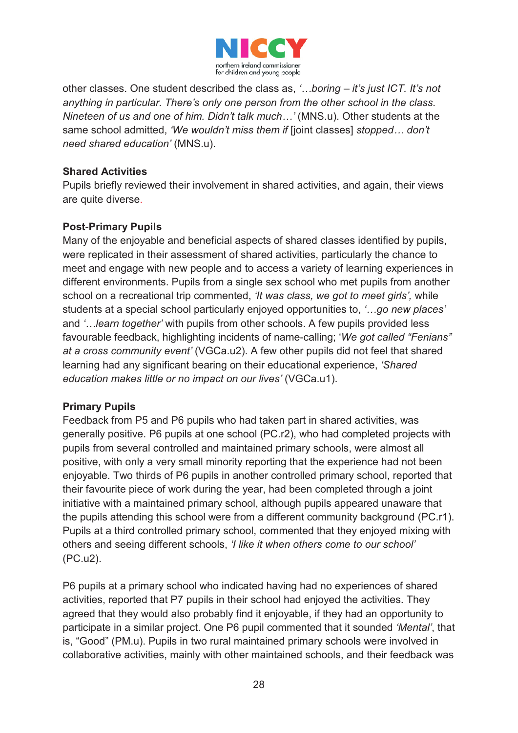![](_page_28_Picture_0.jpeg)

other classes. One student described the class as, *'…boring – it's just ICT. It's not anything in particular. There's only one person from the other school in the class. Nineteen of us and one of him. Didn't talk much…'* (MNS.u). Other students at the same school admitted, *'We wouldn't miss them if* [joint classes] *stopped… don't need shared education'* (MNS.u).

#### **Shared Activities**

Pupils briefly reviewed their involvement in shared activities, and again, their views are quite diverse.

#### **Post-Primary Pupils**

Many of the enjoyable and beneficial aspects of shared classes identified by pupils, were replicated in their assessment of shared activities, particularly the chance to meet and engage with new people and to access a variety of learning experiences in different environments. Pupils from a single sex school who met pupils from another school on a recreational trip commented, *'It was class, we got to meet girls',* while students at a special school particularly enjoyed opportunities to, *'…go new places'* and *'…learn together'* with pupils from other schools. A few pupils provided less favourable feedback, highlighting incidents of name-calling; '*We got called "Fenians" at a cross community event'* (VGCa.u2). A few other pupils did not feel that shared learning had any significant bearing on their educational experience, *'Shared education makes little or no impact on our lives'* (VGCa.u1).

#### **Primary Pupils**

Feedback from P5 and P6 pupils who had taken part in shared activities, was generally positive. P6 pupils at one school (PC.r2), who had completed projects with pupils from several controlled and maintained primary schools, were almost all positive, with only a very small minority reporting that the experience had not been enjoyable. Two thirds of P6 pupils in another controlled primary school, reported that their favourite piece of work during the year, had been completed through a joint initiative with a maintained primary school, although pupils appeared unaware that the pupils attending this school were from a different community background (PC.r1). Pupils at a third controlled primary school, commented that they enjoyed mixing with others and seeing different schools, *'I like it when others come to our school'*  (PC.u2).

P6 pupils at a primary school who indicated having had no experiences of shared activities, reported that P7 pupils in their school had enjoyed the activities. They agreed that they would also probably find it enjoyable, if they had an opportunity to participate in a similar project. One P6 pupil commented that it sounded *'Mental'*, that is, "Good" (PM.u). Pupils in two rural maintained primary schools were involved in collaborative activities, mainly with other maintained schools, and their feedback was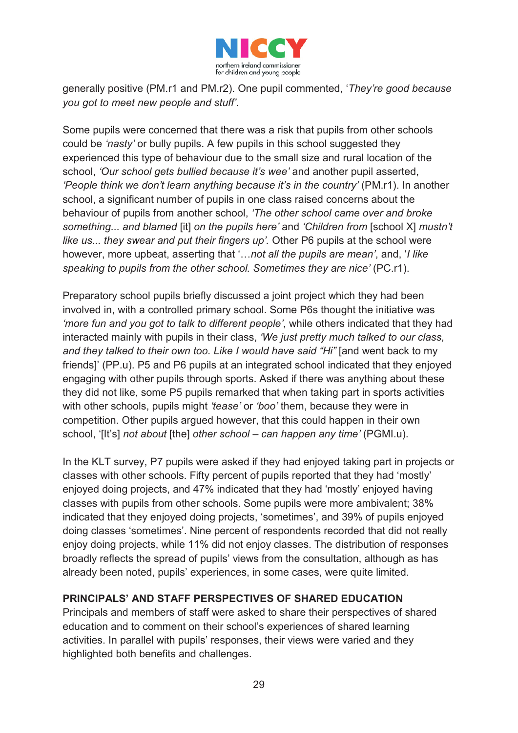![](_page_29_Picture_0.jpeg)

generally positive (PM.r1 and PM.r2). One pupil commented, '*They're good because you got to meet new people and stuff'*.

Some pupils were concerned that there was a risk that pupils from other schools could be *'nasty'* or bully pupils. A few pupils in this school suggested they experienced this type of behaviour due to the small size and rural location of the school, *'Our school gets bullied because it's wee'* and another pupil asserted, *'People think we don't learn anything because it's in the country'* (PM.r1). In another school, a significant number of pupils in one class raised concerns about the behaviour of pupils from another school, *'The other school came over and broke something... and blamed* [it] *on the pupils here'* and *'Children from* [school X] *mustn't like us... they swear and put their fingers up'.* Other P6 pupils at the school were however, more upbeat, asserting that '…*not all the pupils are mean'*, and, '*I like speaking to pupils from the other school. Sometimes they are nice'* (PC.r1).

Preparatory school pupils briefly discussed a joint project which they had been involved in, with a controlled primary school. Some P6s thought the initiative was *'more fun and you got to talk to different people'*, while others indicated that they had interacted mainly with pupils in their class, *'We just pretty much talked to our class, and they talked to their own too. Like I would have said "Hi"* [and went back to my friends]' (PP.u). P5 and P6 pupils at an integrated school indicated that they enjoyed engaging with other pupils through sports. Asked if there was anything about these they did not like, some P5 pupils remarked that when taking part in sports activities with other schools, pupils might *'tease'* or *'boo'* them, because they were in competition. Other pupils argued however, that this could happen in their own school, '[It's] *not about* [the] *other school – can happen any time'* (PGMI.u).

In the KLT survey, P7 pupils were asked if they had enjoyed taking part in projects or classes with other schools. Fifty percent of pupils reported that they had 'mostly' enjoyed doing projects, and 47% indicated that they had 'mostly' enjoyed having classes with pupils from other schools. Some pupils were more ambivalent; 38% indicated that they enjoyed doing projects, 'sometimes', and 39% of pupils enjoyed doing classes 'sometimes'. Nine percent of respondents recorded that did not really enjoy doing projects, while 11% did not enjoy classes. The distribution of responses broadly reflects the spread of pupils' views from the consultation, although as has already been noted, pupils' experiences, in some cases, were quite limited.

#### **PRINCIPALS' AND STAFF PERSPECTIVES OF SHARED EDUCATION**

Principals and members of staff were asked to share their perspectives of shared education and to comment on their school's experiences of shared learning activities. In parallel with pupils' responses, their views were varied and they highlighted both benefits and challenges.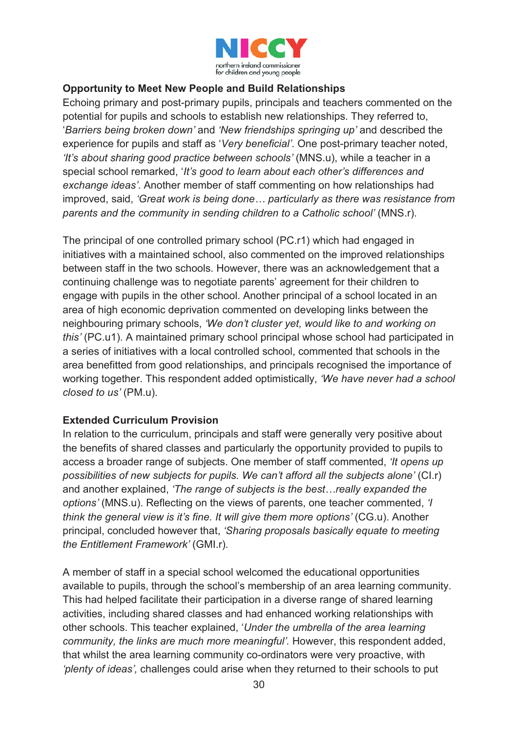![](_page_30_Picture_0.jpeg)

#### **Opportunity to Meet New People and Build Relationships**

Echoing primary and post-primary pupils, principals and teachers commented on the potential for pupils and schools to establish new relationships. They referred to, '*Barriers being broken down'* and *'New friendships springing up'* and described the experience for pupils and staff as '*Very beneficial'*. One post-primary teacher noted, *'It's about sharing good practice between schools'* (MNS.u), while a teacher in a special school remarked, '*It's good to learn about each other's differences and exchange ideas'*. Another member of staff commenting on how relationships had improved, said, *'Great work is being done… particularly as there was resistance from parents and the community in sending children to a Catholic school'* (MNS.r).

The principal of one controlled primary school (PC.r1) which had engaged in initiatives with a maintained school, also commented on the improved relationships between staff in the two schools. However, there was an acknowledgement that a continuing challenge was to negotiate parents' agreement for their children to engage with pupils in the other school. Another principal of a school located in an area of high economic deprivation commented on developing links between the neighbouring primary schools, *'We don't cluster yet, would like to and working on this'* (PC.u1). A maintained primary school principal whose school had participated in a series of initiatives with a local controlled school, commented that schools in the area benefitted from good relationships, and principals recognised the importance of working together. This respondent added optimistically, *'We have never had a school closed to us'* (PM.u).

#### **Extended Curriculum Provision**

In relation to the curriculum, principals and staff were generally very positive about the benefits of shared classes and particularly the opportunity provided to pupils to access a broader range of subjects. One member of staff commented, *'It opens up possibilities of new subjects for pupils. We can't afford all the subjects alone'* (CI.r) and another explained, *'The range of subjects is the best…really expanded the options'* (MNS.u). Reflecting on the views of parents, one teacher commented, *'I think the general view is it's fine. It will give them more options'* (CG.u). Another principal, concluded however that, *'Sharing proposals basically equate to meeting the Entitlement Framework'* (GMI.r)*.* 

A member of staff in a special school welcomed the educational opportunities available to pupils, through the school's membership of an area learning community. This had helped facilitate their participation in a diverse range of shared learning activities, including shared classes and had enhanced working relationships with other schools. This teacher explained, '*Under the umbrella of the area learning community, the links are much more meaningful'.* However, this respondent added, that whilst the area learning community co-ordinators were very proactive, with *'plenty of ideas',* challenges could arise when they returned to their schools to put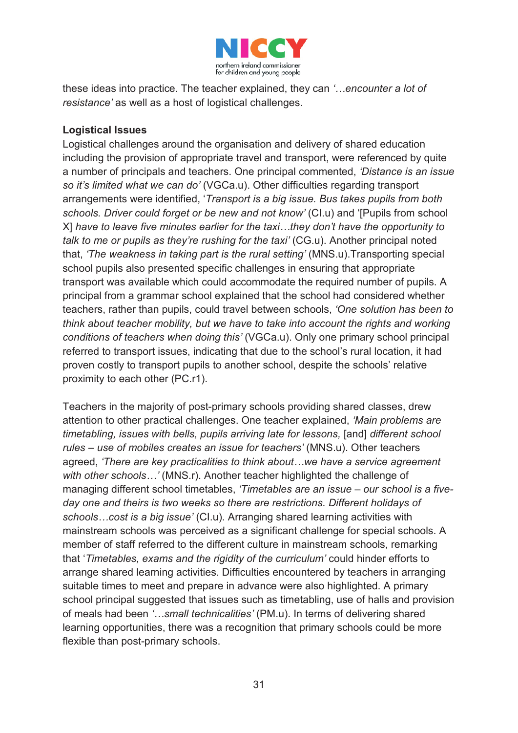![](_page_31_Picture_0.jpeg)

these ideas into practice. The teacher explained, they can *'…encounter a lot of resistance'* as well as a host of logistical challenges.

#### **Logistical Issues**

Logistical challenges around the organisation and delivery of shared education including the provision of appropriate travel and transport, were referenced by quite a number of principals and teachers. One principal commented, *'Distance is an issue so it's limited what we can do'* (VGCa.u). Other difficulties regarding transport arrangements were identified, '*Transport is a big issue. Bus takes pupils from both schools. Driver could forget or be new and not know'* (CI.u) and '[Pupils from school X] *have to leave five minutes earlier for the taxi…they don't have the opportunity to talk to me or pupils as they're rushing for the taxi'* (CG.u). Another principal noted that, *'The weakness in taking part is the rural setting'* (MNS.u).Transporting special school pupils also presented specific challenges in ensuring that appropriate transport was available which could accommodate the required number of pupils. A principal from a grammar school explained that the school had considered whether teachers, rather than pupils, could travel between schools, *'One solution has been to think about teacher mobility, but we have to take into account the rights and working conditions of teachers when doing this'* (VGCa.u). Only one primary school principal referred to transport issues, indicating that due to the school's rural location, it had proven costly to transport pupils to another school, despite the schools' relative proximity to each other (PC.r1).

Teachers in the majority of post-primary schools providing shared classes, drew attention to other practical challenges. One teacher explained, *'Main problems are timetabling, issues with bells, pupils arriving late for lessons,* [and] *different school rules – use of mobiles creates an issue for teachers'* (MNS.u). Other teachers agreed, *'There are key practicalities to think about…we have a service agreement with other schools…'* (MNS.r). Another teacher highlighted the challenge of managing different school timetables, *'Timetables are an issue – our school is a fiveday one and theirs is two weeks so there are restrictions. Different holidays of schools…cost is a big issue'* (CI.u). Arranging shared learning activities with mainstream schools was perceived as a significant challenge for special schools. A member of staff referred to the different culture in mainstream schools, remarking that '*Timetables, exams and the rigidity of the curriculum'* could hinder efforts to arrange shared learning activities. Difficulties encountered by teachers in arranging suitable times to meet and prepare in advance were also highlighted. A primary school principal suggested that issues such as timetabling, use of halls and provision of meals had been *'…small technicalities'* (PM.u). In terms of delivering shared learning opportunities, there was a recognition that primary schools could be more flexible than post-primary schools.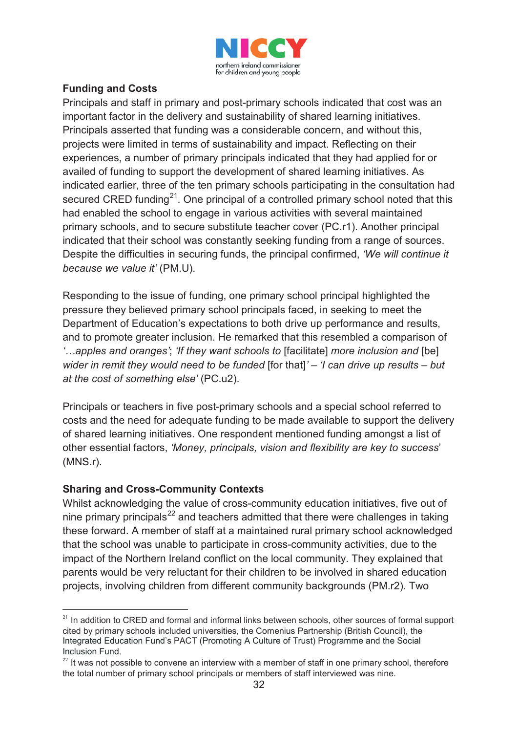![](_page_32_Picture_0.jpeg)

#### **Funding and Costs**

Principals and staff in primary and post-primary schools indicated that cost was an important factor in the delivery and sustainability of shared learning initiatives. Principals asserted that funding was a considerable concern, and without this, projects were limited in terms of sustainability and impact. Reflecting on their experiences, a number of primary principals indicated that they had applied for or availed of funding to support the development of shared learning initiatives. As indicated earlier, three of the ten primary schools participating in the consultation had secured CRED funding<sup>21</sup>. One principal of a controlled primary school noted that this had enabled the school to engage in various activities with several maintained primary schools, and to secure substitute teacher cover (PC.r1). Another principal indicated that their school was constantly seeking funding from a range of sources. Despite the difficulties in securing funds, the principal confirmed, *'We will continue it because we value it'* (PM.U).

Responding to the issue of funding, one primary school principal highlighted the pressure they believed primary school principals faced, in seeking to meet the Department of Education's expectations to both drive up performance and results, and to promote greater inclusion. He remarked that this resembled a comparison of *'…apples and oranges'*; *'If they want schools to* [facilitate] *more inclusion and* [be] *wider in remit they would need to be funded* [for that]*' – 'I can drive up results – but at the cost of something else'* (PC.u2).

Principals or teachers in five post-primary schools and a special school referred to costs and the need for adequate funding to be made available to support the delivery of shared learning initiatives. One respondent mentioned funding amongst a list of other essential factors, *'Money, principals, vision and flexibility are key to success*' (MNS.r).

#### **Sharing and Cross-Community Contexts**

-

Whilst acknowledging the value of cross-community education initiatives, five out of nine primary principals<sup>22</sup> and teachers admitted that there were challenges in taking these forward. A member of staff at a maintained rural primary school acknowledged that the school was unable to participate in cross-community activities, due to the impact of the Northern Ireland conflict on the local community. They explained that parents would be very reluctant for their children to be involved in shared education projects, involving children from different community backgrounds (PM.r2). Two

<sup>&</sup>lt;sup>21</sup> In addition to CRED and formal and informal links between schools, other sources of formal support cited by primary schools included universities, the Comenius Partnership (British Council), the Integrated Education Fund's PACT (Promoting A Culture of Trust) Programme and the Social Inclusion Fund.

 $22$  It was not possible to convene an interview with a member of staff in one primary school, therefore the total number of primary school principals or members of staff interviewed was nine.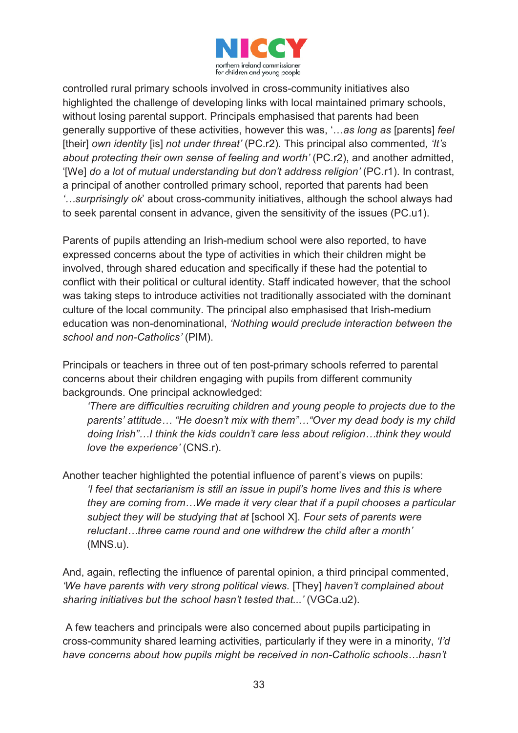![](_page_33_Picture_0.jpeg)

controlled rural primary schools involved in cross-community initiatives also highlighted the challenge of developing links with local maintained primary schools, without losing parental support. Principals emphasised that parents had been generally supportive of these activities, however this was, '…*as long as* [parents] *feel*  [their] *own identity* [is] *not under threat'* (PC.r2)*.* This principal also commented*, 'It's about protecting their own sense of feeling and worth'* (PC.r2), and another admitted, '[We] *do a lot of mutual understanding but don't address religion'* (PC.r1). In contrast, a principal of another controlled primary school, reported that parents had been *'…surprisingly ok*' about cross-community initiatives, although the school always had to seek parental consent in advance, given the sensitivity of the issues (PC.u1).

Parents of pupils attending an Irish-medium school were also reported, to have expressed concerns about the type of activities in which their children might be involved, through shared education and specifically if these had the potential to conflict with their political or cultural identity. Staff indicated however, that the school was taking steps to introduce activities not traditionally associated with the dominant culture of the local community. The principal also emphasised that Irish-medium education was non-denominational, *'Nothing would preclude interaction between the school and non-Catholics'* (PIM).

Principals or teachers in three out of ten post-primary schools referred to parental concerns about their children engaging with pupils from different community backgrounds. One principal acknowledged:

*'There are difficulties recruiting children and young people to projects due to the parents' attitude… "He doesn't mix with them"…"Over my dead body is my child doing Irish"…I think the kids couldn't care less about religion…think they would love the experience'* (CNS.r).

Another teacher highlighted the potential influence of parent's views on pupils: *'I feel that sectarianism is still an issue in pupil's home lives and this is where they are coming from…We made it very clear that if a pupil chooses a particular subject they will be studying that at* [school X]. *Four sets of parents were reluctant…three came round and one withdrew the child after a month'*  (MNS.u).

And, again, reflecting the influence of parental opinion, a third principal commented, *'We have parents with very strong political views.* [They] *haven't complained about sharing initiatives but the school hasn't tested that...'* (VGCa.u2).

A few teachers and principals were also concerned about pupils participating in cross-community shared learning activities, particularly if they were in a minority, *'I'd have concerns about how pupils might be received in non-Catholic schools…hasn't*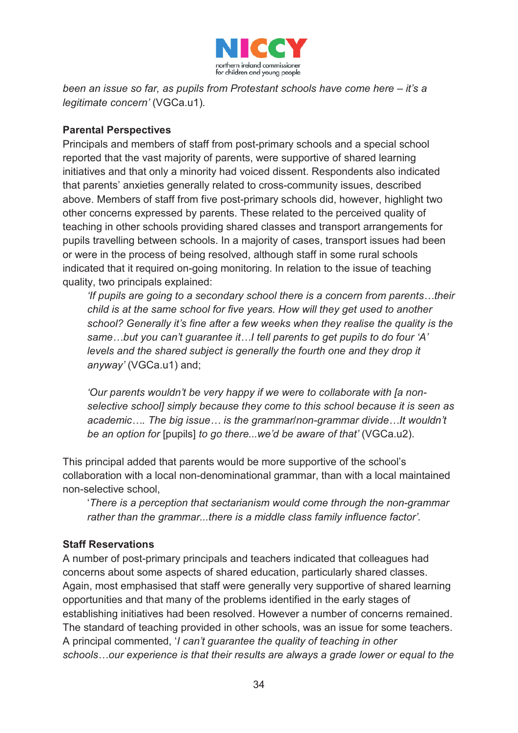![](_page_34_Picture_0.jpeg)

*been an issue so far, as pupils from Protestant schools have come here – it's a legitimate concern'* (VGCa.u1)*.* 

#### **Parental Perspectives**

Principals and members of staff from post-primary schools and a special school reported that the vast majority of parents, were supportive of shared learning initiatives and that only a minority had voiced dissent. Respondents also indicated that parents' anxieties generally related to cross-community issues, described above. Members of staff from five post-primary schools did, however, highlight two other concerns expressed by parents. These related to the perceived quality of teaching in other schools providing shared classes and transport arrangements for pupils travelling between schools. In a majority of cases, transport issues had been or were in the process of being resolved, although staff in some rural schools indicated that it required on-going monitoring. In relation to the issue of teaching quality, two principals explained:

*'If pupils are going to a secondary school there is a concern from parents...their child is at the same school for five years. How will they get used to another school? Generally it's fine after a few weeks when they realise the quality is the same…but you can't guarantee it…I tell parents to get pupils to do four 'A' levels and the shared subject is generally the fourth one and they drop it anyway'* (VGCa.u1) and;

*'Our parents wouldn't be very happy if we were to collaborate with [a nonselective school] simply because they come to this school because it is seen as academic…. The big issue… is the grammar/non-grammar divide…It wouldn't be an option for* [pupils] *to go there...we'd be aware of that'* (VGCa.u2).

This principal added that parents would be more supportive of the school's collaboration with a local non-denominational grammar, than with a local maintained non-selective school,

'*There is a perception that sectarianism would come through the non-grammar rather than the grammar...there is a middle class family influence factor'.*

#### **Staff Reservations**

A number of post-primary principals and teachers indicated that colleagues had concerns about some aspects of shared education, particularly shared classes. Again, most emphasised that staff were generally very supportive of shared learning opportunities and that many of the problems identified in the early stages of establishing initiatives had been resolved. However a number of concerns remained. The standard of teaching provided in other schools, was an issue for some teachers. A principal commented, '*I can't guarantee the quality of teaching in other schools…our experience is that their results are always a grade lower or equal to the*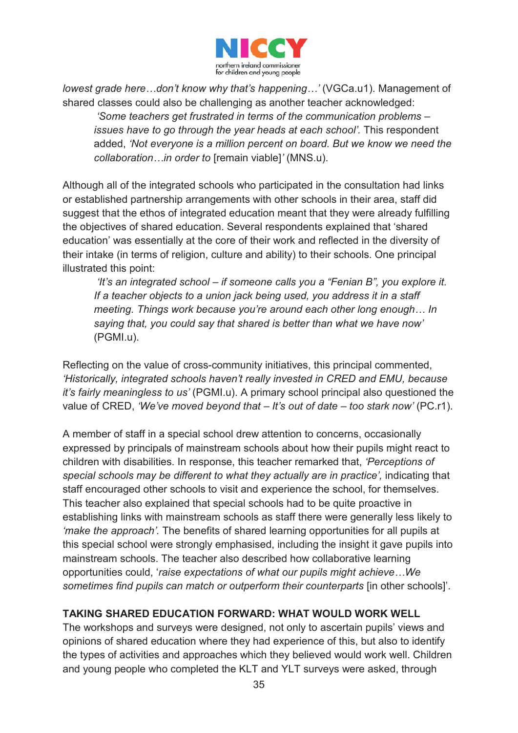![](_page_35_Picture_0.jpeg)

*lowest grade here…don't know why that's happening…'* (VGCa.u1). Management of shared classes could also be challenging as another teacher acknowledged:

*'Some teachers get frustrated in terms of the communication problems – issues have to go through the year heads at each school'*. This respondent added, *'Not everyone is a million percent on board. But we know we need the collaboration…in order to* [remain viable]*'* (MNS.u).

Although all of the integrated schools who participated in the consultation had links or established partnership arrangements with other schools in their area, staff did suggest that the ethos of integrated education meant that they were already fulfilling the objectives of shared education. Several respondents explained that 'shared education' was essentially at the core of their work and reflected in the diversity of their intake (in terms of religion, culture and ability) to their schools. One principal illustrated this point:

*'It's an integrated school – if someone calls you a "Fenian B", you explore it. If a teacher objects to a union jack being used, you address it in a staff meeting. Things work because you're around each other long enough… In saying that, you could say that shared is better than what we have now'* (PGMI.u).

Reflecting on the value of cross-community initiatives, this principal commented, *'Historically, integrated schools haven't really invested in CRED and EMU, because it's fairly meaningless to us'* (PGMI.u). A primary school principal also questioned the value of CRED, *'We've moved beyond that – It's out of date – too stark now'* (PC.r1).

A member of staff in a special school drew attention to concerns, occasionally expressed by principals of mainstream schools about how their pupils might react to children with disabilities. In response, this teacher remarked that, *'Perceptions of special schools may be different to what they actually are in practice',* indicating that staff encouraged other schools to visit and experience the school, for themselves. This teacher also explained that special schools had to be quite proactive in establishing links with mainstream schools as staff there were generally less likely to *'make the approach'.* The benefits of shared learning opportunities for all pupils at this special school were strongly emphasised, including the insight it gave pupils into mainstream schools. The teacher also described how collaborative learning opportunities could, '*raise expectations of what our pupils might achieve…We sometimes find pupils can match or outperform their counterparts* [in other schools]'.

#### **TAKING SHARED EDUCATION FORWARD: WHAT WOULD WORK WELL**

The workshops and surveys were designed, not only to ascertain pupils' views and opinions of shared education where they had experience of this, but also to identify the types of activities and approaches which they believed would work well. Children and young people who completed the KLT and YLT surveys were asked, through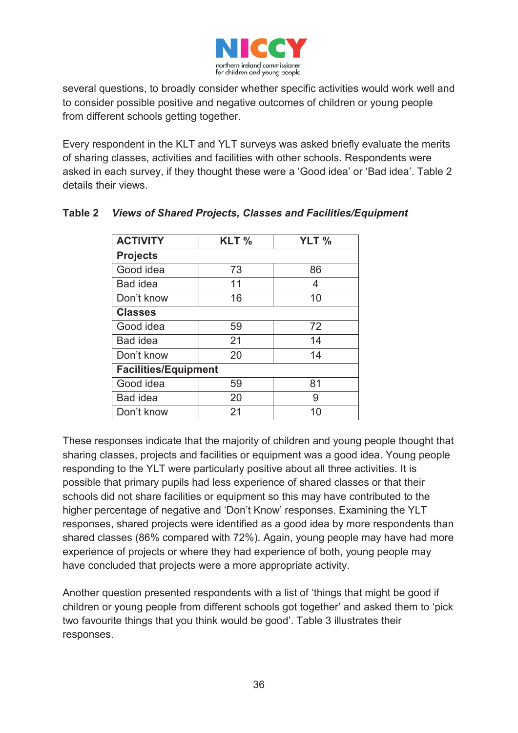

several questions, to broadly consider whether specific activities would work well and to consider possible positive and negative outcomes of children or young people from different schools getting together.

Every respondent in the KLT and YLT surveys was asked briefly evaluate the merits of sharing classes, activities and facilities with other schools. Respondents were asked in each survey, if they thought these were a 'Good idea' or 'Bad idea'. Table 2 details their views.

| <b>ACTIVITY</b>             | KLT% | YLT % |
|-----------------------------|------|-------|
| <b>Projects</b>             |      |       |
| Good idea                   | 73   | 86    |
| <b>Bad idea</b>             | 11   | 4     |
| Don't know                  | 16   | 10    |
| <b>Classes</b>              |      |       |
| Good idea                   | 59   | 72    |
| <b>Bad idea</b>             | 21   | 14    |
| Don't know                  | 20   | 14    |
| <b>Facilities/Equipment</b> |      |       |
| Good idea                   | 59   | 81    |
| <b>Bad idea</b>             | 20   | 9     |
| Don't know                  | 21   | 10    |

### **Table 2** *Views of Shared Projects, Classes and Facilities/Equipment*

These responses indicate that the majority of children and young people thought that sharing classes, projects and facilities or equipment was a good idea. Young people responding to the YLT were particularly positive about all three activities. It is possible that primary pupils had less experience of shared classes or that their schools did not share facilities or equipment so this may have contributed to the higher percentage of negative and 'Don't Know' responses. Examining the YLT responses, shared projects were identified as a good idea by more respondents than shared classes (86% compared with 72%). Again, young people may have had more experience of projects or where they had experience of both, young people may have concluded that projects were a more appropriate activity.

Another question presented respondents with a list of 'things that might be good if children or young people from different schools got together' and asked them to 'pick two favourite things that you think would be good'. Table 3 illustrates their responses.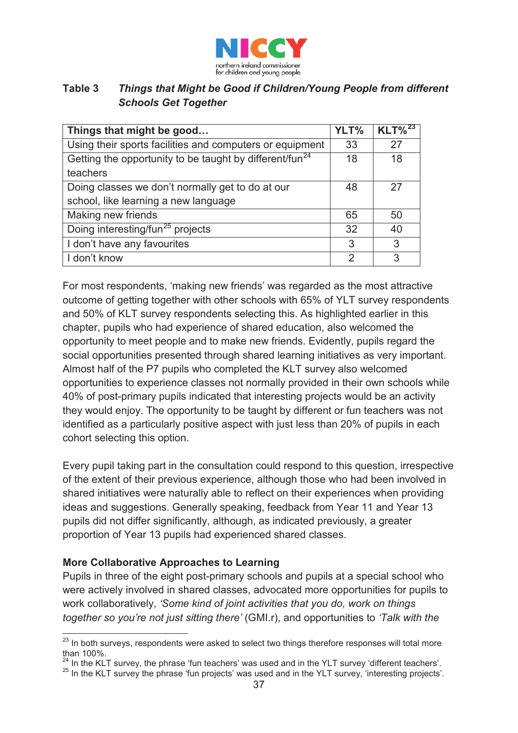

#### **Table 3** *Things that Might be Good if Children/Young People from different Schools Get Together*

| Things that might be good                                           |               | $KLT\%^{23}$ |
|---------------------------------------------------------------------|---------------|--------------|
| Using their sports facilities and computers or equipment            |               | 27           |
| Getting the opportunity to be taught by different/fun <sup>24</sup> |               | 18           |
| teachers                                                            |               |              |
| Doing classes we don't normally get to do at our                    |               | 27           |
| school, like learning a new language                                |               |              |
| Making new friends                                                  | 65            | 50           |
| Doing interesting/fun <sup>25</sup> projects                        |               | 40           |
| I don't have any favourites                                         | 3             | 3            |
| I don't know                                                        | $\mathcal{P}$ | 3            |

For most respondents, 'making new friends' was regarded as the most attractive outcome of getting together with other schools with 65% of YLT survey respondents and 50% of KLT survey respondents selecting this. As highlighted earlier in this chapter, pupils who had experience of shared education, also welcomed the opportunity to meet people and to make new friends. Evidently, pupils regard the social opportunities presented through shared learning initiatives as very important. Almost half of the P7 pupils who completed the KLT survey also welcomed opportunities to experience classes not normally provided in their own schools while 40% of post-primary pupils indicated that interesting projects would be an activity they would enjoy. The opportunity to be taught by different or fun teachers was not identified as a particularly positive aspect with just less than 20% of pupils in each cohort selecting this option.

Every pupil taking part in the consultation could respond to this question, irrespective of the extent of their previous experience, although those who had been involved in shared initiatives were naturally able to reflect on their experiences when providing ideas and suggestions. Generally speaking, feedback from Year 11 and Year 13 pupils did not differ significantly, although, as indicated previously, a greater proportion of Year 13 pupils had experienced shared classes.

#### **More Collaborative Approaches to Learning**

Pupils in three of the eight post-primary schools and pupils at a special school who were actively involved in shared classes, advocated more opportunities for pupils to work collaboratively, *'Some kind of joint activities that you do, work on things together so you're not just sitting there'* (GMI.r), and opportunities to *'Talk with the* 

<sup>&</sup>lt;sup>23</sup> In both surveys, respondents were asked to select two things therefore responses will total more than 100%.<br><sup>24</sup> In the KLT survey, the phrase 'fun teachers' was used and in the YLT survey 'different teachers'.

 $25$  In the KLT survey the phrase 'fun projects' was used and in the YLT survey, 'interesting projects'.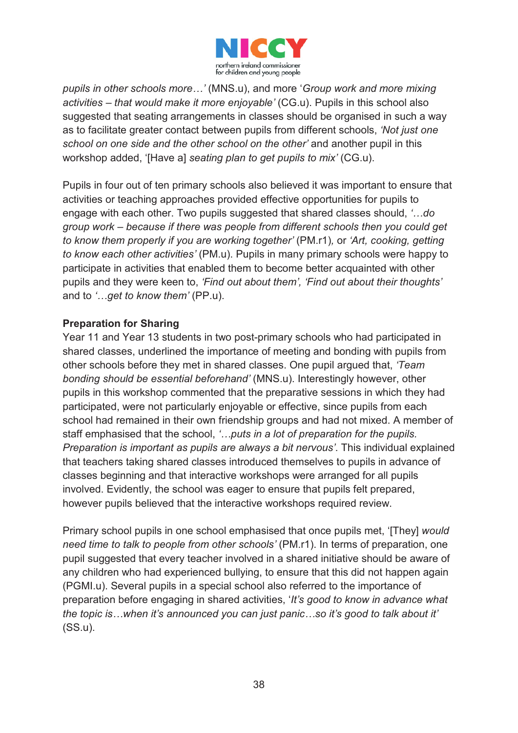

*pupils in other schools more…'* (MNS.u), and more '*Group work and more mixing activities – that would make it more enjoyable'* (CG.u). Pupils in this school also suggested that seating arrangements in classes should be organised in such a way as to facilitate greater contact between pupils from different schools, *'Not just one school on one side and the other school on the other'* and another pupil in this workshop added, '[Have a] *seating plan to get pupils to mix'* (CG.u).

Pupils in four out of ten primary schools also believed it was important to ensure that activities or teaching approaches provided effective opportunities for pupils to engage with each other. Two pupils suggested that shared classes should, *'…do group work – because if there was people from different schools then you could get to know them properly if you are working together'* (PM.r1)*,* or *'Art, cooking, getting to know each other activities'* (PM.u). Pupils in many primary schools were happy to participate in activities that enabled them to become better acquainted with other pupils and they were keen to, *'Find out about them', 'Find out about their thoughts'*  and to *'…get to know them'* (PP.u).

#### **Preparation for Sharing**

Year 11 and Year 13 students in two post-primary schools who had participated in shared classes, underlined the importance of meeting and bonding with pupils from other schools before they met in shared classes. One pupil argued that, *'Team bonding should be essential beforehand'* (MNS.u). Interestingly however, other pupils in this workshop commented that the preparative sessions in which they had participated, were not particularly enjoyable or effective, since pupils from each school had remained in their own friendship groups and had not mixed. A member of staff emphasised that the school, *'…puts in a lot of preparation for the pupils. Preparation is important as pupils are always a bit nervous'*. This individual explained that teachers taking shared classes introduced themselves to pupils in advance of classes beginning and that interactive workshops were arranged for all pupils involved. Evidently, the school was eager to ensure that pupils felt prepared, however pupils believed that the interactive workshops required review.

Primary school pupils in one school emphasised that once pupils met, '[They] *would need time to talk to people from other schools'* (PM.r1). In terms of preparation, one pupil suggested that every teacher involved in a shared initiative should be aware of any children who had experienced bullying, to ensure that this did not happen again (PGMI.u). Several pupils in a special school also referred to the importance of preparation before engaging in shared activities, '*It's good to know in advance what the topic is…when it's announced you can just panic…so it's good to talk about it'* (SS.u).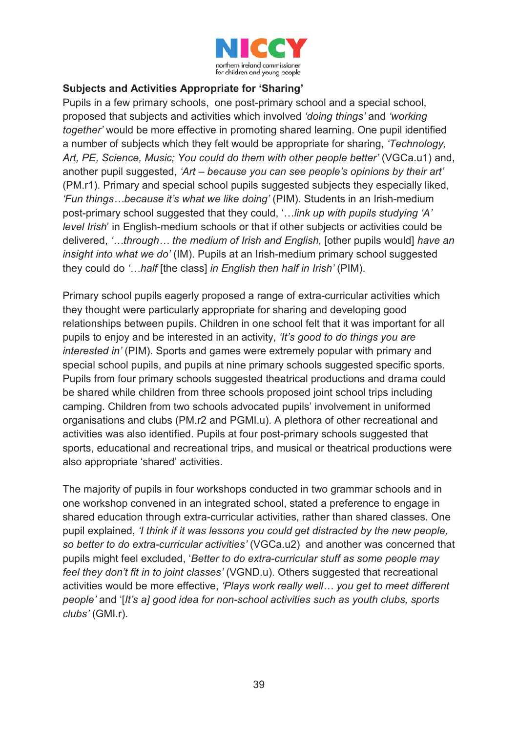

#### **Subjects and Activities Appropriate for 'Sharing'**

Pupils in a few primary schools, one post-primary school and a special school, proposed that subjects and activities which involved *'doing things'* and *'working together'* would be more effective in promoting shared learning. One pupil identified a number of subjects which they felt would be appropriate for sharing, *'Technology, Art, PE, Science, Music; You could do them with other people better'* (VGCa.u1) and, another pupil suggested, *'Art – because you can see people's opinions by their art'*  (PM.r1). Primary and special school pupils suggested subjects they especially liked, *'Fun things…because it's what we like doing'* (PIM). Students in an Irish-medium post-primary school suggested that they could, '…*link up with pupils studying 'A' level Irish*' in English-medium schools or that if other subjects or activities could be delivered, *'…through… the medium of Irish and English,* [other pupils would] *have an insight into what we do'* (IM). Pupils at an Irish-medium primary school suggested they could do *'…half* [the class] *in English then half in Irish'* (PIM).

Primary school pupils eagerly proposed a range of extra-curricular activities which they thought were particularly appropriate for sharing and developing good relationships between pupils. Children in one school felt that it was important for all pupils to enjoy and be interested in an activity, *'It's good to do things you are interested in'* (PIM). Sports and games were extremely popular with primary and special school pupils, and pupils at nine primary schools suggested specific sports. Pupils from four primary schools suggested theatrical productions and drama could be shared while children from three schools proposed joint school trips including camping. Children from two schools advocated pupils' involvement in uniformed organisations and clubs (PM.r2 and PGMI.u). A plethora of other recreational and activities was also identified. Pupils at four post-primary schools suggested that sports, educational and recreational trips, and musical or theatrical productions were also appropriate 'shared' activities.

The majority of pupils in four workshops conducted in two grammar schools and in one workshop convened in an integrated school, stated a preference to engage in shared education through extra-curricular activities, rather than shared classes. One pupil explained, *'I think if it was lessons you could get distracted by the new people, so better to do extra-curricular activities'* (VGCa.u2) and another was concerned that pupils might feel excluded, '*Better to do extra-curricular stuff as some people may feel they don't fit in to joint classes'* (VGND.u). Others suggested that recreational activities would be more effective, *'Plays work really well… you get to meet different people'* and '[*It's a] good idea for non-school activities such as youth clubs, sports clubs'* (GMI.r).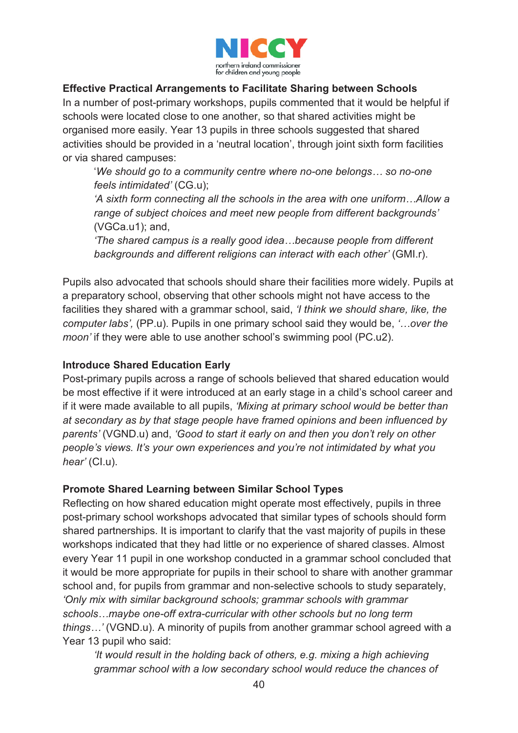

#### **Effective Practical Arrangements to Facilitate Sharing between Schools**

In a number of post-primary workshops, pupils commented that it would be helpful if schools were located close to one another, so that shared activities might be organised more easily. Year 13 pupils in three schools suggested that shared activities should be provided in a 'neutral location', through joint sixth form facilities or via shared campuses:

'*We should go to a community centre where no-one belongs… so no-one feels intimidated'* (CG.u);

*'A sixth form connecting all the schools in the area with one uniform…Allow a range of subject choices and meet new people from different backgrounds'*  (VGCa.u1); and,

*'The shared campus is a really good idea…because people from different backgrounds and different religions can interact with each other'* (GMI.r).

Pupils also advocated that schools should share their facilities more widely. Pupils at a preparatory school, observing that other schools might not have access to the facilities they shared with a grammar school, said, *'I think we should share, like, the computer labs',* (PP.u). Pupils in one primary school said they would be, *'…over the moon'* if they were able to use another school's swimming pool (PC.u2).

#### **Introduce Shared Education Early**

Post-primary pupils across a range of schools believed that shared education would be most effective if it were introduced at an early stage in a child's school career and if it were made available to all pupils, *'Mixing at primary school would be better than at secondary as by that stage people have framed opinions and been influenced by parents'* (VGND.u) and, *'Good to start it early on and then you don't rely on other people's views. It's your own experiences and you're not intimidated by what you hear'* (CI.u).

#### **Promote Shared Learning between Similar School Types**

Reflecting on how shared education might operate most effectively, pupils in three post-primary school workshops advocated that similar types of schools should form shared partnerships. It is important to clarify that the vast majority of pupils in these workshops indicated that they had little or no experience of shared classes. Almost every Year 11 pupil in one workshop conducted in a grammar school concluded that it would be more appropriate for pupils in their school to share with another grammar school and, for pupils from grammar and non-selective schools to study separately, *'Only mix with similar background schools; grammar schools with grammar schools…maybe one-off extra-curricular with other schools but no long term things…'* (VGND.u). A minority of pupils from another grammar school agreed with a Year 13 pupil who said:

*'It would result in the holding back of others, e.g. mixing a high achieving grammar school with a low secondary school would reduce the chances of*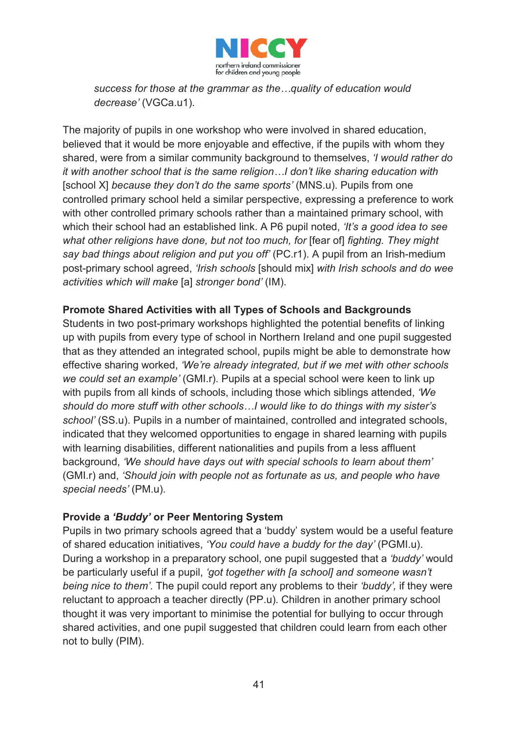

*success for those at the grammar as the…quality of education would decrease'* (VGCa.u1).

The majority of pupils in one workshop who were involved in shared education, believed that it would be more enjoyable and effective, if the pupils with whom they shared, were from a similar community background to themselves, *'I would rather do it with another school that is the same religion…I don't like sharing education with*  [school X] *because they don't do the same sports'* (MNS.u). Pupils from one controlled primary school held a similar perspective, expressing a preference to work with other controlled primary schools rather than a maintained primary school, with which their school had an established link. A P6 pupil noted, *'It's a good idea to see what other religions have done, but not too much, for* [fear of] *fighting. They might say bad things about religion and put you off'* (PC.r1). A pupil from an Irish-medium post-primary school agreed, *'Irish schools* [should mix] *with Irish schools and do wee activities which will make* [a] *stronger bond'* (IM).

#### **Promote Shared Activities with all Types of Schools and Backgrounds**

Students in two post-primary workshops highlighted the potential benefits of linking up with pupils from every type of school in Northern Ireland and one pupil suggested that as they attended an integrated school, pupils might be able to demonstrate how effective sharing worked, *'We're already integrated, but if we met with other schools we could set an example'* (GMI.r). Pupils at a special school were keen to link up with pupils from all kinds of schools, including those which siblings attended, *'We should do more stuff with other schools…I would like to do things with my sister's school'* (SS.u). Pupils in a number of maintained, controlled and integrated schools, indicated that they welcomed opportunities to engage in shared learning with pupils with learning disabilities, different nationalities and pupils from a less affluent background, *'We should have days out with special schools to learn about them'*  (GMI.r) and, *'Should join with people not as fortunate as us, and people who have special needs'* (PM.u).

#### **Provide a** *'Buddy'* **or Peer Mentoring System**

Pupils in two primary schools agreed that a 'buddy' system would be a useful feature of shared education initiatives, *'You could have a buddy for the day'* (PGMI.u). During a workshop in a preparatory school, one pupil suggested that a *'buddy'* would be particularly useful if a pupil, *'got together with [a school] and someone wasn't being nice to them'*. The pupil could report any problems to their *'buddy',* if they were reluctant to approach a teacher directly (PP.u). Children in another primary school thought it was very important to minimise the potential for bullying to occur through shared activities, and one pupil suggested that children could learn from each other not to bully (PIM).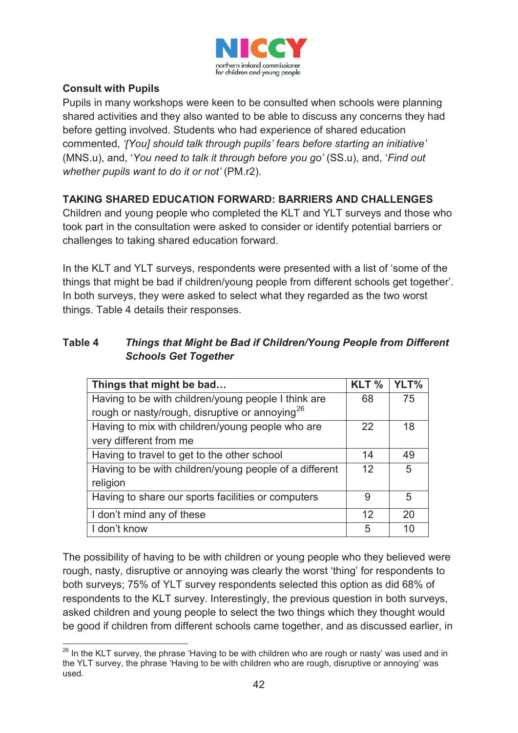

#### **Consult with Pupils**

Pupils in many workshops were keen to be consulted when schools were planning shared activities and they also wanted to be able to discuss any concerns they had before getting involved. Students who had experience of shared education commented, *'[You] should talk through pupils' fears before starting an initiative'* (MNS.u), and, '*You need to talk it through before you go'* (SS.u), and, '*Find out whether pupils want to do it or not'* (PM.r2).

# **TAKING SHARED EDUCATION FORWARD: BARRIERS AND CHALLENGES**

Children and young people who completed the KLT and YLT surveys and those who took part in the consultation were asked to consider or identify potential barriers or challenges to taking shared education forward.

In the KLT and YLT surveys, respondents were presented with a list of 'some of the things that might be bad if children/young people from different schools get together'. In both surveys, they were asked to select what they regarded as the two worst things. Table 4 details their responses.

## **Table 4** *Things that Might be Bad if Children/Young People from Different Schools Get Together*

| Things that might be bad                                   |   | YLT% |
|------------------------------------------------------------|---|------|
| Having to be with children/young people I think are        |   | 75   |
| rough or nasty/rough, disruptive or annoying <sup>26</sup> |   |      |
| Having to mix with children/young people who are           |   | 18   |
| very different from me                                     |   |      |
| Having to travel to get to the other school                |   | 49   |
| Having to be with children/young people of a different     |   | 5    |
| religion                                                   |   |      |
| Having to share our sports facilities or computers         |   | 5    |
| I don't mind any of these                                  |   | 20   |
| I don't know                                               | 5 | 10   |

The possibility of having to be with children or young people who they believed were rough, nasty, disruptive or annoying was clearly the worst 'thing' for respondents to both surveys; 75% of YLT survey respondents selected this option as did 68% of respondents to the KLT survey. Interestingly, the previous question in both surveys, asked children and young people to select the two things which they thought would be good if children from different schools came together, and as discussed earlier, in

<sup>&</sup>lt;u>.</u>  $26$  In the KLT survey, the phrase 'Having to be with children who are rough or nasty' was used and in the YLT survey, the phrase 'Having to be with children who are rough, disruptive or annoying' was used.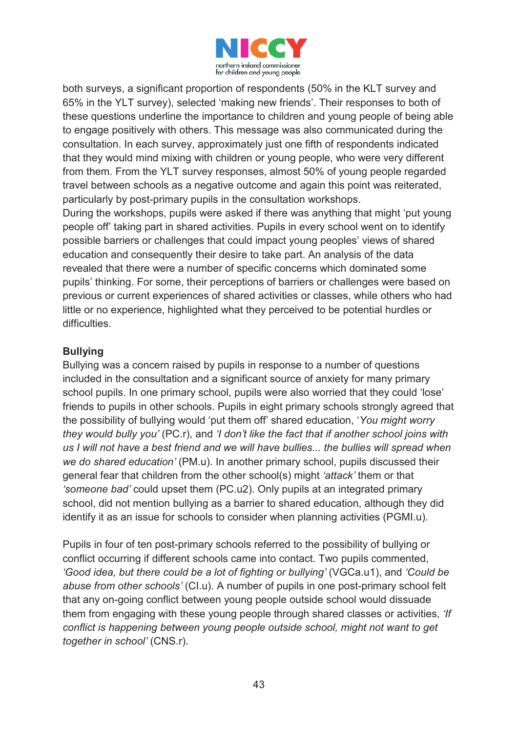

both surveys, a significant proportion of respondents (50% in the KLT survey and 65% in the YLT survey), selected 'making new friends'. Their responses to both of these questions underline the importance to children and young people of being able to engage positively with others. This message was also communicated during the consultation. In each survey, approximately just one fifth of respondents indicated that they would mind mixing with children or young people, who were very different from them. From the YLT survey responses, almost 50% of young people regarded travel between schools as a negative outcome and again this point was reiterated, particularly by post-primary pupils in the consultation workshops.

During the workshops, pupils were asked if there was anything that might 'put young people off' taking part in shared activities. Pupils in every school went on to identify possible barriers or challenges that could impact young peoples' views of shared education and consequently their desire to take part. An analysis of the data revealed that there were a number of specific concerns which dominated some pupils' thinking. For some, their perceptions of barriers or challenges were based on previous or current experiences of shared activities or classes, while others who had little or no experience, highlighted what they perceived to be potential hurdles or difficulties.

#### **Bullying**

Bullying was a concern raised by pupils in response to a number of questions included in the consultation and a significant source of anxiety for many primary school pupils. In one primary school, pupils were also worried that they could 'lose' friends to pupils in other schools. Pupils in eight primary schools strongly agreed that the possibility of bullying would 'put them off' shared education, '*You might worry they would bully you'* (PC.r), and *'I don't like the fact that if another school joins with us I will not have a best friend and we will have bullies... the bullies will spread when we do shared education'* (PM.u). In another primary school, pupils discussed their general fear that children from the other school(s) might *'attack'* them or that *'someone bad'* could upset them (PC.u2). Only pupils at an integrated primary school, did not mention bullying as a barrier to shared education, although they did identify it as an issue for schools to consider when planning activities (PGMI.u).

Pupils in four of ten post-primary schools referred to the possibility of bullying or conflict occurring if different schools came into contact. Two pupils commented, *'Good idea, but there could be a lot of fighting or bullying'* (VGCa.u1), and *'Could be abuse from other schools'* (CI.u)*.* A number of pupils in one post-primary school felt that any on-going conflict between young people outside school would dissuade them from engaging with these young people through shared classes or activities, *'If conflict is happening between young people outside school, might not want to get together in school'* (CNS.r).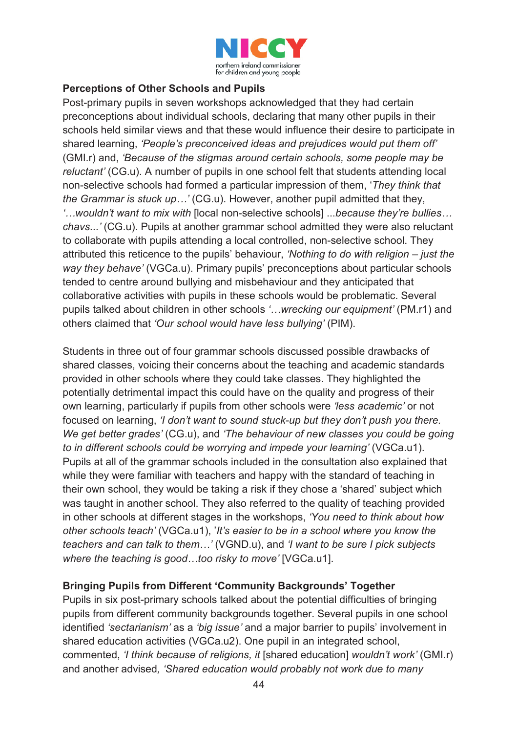

#### **Perceptions of Other Schools and Pupils**

Post-primary pupils in seven workshops acknowledged that they had certain preconceptions about individual schools, declaring that many other pupils in their schools held similar views and that these would influence their desire to participate in shared learning, *'People's preconceived ideas and prejudices would put them off'*  (GMI.r) and, *'Because of the stigmas around certain schools, some people may be reluctant'* (CG.u). A number of pupils in one school felt that students attending local non-selective schools had formed a particular impression of them, '*They think that the Grammar is stuck up…'* (CG.u). However, another pupil admitted that they, *'…wouldn't want to mix with* [local non-selective schools] ...*because they're bullies… chavs...'* (CG.u). Pupils at another grammar school admitted they were also reluctant to collaborate with pupils attending a local controlled, non-selective school. They attributed this reticence to the pupils' behaviour, *'Nothing to do with religion – just the way they behave'* (VGCa.u). Primary pupils' preconceptions about particular schools tended to centre around bullying and misbehaviour and they anticipated that collaborative activities with pupils in these schools would be problematic. Several pupils talked about children in other schools *'…wrecking our equipment'* (PM.r1) and others claimed that *'Our school would have less bullying'* (PIM).

Students in three out of four grammar schools discussed possible drawbacks of shared classes, voicing their concerns about the teaching and academic standards provided in other schools where they could take classes. They highlighted the potentially detrimental impact this could have on the quality and progress of their own learning, particularly if pupils from other schools were *'less academic'* or not focused on learning, *'I don't want to sound stuck-up but they don't push you there. We get better grades'* (CG.u), and *'The behaviour of new classes you could be going to in different schools could be worrying and impede your learning'* (VGCa.u1). Pupils at all of the grammar schools included in the consultation also explained that while they were familiar with teachers and happy with the standard of teaching in their own school, they would be taking a risk if they chose a 'shared' subject which was taught in another school. They also referred to the quality of teaching provided in other schools at different stages in the workshops, *'You need to think about how other schools teach'* (VGCa.u1), '*It's easier to be in a school where you know the teachers and can talk to them…'* (VGND.u), and *'I want to be sure I pick subjects where the teaching is good…too risky to move'* [VGCa.u1].

#### **Bringing Pupils from Different 'Community Backgrounds' Together**

Pupils in six post-primary schools talked about the potential difficulties of bringing pupils from different community backgrounds together. Several pupils in one school identified *'sectarianism'* as a *'big issue'* and a major barrier to pupils' involvement in shared education activities (VGCa.u2). One pupil in an integrated school, commented, *'I think because of religions, it* [shared education] *wouldn't work'* (GMI.r) and another advised*, 'Shared education would probably not work due to many*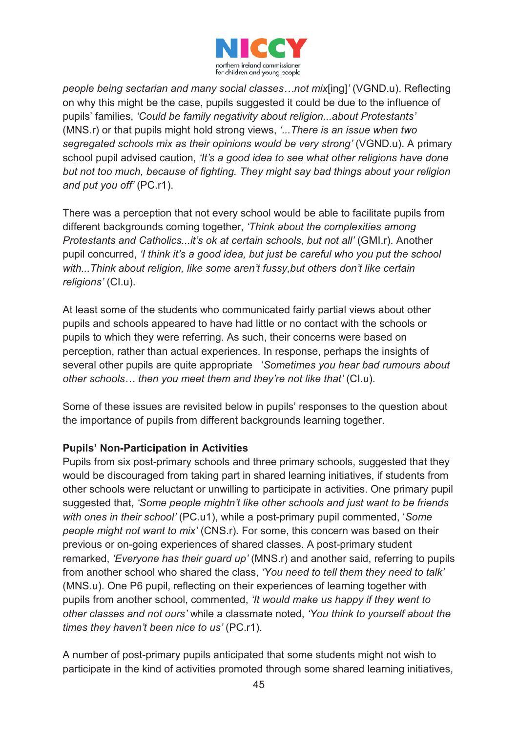

*people being sectarian and many social classes…not mix*[ing]*'* (VGND.u). Reflecting on why this might be the case, pupils suggested it could be due to the influence of pupils' families, *'Could be family negativity about religion...about Protestants'*  (MNS.r) or that pupils might hold strong views, *'...There is an issue when two segregated schools mix as their opinions would be very strong'* (VGND.u). A primary school pupil advised caution, *'It's a good idea to see what other religions have done but not too much, because of fighting. They might say bad things about your religion and put you off'* (PC.r1).

There was a perception that not every school would be able to facilitate pupils from different backgrounds coming together, *'Think about the complexities among Protestants and Catholics...it's ok at certain schools, but not all' (GMI.r). Another* pupil concurred, *'I think it's a good idea, but just be careful who you put the school with...Think about religion, like some aren't fussy,but others don't like certain religions'* (CI.u).

At least some of the students who communicated fairly partial views about other pupils and schools appeared to have had little or no contact with the schools or pupils to which they were referring. As such, their concerns were based on perception, rather than actual experiences. In response, perhaps the insights of several other pupils are quite appropriate '*Sometimes you hear bad rumours about other schools… then you meet them and they're not like that'* (CI.u).

Some of these issues are revisited below in pupils' responses to the question about the importance of pupils from different backgrounds learning together.

#### **Pupils' Non-Participation in Activities**

Pupils from six post-primary schools and three primary schools, suggested that they would be discouraged from taking part in shared learning initiatives, if students from other schools were reluctant or unwilling to participate in activities. One primary pupil suggested that, *'Some people mightn't like other schools and just want to be friends with ones in their school'* (PC.u1), while a post-primary pupil commented, '*Some people might not want to mix'* (CNS.r)*.* For some, this concern was based on their previous or on-going experiences of shared classes. A post-primary student remarked, *'Everyone has their guard up'* (MNS.r) and another said, referring to pupils from another school who shared the class, *'You need to tell them they need to talk'*  (MNS.u). One P6 pupil, reflecting on their experiences of learning together with pupils from another school, commented, *'It would make us happy if they went to other classes and not ours'* while a classmate noted, *'You think to yourself about the times they haven't been nice to us'* (PC.r1).

A number of post-primary pupils anticipated that some students might not wish to participate in the kind of activities promoted through some shared learning initiatives,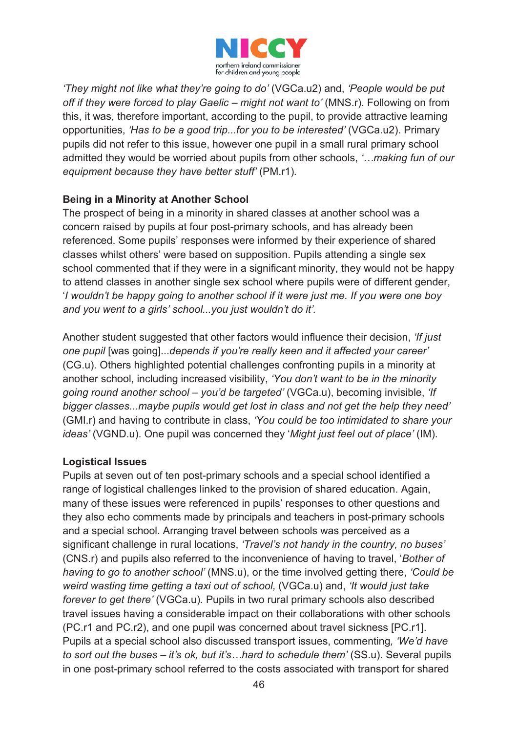

*'They might not like what they're going to do'* (VGCa.u2) and, *'People would be put off if they were forced to play Gaelic – might not want to' (MNS.r). Following on from* this, it was, therefore important, according to the pupil, to provide attractive learning opportunities, *'Has to be a good trip...for you to be interested'* (VGCa.u2). Primary pupils did not refer to this issue, however one pupil in a small rural primary school admitted they would be worried about pupils from other schools, *'…making fun of our equipment because they have better stuff'* (PM.r1)*.* 

#### **Being in a Minority at Another School**

The prospect of being in a minority in shared classes at another school was a concern raised by pupils at four post-primary schools, and has already been referenced. Some pupils' responses were informed by their experience of shared classes whilst others' were based on supposition. Pupils attending a single sex school commented that if they were in a significant minority, they would not be happy to attend classes in another single sex school where pupils were of different gender, '*I wouldn't be happy going to another school if it were just me. If you were one boy and you went to a girls' school...you just wouldn't do it'.*

Another student suggested that other factors would influence their decision, *'If just one pupil* [was going]...*depends if you're really keen and it affected your career'* (CG.u). Others highlighted potential challenges confronting pupils in a minority at another school, including increased visibility, *'You don't want to be in the minority going round another school – you'd be targeted'* (VGCa.u), becoming invisible, *'If bigger classes...maybe pupils would get lost in class and not get the help they need'* (GMI.r) and having to contribute in class, *'You could be too intimidated to share your ideas'* (VGND.u). One pupil was concerned they '*Might just feel out of place'* (IM).

#### **Logistical Issues**

Pupils at seven out of ten post-primary schools and a special school identified a range of logistical challenges linked to the provision of shared education. Again, many of these issues were referenced in pupils' responses to other questions and they also echo comments made by principals and teachers in post-primary schools and a special school. Arranging travel between schools was perceived as a significant challenge in rural locations, *'Travel's not handy in the country, no buses'*  (CNS.r) and pupils also referred to the inconvenience of having to travel, '*Bother of having to go to another school'* (MNS.u), or the time involved getting there, *'Could be weird wasting time getting a taxi out of school,* (VGCa.u) and, *'It would just take forever to get there'* (VGCa.u). Pupils in two rural primary schools also described travel issues having a considerable impact on their collaborations with other schools (PC.r1 and PC.r2), and one pupil was concerned about travel sickness [PC.r1]. Pupils at a special school also discussed transport issues, commenting*, 'We'd have to sort out the buses – it's ok, but it's…hard to schedule them'* (SS.u). Several pupils in one post-primary school referred to the costs associated with transport for shared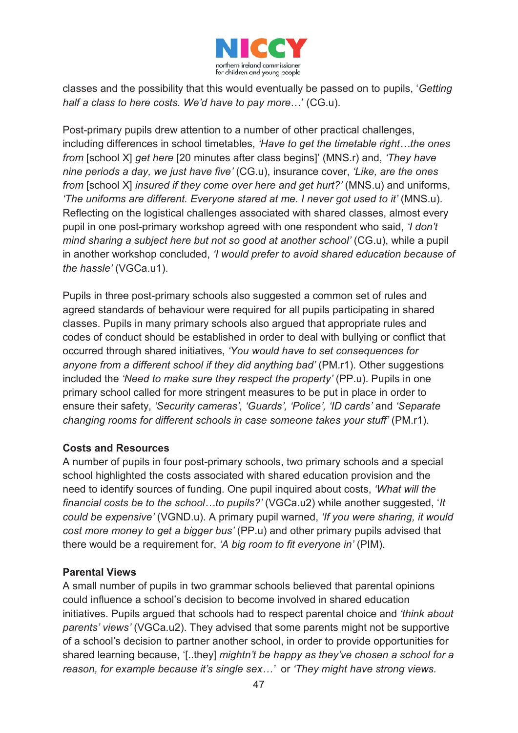

classes and the possibility that this would eventually be passed on to pupils, '*Getting half a class to here costs. We'd have to pay more*…' (CG.u).

Post-primary pupils drew attention to a number of other practical challenges, including differences in school timetables, *'Have to get the timetable right…the ones from* [school X] *get here* [20 minutes after class begins]' (MNS.r) and, *'They have nine periods a day, we just have five'* (CG.u), insurance cover, *'Like, are the ones from* [school X] *insured if they come over here and get hurt?'* (MNS.u) and uniforms, *'The uniforms are different. Everyone stared at me. I never got used to it'* (MNS.u). Reflecting on the logistical challenges associated with shared classes, almost every pupil in one post-primary workshop agreed with one respondent who said, *'I don't mind sharing a subject here but not so good at another school'* (CG.u), while a pupil in another workshop concluded, *'I would prefer to avoid shared education because of the hassle'* (VGCa.u1).

Pupils in three post-primary schools also suggested a common set of rules and agreed standards of behaviour were required for all pupils participating in shared classes. Pupils in many primary schools also argued that appropriate rules and codes of conduct should be established in order to deal with bullying or conflict that occurred through shared initiatives, *'You would have to set consequences for anyone from a different school if they did anything bad'* (PM.r1). Other suggestions included the *'Need to make sure they respect the property'* (PP.u). Pupils in one primary school called for more stringent measures to be put in place in order to ensure their safety, *'Security cameras', 'Guards', 'Police', 'ID cards'* and *'Separate changing rooms for different schools in case someone takes your stuff'* (PM.r1).

#### **Costs and Resources**

A number of pupils in four post-primary schools, two primary schools and a special school highlighted the costs associated with shared education provision and the need to identify sources of funding. One pupil inquired about costs, *'What will the financial costs be to the school…to pupils?'* (VGCa.u2) while another suggested, '*It could be expensive'* (VGND.u). A primary pupil warned, *'If you were sharing, it would cost more money to get a bigger bus'* (PP.u) and other primary pupils advised that there would be a requirement for, *'A big room to fit everyone in'* (PIM).

#### **Parental Views**

A small number of pupils in two grammar schools believed that parental opinions could influence a school's decision to become involved in shared education initiatives. Pupils argued that schools had to respect parental choice and *'think about parents' views'* (VGCa.u2). They advised that some parents might not be supportive of a school's decision to partner another school, in order to provide opportunities for shared learning because, '[..they] *mightn't be happy as they've chosen a school for a reason, for example because it's single sex…'* or *'They might have strong views.*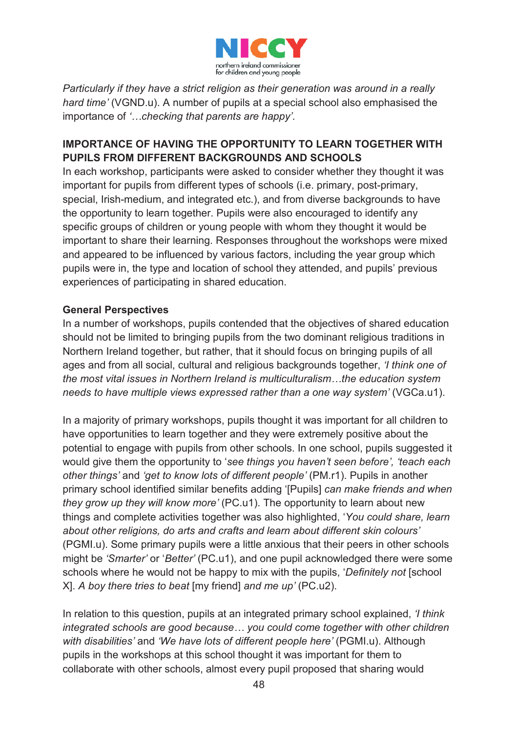

*Particularly if they have a strict religion as their generation was around in a really hard time'* (VGND.u). A number of pupils at a special school also emphasised the importance of *'…checking that parents are happy'*.

#### **IMPORTANCE OF HAVING THE OPPORTUNITY TO LEARN TOGETHER WITH PUPILS FROM DIFFERENT BACKGROUNDS AND SCHOOLS**

In each workshop, participants were asked to consider whether they thought it was important for pupils from different types of schools (i.e. primary, post-primary, special, Irish-medium, and integrated etc.), and from diverse backgrounds to have the opportunity to learn together. Pupils were also encouraged to identify any specific groups of children or young people with whom they thought it would be important to share their learning. Responses throughout the workshops were mixed and appeared to be influenced by various factors, including the year group which pupils were in, the type and location of school they attended, and pupils' previous experiences of participating in shared education.

#### **General Perspectives**

In a number of workshops, pupils contended that the objectives of shared education should not be limited to bringing pupils from the two dominant religious traditions in Northern Ireland together, but rather, that it should focus on bringing pupils of all ages and from all social, cultural and religious backgrounds together, *'I think one of the most vital issues in Northern Ireland is multiculturalism…the education system needs to have multiple views expressed rather than a one way system'* (VGCa.u1).

In a majority of primary workshops, pupils thought it was important for all children to have opportunities to learn together and they were extremely positive about the potential to engage with pupils from other schools. In one school, pupils suggested it would give them the opportunity to '*see things you haven't seen before', 'teach each other things'* and *'get to know lots of different people'* (PM.r1). Pupils in another primary school identified similar benefits adding '[Pupils] *can make friends and when they grow up they will know more'* (PC.u1). The opportunity to learn about new things and complete activities together was also highlighted, '*You could share, learn about other religions, do arts and crafts and learn about different skin colours'* (PGMI.u). Some primary pupils were a little anxious that their peers in other schools might be *'Smarter'* or '*Better'* (PC.u1), and one pupil acknowledged there were some schools where he would not be happy to mix with the pupils, '*Definitely not* [school X]. *A boy there tries to beat* [my friend] *and me up'* (PC.u2).

In relation to this question, pupils at an integrated primary school explained, *'I think integrated schools are good because… you could come together with other children with disabilities'* and *'We have lots of different people here'* (PGMI.u). Although pupils in the workshops at this school thought it was important for them to collaborate with other schools, almost every pupil proposed that sharing would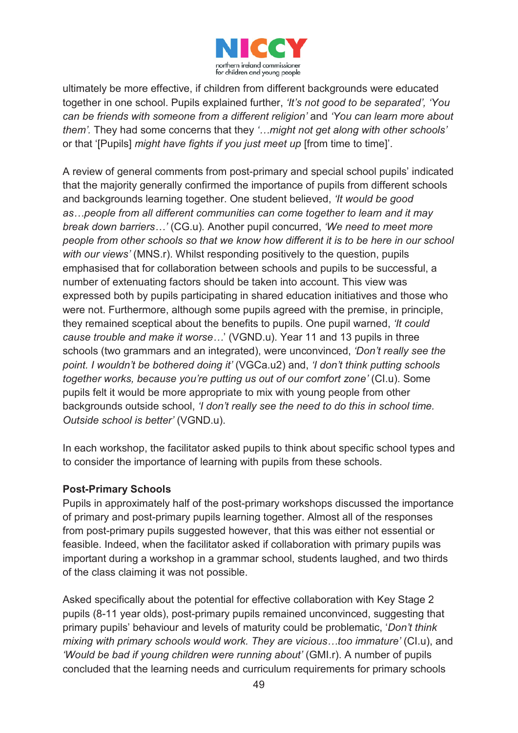

ultimately be more effective, if children from different backgrounds were educated together in one school. Pupils explained further, *'It's not good to be separated', 'You can be friends with someone from a different religion'* and *'You can learn more about them'.* They had some concerns that they *'…might not get along with other schools'* or that '[Pupils] *might have fights if you just meet up* [from time to time]'.

A review of general comments from post-primary and special school pupils' indicated that the majority generally confirmed the importance of pupils from different schools and backgrounds learning together. One student believed, *'It would be good as…people from all different communities can come together to learn and it may break down barriers…'* (CG.u)*.* Another pupil concurred, *'We need to meet more people from other schools so that we know how different it is to be here in our school with our views'* (MNS.r). Whilst responding positively to the question, pupils emphasised that for collaboration between schools and pupils to be successful, a number of extenuating factors should be taken into account. This view was expressed both by pupils participating in shared education initiatives and those who were not. Furthermore, although some pupils agreed with the premise, in principle, they remained sceptical about the benefits to pupils. One pupil warned, *'It could cause trouble and make it worse…*' (VGND.u). Year 11 and 13 pupils in three schools (two grammars and an integrated), were unconvinced, *'Don't really see the point. I wouldn't be bothered doing it'* (VGCa.u2) and, *'I don't think putting schools together works, because you're putting us out of our comfort zone'* (CI.u). Some pupils felt it would be more appropriate to mix with young people from other backgrounds outside school, *'I don't really see the need to do this in school time. Outside school is better'* (VGND.u).

In each workshop, the facilitator asked pupils to think about specific school types and to consider the importance of learning with pupils from these schools.

#### **Post-Primary Schools**

Pupils in approximately half of the post-primary workshops discussed the importance of primary and post-primary pupils learning together. Almost all of the responses from post-primary pupils suggested however, that this was either not essential or feasible. Indeed, when the facilitator asked if collaboration with primary pupils was important during a workshop in a grammar school, students laughed, and two thirds of the class claiming it was not possible.

Asked specifically about the potential for effective collaboration with Key Stage 2 pupils (8-11 year olds), post-primary pupils remained unconvinced, suggesting that primary pupils' behaviour and levels of maturity could be problematic, '*Don't think mixing with primary schools would work. They are vicious…too immature'* (CI.u), and *'Would be bad if young children were running about'* (GMI.r). A number of pupils concluded that the learning needs and curriculum requirements for primary schools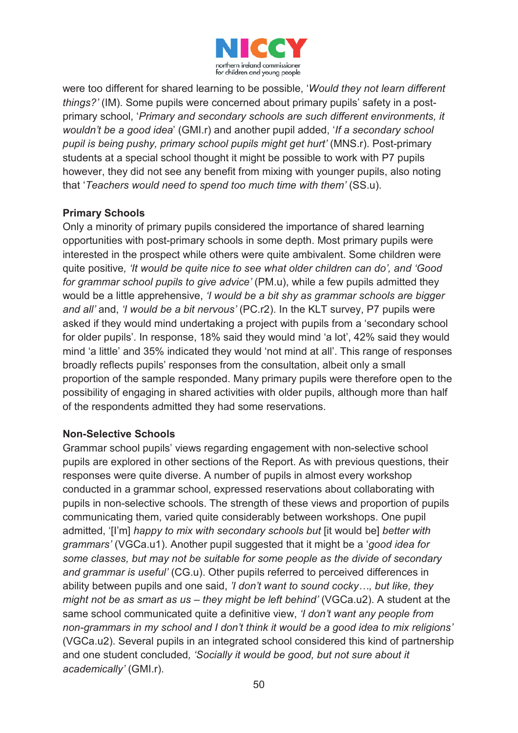

were too different for shared learning to be possible, '*Would they not learn different things?'* (IM). Some pupils were concerned about primary pupils' safety in a postprimary school, '*Primary and secondary schools are such different environments, it wouldn't be a good idea*' (GMI.r) and another pupil added, '*If a secondary school pupil is being pushy, primary school pupils might get hurt'* (MNS.r). Post-primary students at a special school thought it might be possible to work with P7 pupils however, they did not see any benefit from mixing with younger pupils, also noting that '*Teachers would need to spend too much time with them'* (SS.u).

#### **Primary Schools**

Only a minority of primary pupils considered the importance of shared learning opportunities with post-primary schools in some depth. Most primary pupils were interested in the prospect while others were quite ambivalent. Some children were quite positive*, 'It would be quite nice to see what older children can do', and 'Good for grammar school pupils to give advice'* (PM.u), while a few pupils admitted they would be a little apprehensive, *'I would be a bit shy as grammar schools are bigger and all'* and, *'I would be a bit nervous'* (PC.r2). In the KLT survey, P7 pupils were asked if they would mind undertaking a project with pupils from a 'secondary school for older pupils'. In response, 18% said they would mind 'a lot', 42% said they would mind 'a little' and 35% indicated they would 'not mind at all'. This range of responses broadly reflects pupils' responses from the consultation, albeit only a small proportion of the sample responded. Many primary pupils were therefore open to the possibility of engaging in shared activities with older pupils, although more than half of the respondents admitted they had some reservations.

#### **Non-Selective Schools**

Grammar school pupils' views regarding engagement with non-selective school pupils are explored in other sections of the Report. As with previous questions, their responses were quite diverse. A number of pupils in almost every workshop conducted in a grammar school, expressed reservations about collaborating with pupils in non-selective schools. The strength of these views and proportion of pupils communicating them, varied quite considerably between workshops. One pupil admitted, '[I'm] *happy to mix with secondary schools but* [it would be] *better with grammars'* (VGCa.u1). Another pupil suggested that it might be a '*good idea for some classes, but may not be suitable for some people as the divide of secondary and grammar is useful'* (CG.u). Other pupils referred to perceived differences in ability between pupils and one said, *'I don't want to sound cocky…, but like, they might not be as smart as us – they might be left behind'* (VGCa.u2). A student at the same school communicated quite a definitive view, *'I don't want any people from non-grammars in my school and I don't think it would be a good idea to mix religions'*  (VGCa.u2). Several pupils in an integrated school considered this kind of partnership and one student concluded*, 'Socially it would be good, but not sure about it academically'* (GMI.r).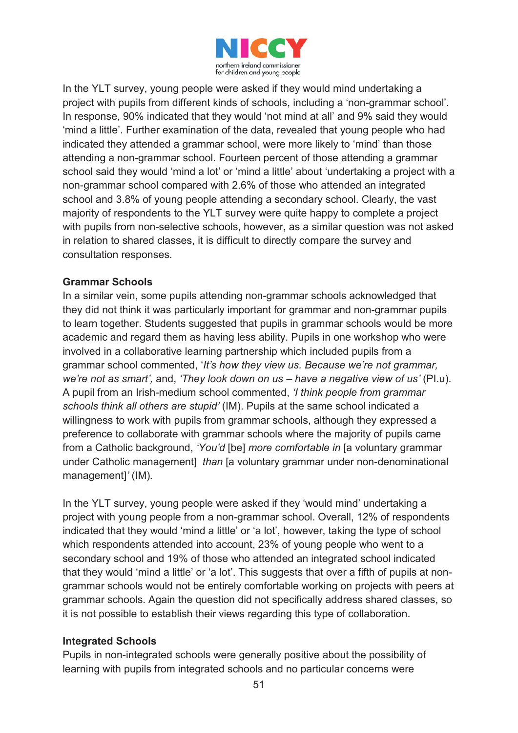

In the YLT survey, young people were asked if they would mind undertaking a project with pupils from different kinds of schools, including a 'non-grammar school'. In response, 90% indicated that they would 'not mind at all' and 9% said they would 'mind a little'. Further examination of the data, revealed that young people who had indicated they attended a grammar school, were more likely to 'mind' than those attending a non-grammar school. Fourteen percent of those attending a grammar school said they would 'mind a lot' or 'mind a little' about 'undertaking a project with a non-grammar school compared with 2.6% of those who attended an integrated school and 3.8% of young people attending a secondary school. Clearly, the vast majority of respondents to the YLT survey were quite happy to complete a project with pupils from non-selective schools, however, as a similar question was not asked in relation to shared classes, it is difficult to directly compare the survey and consultation responses.

#### **Grammar Schools**

In a similar vein, some pupils attending non-grammar schools acknowledged that they did not think it was particularly important for grammar and non-grammar pupils to learn together. Students suggested that pupils in grammar schools would be more academic and regard them as having less ability. Pupils in one workshop who were involved in a collaborative learning partnership which included pupils from a grammar school commented, '*It's how they view us. Because we're not grammar, we're not as smart',* and, *'They look down on us – have a negative view of us'* (PI.u). A pupil from an Irish-medium school commented, *'I think people from grammar schools think all others are stupid'* (IM). Pupils at the same school indicated a willingness to work with pupils from grammar schools, although they expressed a preference to collaborate with grammar schools where the majority of pupils came from a Catholic background, *'You'd* [be] *more comfortable in* [a voluntary grammar under Catholic management] *than* [a voluntary grammar under non-denominational management]*'* (IM)*.* 

In the YLT survey, young people were asked if they 'would mind' undertaking a project with young people from a non-grammar school. Overall, 12% of respondents indicated that they would 'mind a little' or 'a lot', however, taking the type of school which respondents attended into account, 23% of young people who went to a secondary school and 19% of those who attended an integrated school indicated that they would 'mind a little' or 'a lot'. This suggests that over a fifth of pupils at nongrammar schools would not be entirely comfortable working on projects with peers at grammar schools. Again the question did not specifically address shared classes, so it is not possible to establish their views regarding this type of collaboration.

#### **Integrated Schools**

Pupils in non-integrated schools were generally positive about the possibility of learning with pupils from integrated schools and no particular concerns were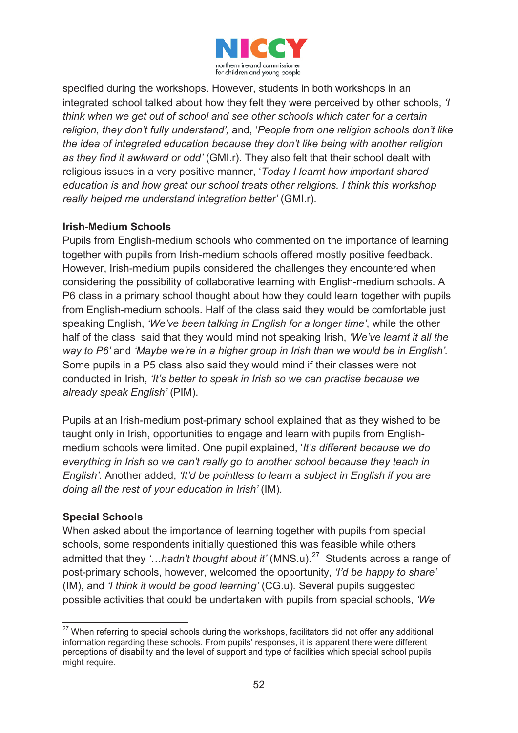

specified during the workshops. However, students in both workshops in an integrated school talked about how they felt they were perceived by other schools, *'I think when we get out of school and see other schools which cater for a certain religion, they don't fully understand',* and, '*People from one religion schools don't like the idea of integrated education because they don't like being with another religion as they find it awkward or odd'* (GMI.r). They also felt that their school dealt with religious issues in a very positive manner, '*Today I learnt how important shared education is and how great our school treats other religions. I think this workshop really helped me understand integration better'* (GMI.r).

#### **Irish-Medium Schools**

Pupils from English-medium schools who commented on the importance of learning together with pupils from Irish-medium schools offered mostly positive feedback. However, Irish-medium pupils considered the challenges they encountered when considering the possibility of collaborative learning with English-medium schools. A P6 class in a primary school thought about how they could learn together with pupils from English-medium schools. Half of the class said they would be comfortable just speaking English, *'We've been talking in English for a longer time'*, while the other half of the class said that they would mind not speaking Irish, *'We've learnt it all the way to P6'* and *'Maybe we're in a higher group in Irish than we would be in English'.* Some pupils in a P5 class also said they would mind if their classes were not conducted in Irish, *'It's better to speak in Irish so we can practise because we already speak English'* (PIM).

Pupils at an Irish-medium post-primary school explained that as they wished to be taught only in Irish, opportunities to engage and learn with pupils from Englishmedium schools were limited. One pupil explained, '*It's different because we do everything in Irish so we can't really go to another school because they teach in English'.* Another added, *'It'd be pointless to learn a subject in English if you are doing all the rest of your education in Irish'* (IM)*.* 

#### **Special Schools**

When asked about the importance of learning together with pupils from special schools, some respondents initially questioned this was feasible while others admitted that they '...hadn't thought about it' (MNS.u).<sup>27</sup> Students across a range of post-primary schools, however, welcomed the opportunity, *'I'd be happy to share'*  (IM), and *'I think it would be good learning'* (CG.u)*.* Several pupils suggested possible activities that could be undertaken with pupils from special schools*, 'We* 

 $\overline{a}$ <sup>27</sup> When referring to special schools during the workshops, facilitators did not offer any additional information regarding these schools. From pupils' responses, it is apparent there were different perceptions of disability and the level of support and type of facilities which special school pupils might require.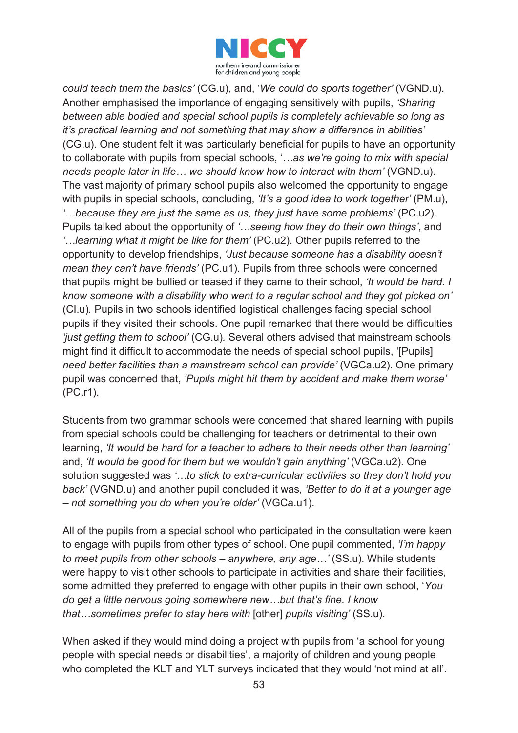

*could teach them the basics'* (CG.u), and, '*We could do sports together'* (VGND.u). Another emphasised the importance of engaging sensitively with pupils, *'Sharing between able bodied and special school pupils is completely achievable so long as it's practical learning and not something that may show a difference in abilities'*  (CG.u). One student felt it was particularly beneficial for pupils to have an opportunity to collaborate with pupils from special schools, '*…as we're going to mix with special needs people later in life… we should know how to interact with them'* (VGND.u). The vast majority of primary school pupils also welcomed the opportunity to engage with pupils in special schools, concluding, *'It's a good idea to work together'* (PM.u), *'…because they are just the same as us, they just have some problems'* (PC.u2). Pupils talked about the opportunity of *'…seeing how they do their own things'*, and *'…learning what it might be like for them'* (PC.u2). Other pupils referred to the opportunity to develop friendships, *'Just because someone has a disability doesn't mean they can't have friends'* (PC.u1). Pupils from three schools were concerned that pupils might be bullied or teased if they came to their school, *'It would be hard. I know someone with a disability who went to a regular school and they got picked on'* (CI.u)*.* Pupils in two schools identified logistical challenges facing special school pupils if they visited their schools. One pupil remarked that there would be difficulties *'just getting them to school'* (CG.u)*.* Several others advised that mainstream schools might find it difficult to accommodate the needs of special school pupils, '[Pupils] *need better facilities than a mainstream school can provide'* (VGCa.u2). One primary pupil was concerned that, *'Pupils might hit them by accident and make them worse'*  (PC.r1).

Students from two grammar schools were concerned that shared learning with pupils from special schools could be challenging for teachers or detrimental to their own learning, *'It would be hard for a teacher to adhere to their needs other than learning'*  and, *'It would be good for them but we wouldn't gain anything'* (VGCa.u2). One solution suggested was *'…to stick to extra-curricular activities so they don't hold you back'* (VGND.u) and another pupil concluded it was, *'Better to do it at a younger age – not something you do when you're older'* (VGCa.u1).

All of the pupils from a special school who participated in the consultation were keen to engage with pupils from other types of school. One pupil commented, *'I'm happy to meet pupils from other schools – anywhere, any age…'* (SS.u). While students were happy to visit other schools to participate in activities and share their facilities, some admitted they preferred to engage with other pupils in their own school, '*You do get a little nervous going somewhere new…but that's fine. I know that…sometimes prefer to stay here with* [other] *pupils visiting'* (SS.u).

When asked if they would mind doing a project with pupils from 'a school for young people with special needs or disabilities', a majority of children and young people who completed the KLT and YLT surveys indicated that they would 'not mind at all'.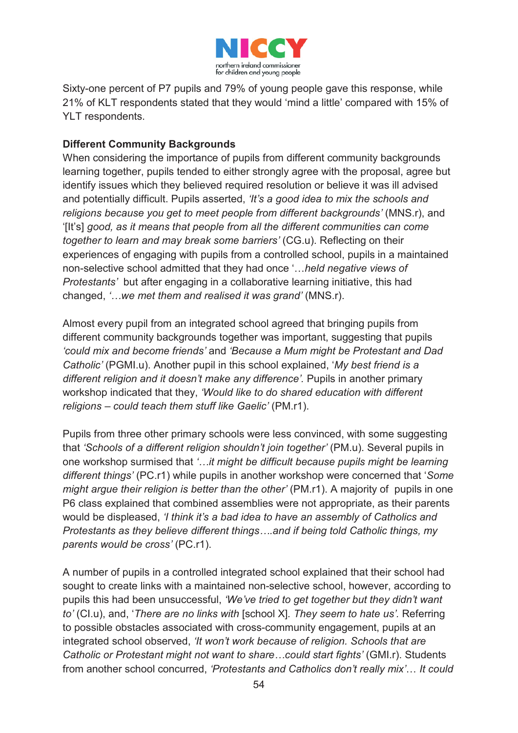

Sixty-one percent of P7 pupils and 79% of young people gave this response, while 21% of KLT respondents stated that they would 'mind a little' compared with 15% of YLT respondents.

### **Different Community Backgrounds**

When considering the importance of pupils from different community backgrounds learning together, pupils tended to either strongly agree with the proposal, agree but identify issues which they believed required resolution or believe it was ill advised and potentially difficult. Pupils asserted, *'It's a good idea to mix the schools and religions because you get to meet people from different backgrounds'* (MNS.r), and '[It's] *good, as it means that people from all the different communities can come together to learn and may break some barriers'* (CG.u). Reflecting on their experiences of engaging with pupils from a controlled school, pupils in a maintained non-selective school admitted that they had once '…*held negative views of Protestants'* but after engaging in a collaborative learning initiative, this had changed, *'…we met them and realised it was grand'* (MNS.r).

Almost every pupil from an integrated school agreed that bringing pupils from different community backgrounds together was important, suggesting that pupils *'could mix and become friends'* and *'Because a Mum might be Protestant and Dad Catholic'* (PGMI.u). Another pupil in this school explained, '*My best friend is a different religion and it doesn't make any difference'.* Pupils in another primary workshop indicated that they, *'Would like to do shared education with different religions – could teach them stuff like Gaelic'* (PM.r1).

Pupils from three other primary schools were less convinced, with some suggesting that *'Schools of a different religion shouldn't join together'* (PM.u). Several pupils in one workshop surmised that *'…it might be difficult because pupils might be learning different things'* (PC.r1) while pupils in another workshop were concerned that '*Some might argue their religion is better than the other'* (PM.r1). A majority of pupils in one P6 class explained that combined assemblies were not appropriate, as their parents would be displeased, *'I think it's a bad idea to have an assembly of Catholics and Protestants as they believe different things….and if being told Catholic things, my parents would be cross'* (PC.r1).

A number of pupils in a controlled integrated school explained that their school had sought to create links with a maintained non-selective school, however, according to pupils this had been unsuccessful, *'We've tried to get together but they didn't want to'* (CI.u), and, '*There are no links with* [school X]*. They seem to hate us'.* Referring to possible obstacles associated with cross-community engagement, pupils at an integrated school observed, *'It won't work because of religion. Schools that are Catholic or Protestant might not want to share…could start fights'* (GMI.r). Students from another school concurred, *'Protestants and Catholics don't really mix'*… *It could*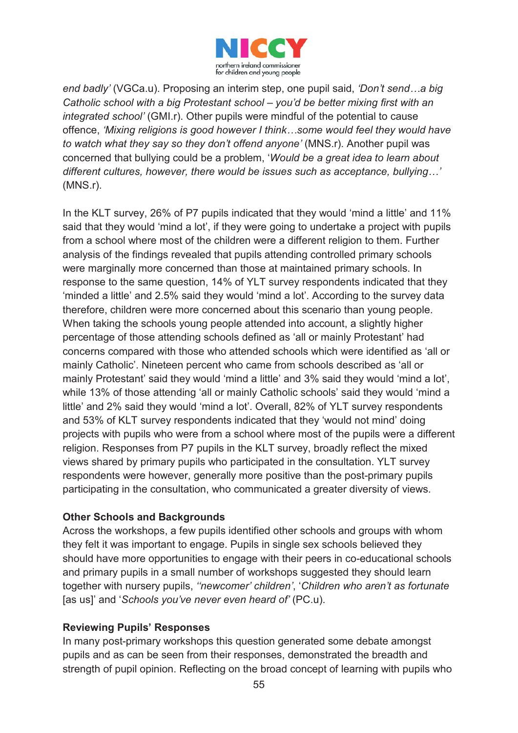

*end badly'* (VGCa.u). Proposing an interim step, one pupil said, *'Don't send…a big Catholic school with a big Protestant school – you'd be better mixing first with an integrated school'* (GMI.r). Other pupils were mindful of the potential to cause offence, *'Mixing religions is good however I think…some would feel they would have to watch what they say so they don't offend anyone'* (MNS.r). Another pupil was concerned that bullying could be a problem, '*Would be a great idea to learn about different cultures, however, there would be issues such as acceptance, bullying…'*  (MNS.r).

In the KLT survey, 26% of P7 pupils indicated that they would 'mind a little' and 11% said that they would 'mind a lot', if they were going to undertake a project with pupils from a school where most of the children were a different religion to them. Further analysis of the findings revealed that pupils attending controlled primary schools were marginally more concerned than those at maintained primary schools. In response to the same question, 14% of YLT survey respondents indicated that they 'minded a little' and 2.5% said they would 'mind a lot'. According to the survey data therefore, children were more concerned about this scenario than young people. When taking the schools young people attended into account, a slightly higher percentage of those attending schools defined as 'all or mainly Protestant' had concerns compared with those who attended schools which were identified as 'all or mainly Catholic'. Nineteen percent who came from schools described as 'all or mainly Protestant' said they would 'mind a little' and 3% said they would 'mind a lot', while 13% of those attending 'all or mainly Catholic schools' said they would 'mind a little' and 2% said they would 'mind a lot'. Overall, 82% of YLT survey respondents and 53% of KLT survey respondents indicated that they 'would not mind' doing projects with pupils who were from a school where most of the pupils were a different religion. Responses from P7 pupils in the KLT survey, broadly reflect the mixed views shared by primary pupils who participated in the consultation. YLT survey respondents were however, generally more positive than the post-primary pupils participating in the consultation, who communicated a greater diversity of views.

#### **Other Schools and Backgrounds**

Across the workshops, a few pupils identified other schools and groups with whom they felt it was important to engage. Pupils in single sex schools believed they should have more opportunities to engage with their peers in co-educational schools and primary pupils in a small number of workshops suggested they should learn together with nursery pupils, *''newcomer' children'*, '*Children who aren't as fortunate* [as us]' and '*Schools you've never even heard of'* (PC.u).

#### **Reviewing Pupils' Responses**

In many post-primary workshops this question generated some debate amongst pupils and as can be seen from their responses, demonstrated the breadth and strength of pupil opinion. Reflecting on the broad concept of learning with pupils who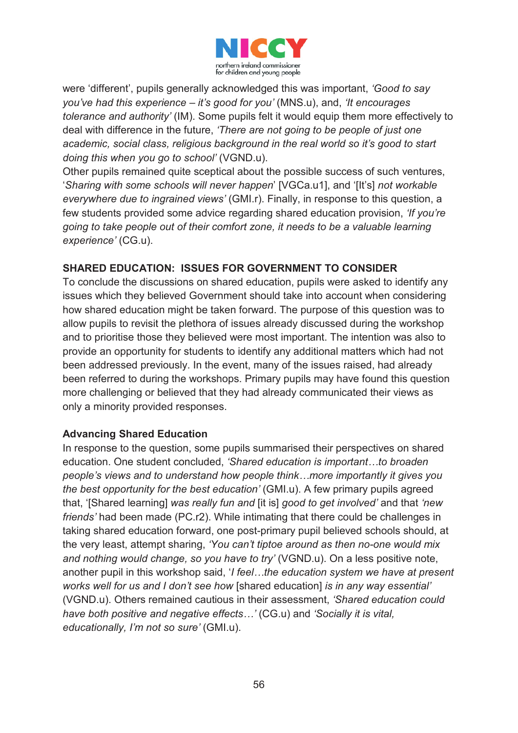

were 'different', pupils generally acknowledged this was important, *'Good to say you've had this experience – it's good for you'* (MNS.u), and, *'It encourages tolerance and authority'* (IM). Some pupils felt it would equip them more effectively to deal with difference in the future, *'There are not going to be people of just one academic, social class, religious background in the real world so it's good to start doing this when you go to school'* (VGND.u).

Other pupils remained quite sceptical about the possible success of such ventures, '*Sharing with some schools will never happen*' [VGCa.u1], and '[It's] *not workable everywhere due to ingrained views'* (GMI.r). Finally, in response to this question, a few students provided some advice regarding shared education provision, *'If you're going to take people out of their comfort zone, it needs to be a valuable learning experience'* (CG.u).

#### **SHARED EDUCATION: ISSUES FOR GOVERNMENT TO CONSIDER**

To conclude the discussions on shared education, pupils were asked to identify any issues which they believed Government should take into account when considering how shared education might be taken forward. The purpose of this question was to allow pupils to revisit the plethora of issues already discussed during the workshop and to prioritise those they believed were most important. The intention was also to provide an opportunity for students to identify any additional matters which had not been addressed previously. In the event, many of the issues raised, had already been referred to during the workshops. Primary pupils may have found this question more challenging or believed that they had already communicated their views as only a minority provided responses.

#### **Advancing Shared Education**

In response to the question, some pupils summarised their perspectives on shared education. One student concluded, *'Shared education is important…to broaden people's views and to understand how people think…more importantly it gives you the best opportunity for the best education'* (GMI.u). A few primary pupils agreed that, '[Shared learning] *was really fun and* [it is] *good to get involved'* and that *'new friends'* had been made (PC.r2). While intimating that there could be challenges in taking shared education forward, one post-primary pupil believed schools should, at the very least, attempt sharing, *'You can't tiptoe around as then no-one would mix and nothing would change, so you have to try'* (VGND.u). On a less positive note, another pupil in this workshop said, '*I feel…the education system we have at present works well for us and I don't see how* [shared education] *is in any way essential'* (VGND.u). Others remained cautious in their assessment, *'Shared education could have both positive and negative effects…'* (CG.u) and *'Socially it is vital, educationally, I'm not so sure'* (GMI.u).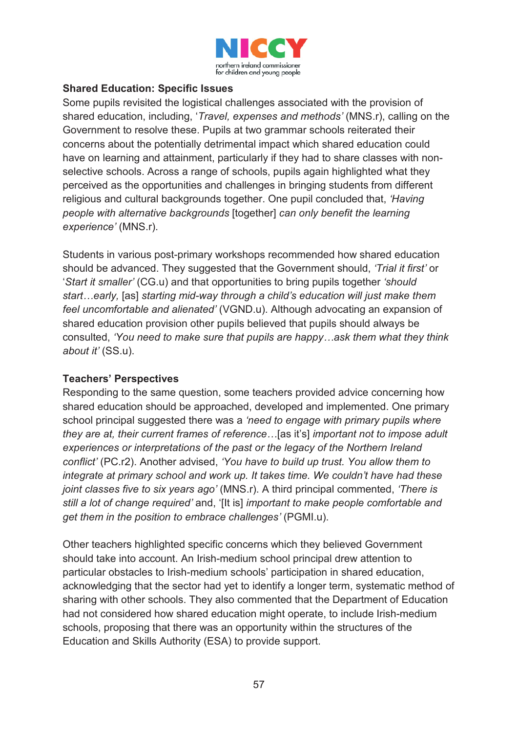

#### **Shared Education: Specific Issues**

Some pupils revisited the logistical challenges associated with the provision of shared education, including, '*Travel, expenses and methods'* (MNS.r), calling on the Government to resolve these. Pupils at two grammar schools reiterated their concerns about the potentially detrimental impact which shared education could have on learning and attainment, particularly if they had to share classes with nonselective schools. Across a range of schools, pupils again highlighted what they perceived as the opportunities and challenges in bringing students from different religious and cultural backgrounds together. One pupil concluded that, *'Having people with alternative backgrounds* [together] *can only benefit the learning experience'* (MNS.r).

Students in various post-primary workshops recommended how shared education should be advanced. They suggested that the Government should, *'Trial it first'* or '*Start it smaller'* (CG.u) and that opportunities to bring pupils together *'should start…early,* [as] *starting mid-way through a child's education will just make them feel uncomfortable and alienated'* (VGND.u). Although advocating an expansion of shared education provision other pupils believed that pupils should always be consulted, *'You need to make sure that pupils are happy…ask them what they think about it'* (SS.u).

#### **Teachers' Perspectives**

Responding to the same question, some teachers provided advice concerning how shared education should be approached, developed and implemented. One primary school principal suggested there was a *'need to engage with primary pupils where they are at, their current frames of reference…*[as it's] *important not to impose adult experiences or interpretations of the past or the legacy of the Northern Ireland conflict'* (PC.r2). Another advised, *'You have to build up trust. You allow them to integrate at primary school and work up. It takes time. We couldn't have had these joint classes five to six years ago'* (MNS.r). A third principal commented, *'There is still a lot of change required'* and, '[It is] *important to make people comfortable and get them in the position to embrace challenges'* (PGMI.u).

Other teachers highlighted specific concerns which they believed Government should take into account. An Irish-medium school principal drew attention to particular obstacles to Irish-medium schools' participation in shared education, acknowledging that the sector had yet to identify a longer term, systematic method of sharing with other schools. They also commented that the Department of Education had not considered how shared education might operate, to include Irish-medium schools, proposing that there was an opportunity within the structures of the Education and Skills Authority (ESA) to provide support.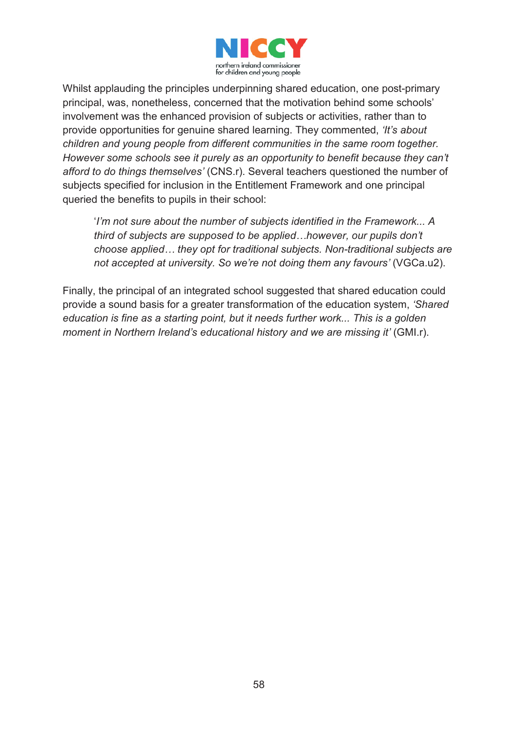

Whilst applauding the principles underpinning shared education, one post-primary principal, was, nonetheless, concerned that the motivation behind some schools' involvement was the enhanced provision of subjects or activities, rather than to provide opportunities for genuine shared learning. They commented, *'It's about children and young people from different communities in the same room together. However some schools see it purely as an opportunity to benefit because they can't afford to do things themselves'* (CNS.r). Several teachers questioned the number of subjects specified for inclusion in the Entitlement Framework and one principal queried the benefits to pupils in their school:

'*I'm not sure about the number of subjects identified in the Framework... A third of subjects are supposed to be applied…however, our pupils don't choose applied… they opt for traditional subjects. Non-traditional subjects are not accepted at university. So we're not doing them any favours'* (VGCa.u2).

Finally, the principal of an integrated school suggested that shared education could provide a sound basis for a greater transformation of the education system, *'Shared education is fine as a starting point, but it needs further work... This is a golden moment in Northern Ireland's educational history and we are missing it'* (GMI.r).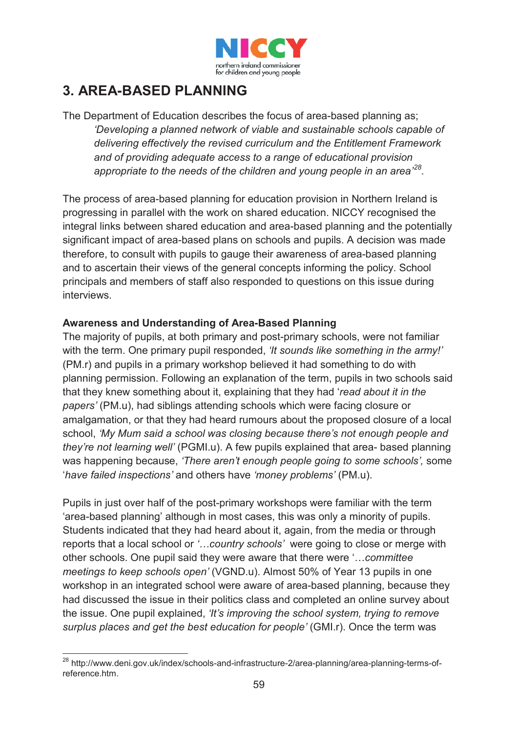

# **3. AREA-BASED PLANNING**

The Department of Education describes the focus of area-based planning as; *'Developing a planned network of viable and sustainable schools capable of delivering effectively the revised curriculum and the Entitlement Framework and of providing adequate access to a range of educational provision appropriate to the needs of the children and young people in an area' 28.* 

The process of area-based planning for education provision in Northern Ireland is progressing in parallel with the work on shared education. NICCY recognised the integral links between shared education and area-based planning and the potentially significant impact of area-based plans on schools and pupils. A decision was made therefore, to consult with pupils to gauge their awareness of area-based planning and to ascertain their views of the general concepts informing the policy. School principals and members of staff also responded to questions on this issue during interviews.

#### **Awareness and Understanding of Area-Based Planning**

The majority of pupils, at both primary and post-primary schools, were not familiar with the term. One primary pupil responded, *'It sounds like something in the army!'* (PM.r) and pupils in a primary workshop believed it had something to do with planning permission. Following an explanation of the term, pupils in two schools said that they knew something about it, explaining that they had '*read about it in the papers'* (PM.u), had siblings attending schools which were facing closure or amalgamation, or that they had heard rumours about the proposed closure of a local school, *'My Mum said a school was closing because there's not enough people and they're not learning well'* (PGMI.u). A few pupils explained that area- based planning was happening because, *'There aren't enough people going to some schools',* some '*have failed inspections'* and others have *'money problems'* (PM.u).

Pupils in just over half of the post-primary workshops were familiar with the term 'area-based planning' although in most cases, this was only a minority of pupils. Students indicated that they had heard about it, again, from the media or through reports that a local school or *'…country schools'* were going to close or merge with other schools. One pupil said they were aware that there were '…*committee meetings to keep schools open'* (VGND.u). Almost 50% of Year 13 pupils in one workshop in an integrated school were aware of area-based planning, because they had discussed the issue in their politics class and completed an online survey about the issue. One pupil explained, *'It's improving the school system, trying to remove surplus places and get the best education for people'* (GMI.r). Once the term was

 $\overline{a}$ <sup>28</sup> http://www.deni.gov.uk/index/schools-and-infrastructure-2/area-planning/area-planning-terms-ofreference.htm.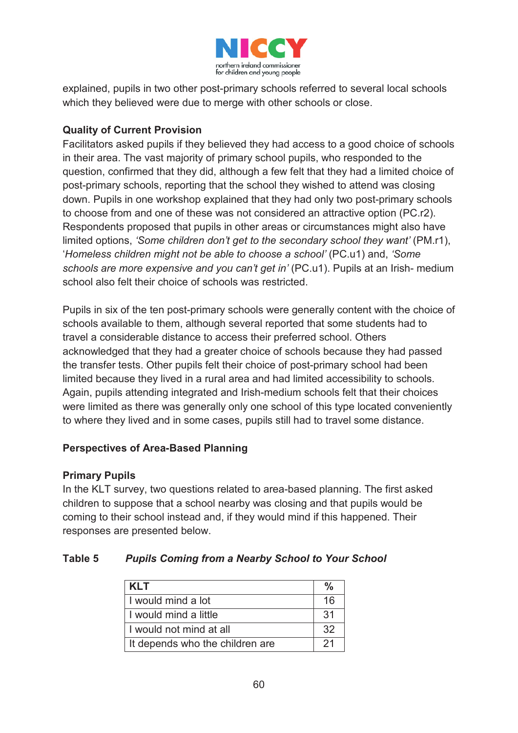

explained, pupils in two other post-primary schools referred to several local schools which they believed were due to merge with other schools or close.

#### **Quality of Current Provision**

Facilitators asked pupils if they believed they had access to a good choice of schools in their area. The vast majority of primary school pupils, who responded to the question, confirmed that they did, although a few felt that they had a limited choice of post-primary schools, reporting that the school they wished to attend was closing down. Pupils in one workshop explained that they had only two post-primary schools to choose from and one of these was not considered an attractive option (PC.r2). Respondents proposed that pupils in other areas or circumstances might also have limited options, *'Some children don't get to the secondary school they want'* (PM.r1), '*Homeless children might not be able to choose a school'* (PC.u1) and, *'Some schools are more expensive and you can't get in'* (PC.u1). Pupils at an Irish- medium school also felt their choice of schools was restricted.

Pupils in six of the ten post-primary schools were generally content with the choice of schools available to them, although several reported that some students had to travel a considerable distance to access their preferred school. Others acknowledged that they had a greater choice of schools because they had passed the transfer tests. Other pupils felt their choice of post-primary school had been limited because they lived in a rural area and had limited accessibility to schools. Again, pupils attending integrated and Irish-medium schools felt that their choices were limited as there was generally only one school of this type located conveniently to where they lived and in some cases, pupils still had to travel some distance.

#### **Perspectives of Area-Based Planning**

#### **Primary Pupils**

In the KLT survey, two questions related to area-based planning. The first asked children to suppose that a school nearby was closing and that pupils would be coming to their school instead and, if they would mind if this happened. Their responses are presented below.

### **Table 5** *Pupils Coming from a Nearby School to Your School*

| <b>KLT</b>                      | $\frac{0}{2}$   |
|---------------------------------|-----------------|
| I would mind a lot              | 16              |
| I would mind a little           | $\overline{31}$ |
| I I would not mind at all       | 32              |
| It depends who the children are | 21              |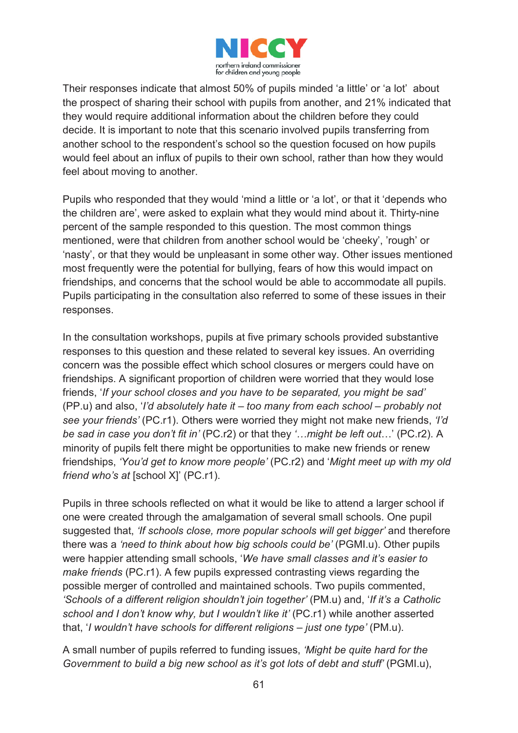

Their responses indicate that almost 50% of pupils minded 'a little' or 'a lot' about the prospect of sharing their school with pupils from another, and 21% indicated that they would require additional information about the children before they could decide. It is important to note that this scenario involved pupils transferring from another school to the respondent's school so the question focused on how pupils would feel about an influx of pupils to their own school, rather than how they would feel about moving to another.

Pupils who responded that they would 'mind a little or 'a lot', or that it 'depends who the children are', were asked to explain what they would mind about it. Thirty-nine percent of the sample responded to this question. The most common things mentioned, were that children from another school would be 'cheeky', 'rough' or 'nasty', or that they would be unpleasant in some other way. Other issues mentioned most frequently were the potential for bullying, fears of how this would impact on friendships, and concerns that the school would be able to accommodate all pupils. Pupils participating in the consultation also referred to some of these issues in their responses.

In the consultation workshops, pupils at five primary schools provided substantive responses to this question and these related to several key issues. An overriding concern was the possible effect which school closures or mergers could have on friendships. A significant proportion of children were worried that they would lose friends, '*If your school closes and you have to be separated, you might be sad'* (PP.u) and also, '*I'd absolutely hate it – too many from each school – probably not see your friends'* (PC.r1). Others were worried they might not make new friends, *'I'd be sad in case you don't fit in'* (PC.r2) or that they *'…might be left out*…' (PC.r2). A minority of pupils felt there might be opportunities to make new friends or renew friendships, *'You'd get to know more people'* (PC.r2) and '*Might meet up with my old friend who's at* [school X]' (PC.r1).

Pupils in three schools reflected on what it would be like to attend a larger school if one were created through the amalgamation of several small schools. One pupil suggested that, *'If schools close, more popular schools will get bigger'* and therefore there was a *'need to think about how big schools could be'* (PGMI.u). Other pupils were happier attending small schools, '*We have small classes and it's easier to make friends* (PC.r1). A few pupils expressed contrasting views regarding the possible merger of controlled and maintained schools. Two pupils commented, *'Schools of a different religion shouldn't join together'* (PM.u) and, '*If it's a Catholic school and I don't know why, but I wouldn't like it'* (PC.r1) while another asserted that, '*I wouldn't have schools for different religions – just one type'* (PM.u).

A small number of pupils referred to funding issues, *'Might be quite hard for the Government to build a big new school as it's got lots of debt and stuff'* (PGMI.u),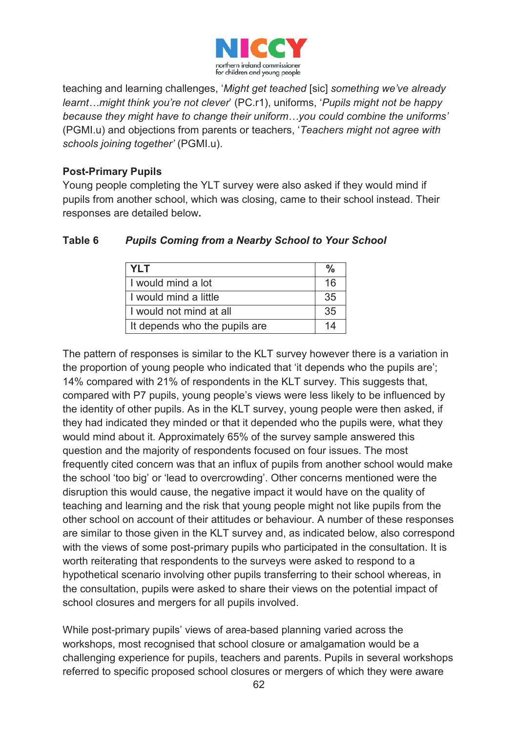

teaching and learning challenges, '*Might get teached* [sic] *something we've already learnt…might think you're not clever*' (PC.r1), uniforms, '*Pupils might not be happy because they might have to change their uniform…you could combine the uniforms'*  (PGMI.u) and objections from parents or teachers, '*Teachers might not agree with schools joining together'* (PGMI.u).

#### **Post-Primary Pupils**

Young people completing the YLT survey were also asked if they would mind if pupils from another school, which was closing, came to their school instead. Their responses are detailed below**.**

| <b>YLT</b>                    | $\frac{9}{6}$ |
|-------------------------------|---------------|
| I would mind a lot            | 16            |
| I would mind a little         |               |
| I would not mind at all       |               |
| It depends who the pupils are | 14            |

### **Table 6** *Pupils Coming from a Nearby School to Your School*

The pattern of responses is similar to the KLT survey however there is a variation in the proportion of young people who indicated that 'it depends who the pupils are'; 14% compared with 21% of respondents in the KLT survey. This suggests that, compared with P7 pupils, young people's views were less likely to be influenced by the identity of other pupils. As in the KLT survey, young people were then asked, if they had indicated they minded or that it depended who the pupils were, what they would mind about it. Approximately 65% of the survey sample answered this question and the majority of respondents focused on four issues. The most frequently cited concern was that an influx of pupils from another school would make the school 'too big' or 'lead to overcrowding'. Other concerns mentioned were the disruption this would cause, the negative impact it would have on the quality of teaching and learning and the risk that young people might not like pupils from the other school on account of their attitudes or behaviour. A number of these responses are similar to those given in the KLT survey and, as indicated below, also correspond with the views of some post-primary pupils who participated in the consultation. It is worth reiterating that respondents to the surveys were asked to respond to a hypothetical scenario involving other pupils transferring to their school whereas, in the consultation, pupils were asked to share their views on the potential impact of school closures and mergers for all pupils involved.

While post-primary pupils' views of area-based planning varied across the workshops, most recognised that school closure or amalgamation would be a challenging experience for pupils, teachers and parents. Pupils in several workshops referred to specific proposed school closures or mergers of which they were aware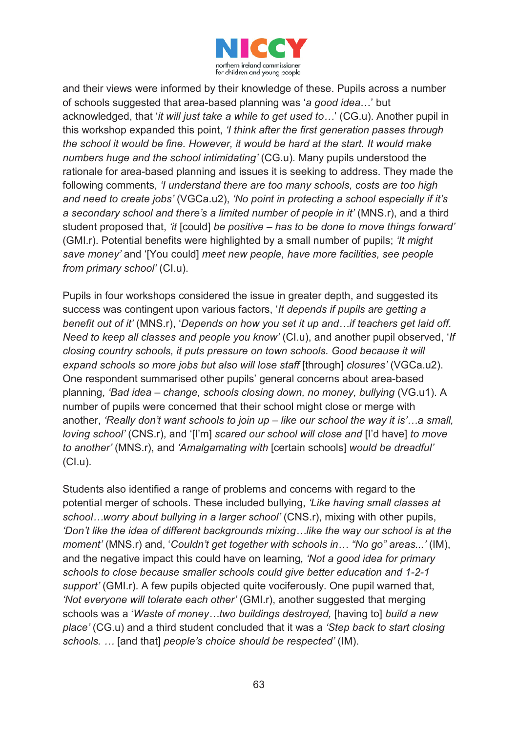

and their views were informed by their knowledge of these. Pupils across a number of schools suggested that area-based planning was '*a good idea*…' but acknowledged, that '*it will just take a while to get used to…*' (CG.u). Another pupil in this workshop expanded this point, *'I think after the first generation passes through the school it would be fine. However, it would be hard at the start. It would make numbers huge and the school intimidating'* (CG.u). Many pupils understood the rationale for area-based planning and issues it is seeking to address. They made the following comments, *'I understand there are too many schools, costs are too high and need to create jobs'* (VGCa.u2), *'No point in protecting a school especially if it's a secondary school and there's a limited number of people in it'* (MNS.r), and a third student proposed that, *'it* [could] *be positive – has to be done to move things forward'* (GMI.r). Potential benefits were highlighted by a small number of pupils; *'It might save money'* and '[You could] *meet new people, have more facilities, see people from primary school'* (CI.u).

Pupils in four workshops considered the issue in greater depth, and suggested its success was contingent upon various factors, '*It depends if pupils are getting a benefit out of it'* (MNS.r), '*Depends on how you set it up and…if teachers get laid off. Need to keep all classes and people you know'* (CI.u), and another pupil observed, '*If closing country schools, it puts pressure on town schools. Good because it will expand schools so more jobs but also will lose staff* [through] *closures'* (VGCa.u2). One respondent summarised other pupils' general concerns about area-based planning, *'Bad idea – change, schools closing down, no money, bullying* (VG.u1). A number of pupils were concerned that their school might close or merge with another, *'Really don't want schools to join up – like our school the way it is'…a small, loving school'* (CNS.r), and '[I'm] *scared our school will close and* [I'd have] *to move to another'* (MNS.r), and *'Amalgamating with* [certain schools] *would be dreadful'* (CI.u).

Students also identified a range of problems and concerns with regard to the potential merger of schools. These included bullying, *'Like having small classes at school…worry about bullying in a larger school'* (CNS.r), mixing with other pupils, *'Don't like the idea of different backgrounds mixing…like the way our school is at the moment'* (MNS.r) and, '*Couldn't get together with schools in… "No go" areas...'* (IM), and the negative impact this could have on learning*, 'Not a good idea for primary schools to close because smaller schools could give better education and 1-2-1 support'* (GMI.r). A few pupils objected quite vociferously. One pupil warned that, *'Not everyone will tolerate each other'* (GMI.r), another suggested that merging schools was a '*Waste of money…two buildings destroyed,* [having to] *build a new place'* (CG.u) and a third student concluded that it was a *'Step back to start closing schools. …* [and that] *people's choice should be respected'* (IM).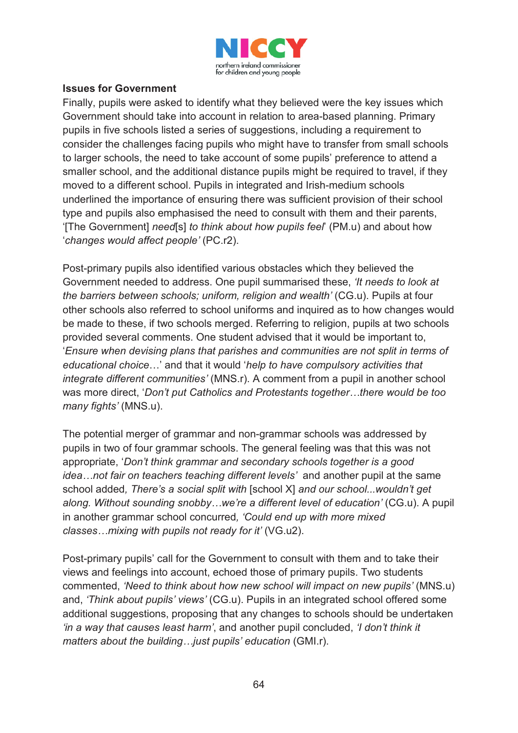

#### **Issues for Government**

Finally, pupils were asked to identify what they believed were the key issues which Government should take into account in relation to area-based planning. Primary pupils in five schools listed a series of suggestions, including a requirement to consider the challenges facing pupils who might have to transfer from small schools to larger schools, the need to take account of some pupils' preference to attend a smaller school, and the additional distance pupils might be required to travel, if they moved to a different school. Pupils in integrated and Irish-medium schools underlined the importance of ensuring there was sufficient provision of their school type and pupils also emphasised the need to consult with them and their parents, '[The Government] *need*[s] *to think about how pupils feel*' (PM.u) and about how '*changes would affect people'* (PC.r2).

Post-primary pupils also identified various obstacles which they believed the Government needed to address. One pupil summarised these, *'It needs to look at the barriers between schools; uniform, religion and wealth'* (CG.u). Pupils at four other schools also referred to school uniforms and inquired as to how changes would be made to these, if two schools merged. Referring to religion, pupils at two schools provided several comments. One student advised that it would be important to, '*Ensure when devising plans that parishes and communities are not split in terms of educational choice*…' and that it would '*help to have compulsory activities that integrate different communities'* (MNS.r). A comment from a pupil in another school was more direct, '*Don't put Catholics and Protestants together…there would be too many fights'* (MNS.u).

The potential merger of grammar and non-grammar schools was addressed by pupils in two of four grammar schools. The general feeling was that this was not appropriate, '*Don't think grammar and secondary schools together is a good idea…not fair on teachers teaching different levels'* and another pupil at the same school added*, There's a social split with* [school X] *and our school...wouldn't get along. Without sounding snobby…we're a different level of education'* (CG.u). A pupil in another grammar school concurred*, 'Could end up with more mixed classes…mixing with pupils not ready for it'* (VG.u2).

Post-primary pupils' call for the Government to consult with them and to take their views and feelings into account, echoed those of primary pupils. Two students commented, *'Need to think about how new school will impact on new pupils'* (MNS.u) and, *'Think about pupils' views'* (CG.u). Pupils in an integrated school offered some additional suggestions, proposing that any changes to schools should be undertaken *'in a way that causes least harm'*, and another pupil concluded, *'I don't think it matters about the building... just pupils' education (GMI.r).*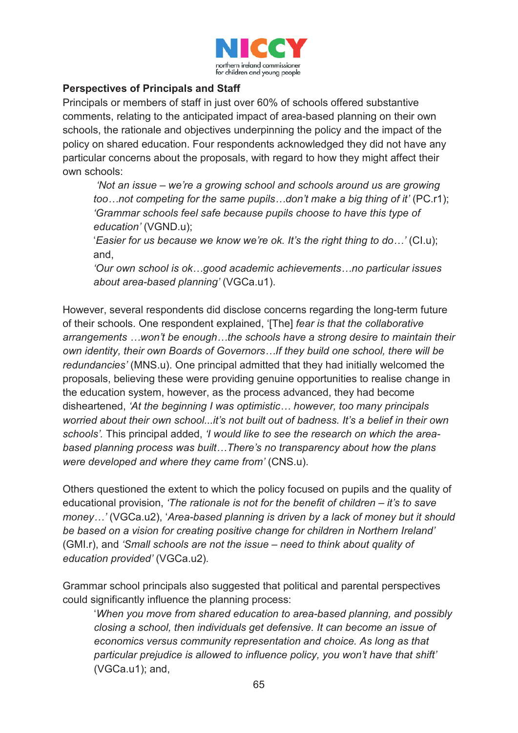

#### **Perspectives of Principals and Staff**

Principals or members of staff in just over 60% of schools offered substantive comments, relating to the anticipated impact of area-based planning on their own schools, the rationale and objectives underpinning the policy and the impact of the policy on shared education. Four respondents acknowledged they did not have any particular concerns about the proposals, with regard to how they might affect their own schools:

*'Not an issue – we're a growing school and schools around us are growing too…not competing for the same pupils…don't make a big thing of it'* (PC.r1); *'Grammar schools feel safe because pupils choose to have this type of education'* (VGND.u);

'*Easier for us because we know we're ok. It's the right thing to do…'* (CI.u); and,

*'Our own school is ok…good academic achievements…no particular issues about area-based planning'* (VGCa.u1).

However, several respondents did disclose concerns regarding the long-term future of their schools. One respondent explained, '[The] *fear is that the collaborative arrangements …won't be enough…the schools have a strong desire to maintain their own identity, their own Boards of Governors…If they build one school, there will be redundancies'* (MNS.u). One principal admitted that they had initially welcomed the proposals, believing these were providing genuine opportunities to realise change in the education system, however, as the process advanced, they had become disheartened, *'At the beginning I was optimistic… however, too many principals worried about their own school...it's not built out of badness. It's a belief in their own schools'.* This principal added, *'I would like to see the research on which the areabased planning process was built…There's no transparency about how the plans were developed and where they came from'* (CNS.u).

Others questioned the extent to which the policy focused on pupils and the quality of educational provision, *'The rationale is not for the benefit of children – it's to save money…'* (VGCa.u2), '*Area-based planning is driven by a lack of money but it should be based on a vision for creating positive change for children in Northern Ireland'* (GMI.r), and *'Small schools are not the issue – need to think about quality of education provided'* (VGCa.u2)*.*

Grammar school principals also suggested that political and parental perspectives could significantly influence the planning process:

'*When you move from shared education to area-based planning, and possibly closing a school, then individuals get defensive. It can become an issue of economics versus community representation and choice. As long as that particular prejudice is allowed to influence policy, you won't have that shift'*  (VGCa.u1); and,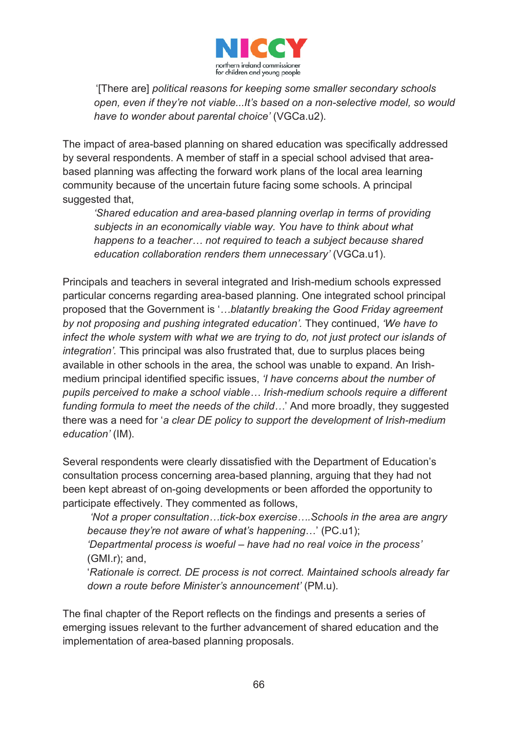

'[There are] *political reasons for keeping some smaller secondary schools open, even if they're not viable...It's based on a non-selective model, so would have to wonder about parental choice'* (VGCa.u2).

The impact of area-based planning on shared education was specifically addressed by several respondents. A member of staff in a special school advised that areabased planning was affecting the forward work plans of the local area learning community because of the uncertain future facing some schools. A principal suggested that,

*'Shared education and area-based planning overlap in terms of providing subjects in an economically viable way. You have to think about what happens to a teacher… not required to teach a subject because shared education collaboration renders them unnecessary'* (VGCa.u1).

Principals and teachers in several integrated and Irish-medium schools expressed particular concerns regarding area-based planning. One integrated school principal proposed that the Government is '*…blatantly breaking the Good Friday agreement by not proposing and pushing integrated education'.* They continued, *'We have to infect the whole system with what we are trying to do, not just protect our islands of integration'.* This principal was also frustrated that, due to surplus places being available in other schools in the area, the school was unable to expand. An Irishmedium principal identified specific issues, *'I have concerns about the number of pupils perceived to make a school viable… Irish-medium schools require a different funding formula to meet the needs of the child…*' And more broadly, they suggested there was a need for '*a clear DE policy to support the development of Irish-medium education'* (IM).

Several respondents were clearly dissatisfied with the Department of Education's consultation process concerning area-based planning, arguing that they had not been kept abreast of on-going developments or been afforded the opportunity to participate effectively. They commented as follows,

*'Not a proper consultation…tick-box exercise….Schools in the area are angry because they're not aware of what's happening*…' (PC.u1);

*'Departmental process is woeful – have had no real voice in the process'* (GMI.r); and,

'*Rationale is correct. DE process is not correct. Maintained schools already far down a route before Minister's announcement'* (PM.u).

The final chapter of the Report reflects on the findings and presents a series of emerging issues relevant to the further advancement of shared education and the implementation of area-based planning proposals.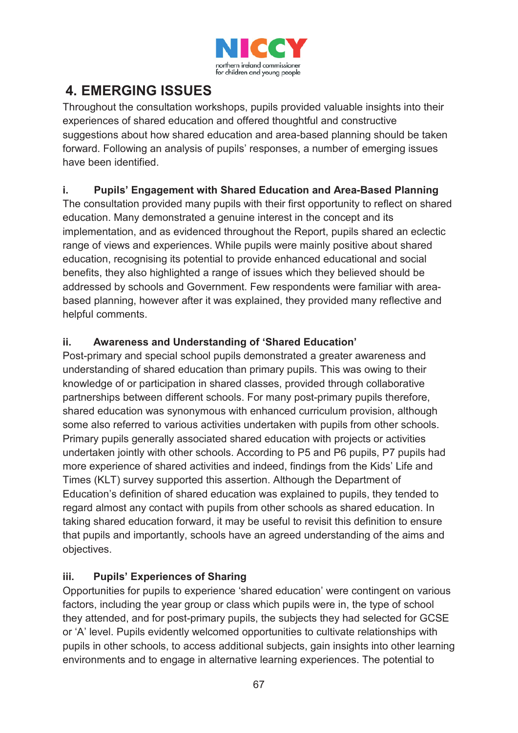

# **4. EMERGING ISSUES**

Throughout the consultation workshops, pupils provided valuable insights into their experiences of shared education and offered thoughtful and constructive suggestions about how shared education and area-based planning should be taken forward. Following an analysis of pupils' responses, a number of emerging issues have been identified.

# **i. Pupils' Engagement with Shared Education and Area-Based Planning**

The consultation provided many pupils with their first opportunity to reflect on shared education. Many demonstrated a genuine interest in the concept and its implementation, and as evidenced throughout the Report, pupils shared an eclectic range of views and experiences. While pupils were mainly positive about shared education, recognising its potential to provide enhanced educational and social benefits, they also highlighted a range of issues which they believed should be addressed by schools and Government. Few respondents were familiar with areabased planning, however after it was explained, they provided many reflective and helpful comments.

# **ii. Awareness and Understanding of 'Shared Education'**

Post-primary and special school pupils demonstrated a greater awareness and understanding of shared education than primary pupils. This was owing to their knowledge of or participation in shared classes, provided through collaborative partnerships between different schools. For many post-primary pupils therefore, shared education was synonymous with enhanced curriculum provision, although some also referred to various activities undertaken with pupils from other schools. Primary pupils generally associated shared education with projects or activities undertaken jointly with other schools. According to P5 and P6 pupils, P7 pupils had more experience of shared activities and indeed, findings from the Kids' Life and Times (KLT) survey supported this assertion. Although the Department of Education's definition of shared education was explained to pupils, they tended to regard almost any contact with pupils from other schools as shared education. In taking shared education forward, it may be useful to revisit this definition to ensure that pupils and importantly, schools have an agreed understanding of the aims and objectives.

# **iii. Pupils' Experiences of Sharing**

Opportunities for pupils to experience 'shared education' were contingent on various factors, including the year group or class which pupils were in, the type of school they attended, and for post-primary pupils, the subjects they had selected for GCSE or 'A' level. Pupils evidently welcomed opportunities to cultivate relationships with pupils in other schools, to access additional subjects, gain insights into other learning environments and to engage in alternative learning experiences. The potential to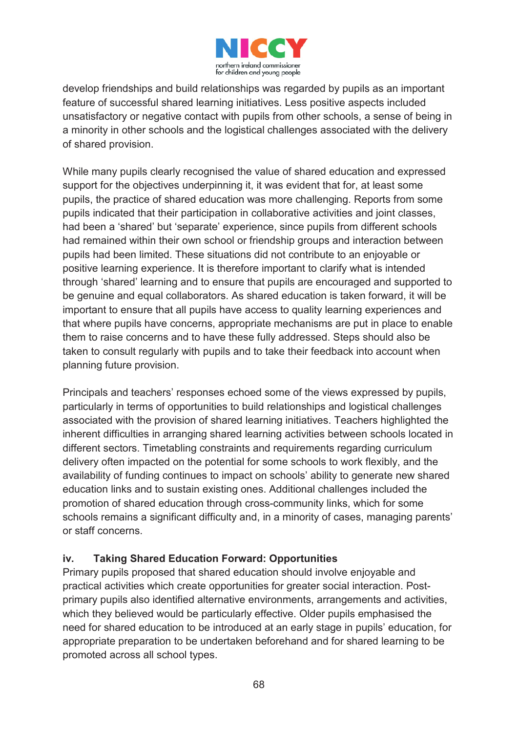

develop friendships and build relationships was regarded by pupils as an important feature of successful shared learning initiatives. Less positive aspects included unsatisfactory or negative contact with pupils from other schools, a sense of being in a minority in other schools and the logistical challenges associated with the delivery of shared provision.

While many pupils clearly recognised the value of shared education and expressed support for the objectives underpinning it, it was evident that for, at least some pupils, the practice of shared education was more challenging. Reports from some pupils indicated that their participation in collaborative activities and joint classes, had been a 'shared' but 'separate' experience, since pupils from different schools had remained within their own school or friendship groups and interaction between pupils had been limited. These situations did not contribute to an enjoyable or positive learning experience. It is therefore important to clarify what is intended through 'shared' learning and to ensure that pupils are encouraged and supported to be genuine and equal collaborators. As shared education is taken forward, it will be important to ensure that all pupils have access to quality learning experiences and that where pupils have concerns, appropriate mechanisms are put in place to enable them to raise concerns and to have these fully addressed. Steps should also be taken to consult regularly with pupils and to take their feedback into account when planning future provision.

Principals and teachers' responses echoed some of the views expressed by pupils, particularly in terms of opportunities to build relationships and logistical challenges associated with the provision of shared learning initiatives. Teachers highlighted the inherent difficulties in arranging shared learning activities between schools located in different sectors. Timetabling constraints and requirements regarding curriculum delivery often impacted on the potential for some schools to work flexibly, and the availability of funding continues to impact on schools' ability to generate new shared education links and to sustain existing ones. Additional challenges included the promotion of shared education through cross-community links, which for some schools remains a significant difficulty and, in a minority of cases, managing parents' or staff concerns.

### **iv. Taking Shared Education Forward: Opportunities**

Primary pupils proposed that shared education should involve enjoyable and practical activities which create opportunities for greater social interaction. Postprimary pupils also identified alternative environments, arrangements and activities, which they believed would be particularly effective. Older pupils emphasised the need for shared education to be introduced at an early stage in pupils' education, for appropriate preparation to be undertaken beforehand and for shared learning to be promoted across all school types.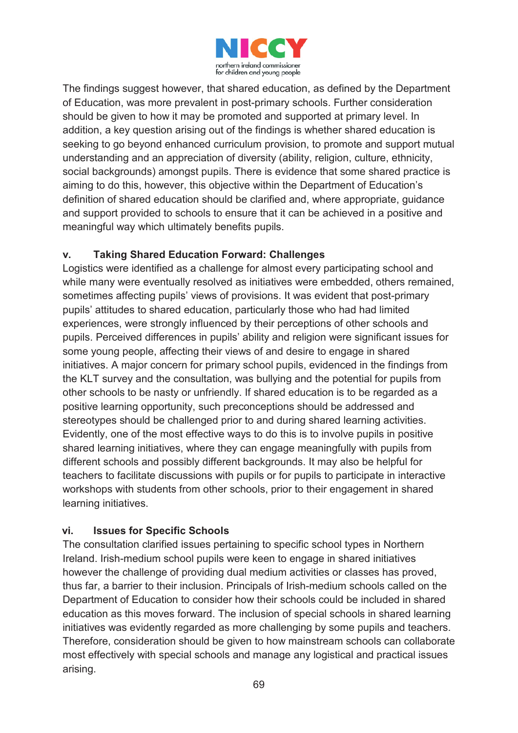

The findings suggest however, that shared education, as defined by the Department of Education, was more prevalent in post-primary schools. Further consideration should be given to how it may be promoted and supported at primary level. In addition, a key question arising out of the findings is whether shared education is seeking to go beyond enhanced curriculum provision, to promote and support mutual understanding and an appreciation of diversity (ability, religion, culture, ethnicity, social backgrounds) amongst pupils. There is evidence that some shared practice is aiming to do this, however, this objective within the Department of Education's definition of shared education should be clarified and, where appropriate, guidance and support provided to schools to ensure that it can be achieved in a positive and meaningful way which ultimately benefits pupils.

# **v. Taking Shared Education Forward: Challenges**

Logistics were identified as a challenge for almost every participating school and while many were eventually resolved as initiatives were embedded, others remained, sometimes affecting pupils' views of provisions. It was evident that post-primary pupils' attitudes to shared education, particularly those who had had limited experiences, were strongly influenced by their perceptions of other schools and pupils. Perceived differences in pupils' ability and religion were significant issues for some young people, affecting their views of and desire to engage in shared initiatives. A major concern for primary school pupils, evidenced in the findings from the KLT survey and the consultation, was bullying and the potential for pupils from other schools to be nasty or unfriendly. If shared education is to be regarded as a positive learning opportunity, such preconceptions should be addressed and stereotypes should be challenged prior to and during shared learning activities. Evidently, one of the most effective ways to do this is to involve pupils in positive shared learning initiatives, where they can engage meaningfully with pupils from different schools and possibly different backgrounds. It may also be helpful for teachers to facilitate discussions with pupils or for pupils to participate in interactive workshops with students from other schools, prior to their engagement in shared learning initiatives.

### **vi. Issues for Specific Schools**

The consultation clarified issues pertaining to specific school types in Northern Ireland. Irish-medium school pupils were keen to engage in shared initiatives however the challenge of providing dual medium activities or classes has proved, thus far, a barrier to their inclusion. Principals of Irish-medium schools called on the Department of Education to consider how their schools could be included in shared education as this moves forward. The inclusion of special schools in shared learning initiatives was evidently regarded as more challenging by some pupils and teachers. Therefore, consideration should be given to how mainstream schools can collaborate most effectively with special schools and manage any logistical and practical issues arising.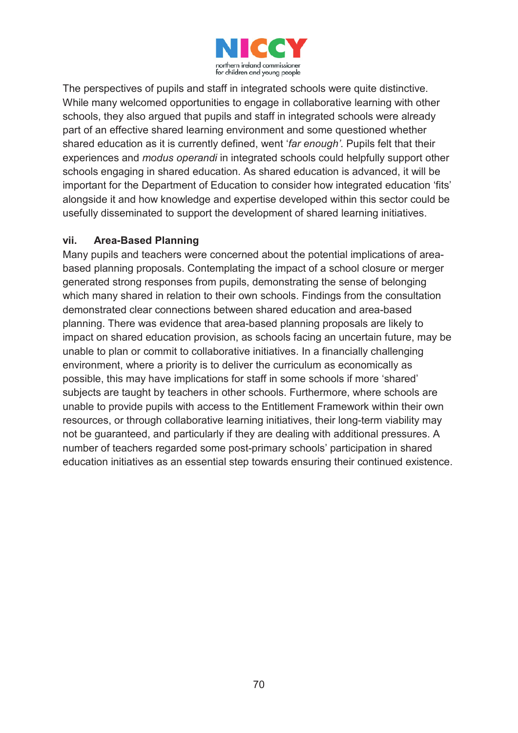

The perspectives of pupils and staff in integrated schools were quite distinctive. While many welcomed opportunities to engage in collaborative learning with other schools, they also argued that pupils and staff in integrated schools were already part of an effective shared learning environment and some questioned whether shared education as it is currently defined, went '*far enough'*. Pupils felt that their experiences and *modus operandi* in integrated schools could helpfully support other schools engaging in shared education. As shared education is advanced, it will be important for the Department of Education to consider how integrated education 'fits' alongside it and how knowledge and expertise developed within this sector could be usefully disseminated to support the development of shared learning initiatives.

#### **vii. Area-Based Planning**

Many pupils and teachers were concerned about the potential implications of areabased planning proposals. Contemplating the impact of a school closure or merger generated strong responses from pupils, demonstrating the sense of belonging which many shared in relation to their own schools. Findings from the consultation demonstrated clear connections between shared education and area-based planning. There was evidence that area-based planning proposals are likely to impact on shared education provision, as schools facing an uncertain future, may be unable to plan or commit to collaborative initiatives. In a financially challenging environment, where a priority is to deliver the curriculum as economically as possible, this may have implications for staff in some schools if more 'shared' subjects are taught by teachers in other schools. Furthermore, where schools are unable to provide pupils with access to the Entitlement Framework within their own resources, or through collaborative learning initiatives, their long-term viability may not be guaranteed, and particularly if they are dealing with additional pressures. A number of teachers regarded some post-primary schools' participation in shared education initiatives as an essential step towards ensuring their continued existence.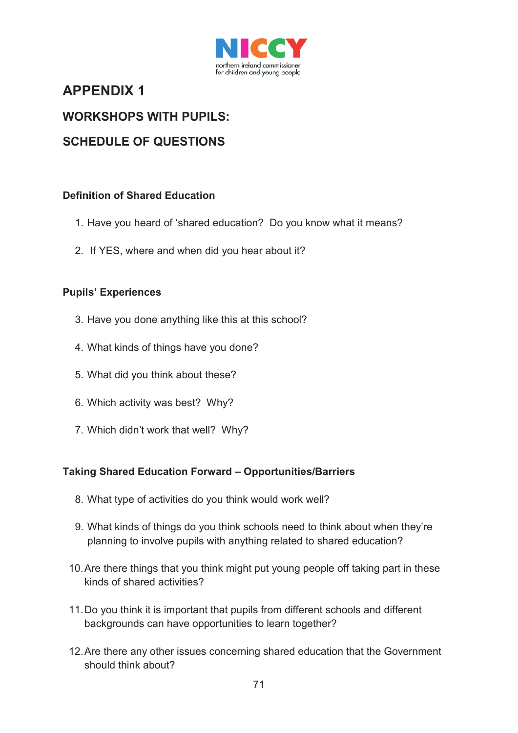

# **APPENDIX 1**

# **WORKSHOPS WITH PUPILS:**

# **SCHEDULE OF QUESTIONS**

#### **Definition of Shared Education**

- 1. Have you heard of 'shared education? Do you know what it means?
- 2. If YES, where and when did you hear about it?

#### **Pupils' Experiences**

- 3. Have you done anything like this at this school?
- 4. What kinds of things have you done?
- 5. What did you think about these?
- 6. Which activity was best? Why?
- 7. Which didn't work that well? Why?

### **Taking Shared Education Forward – Opportunities/Barriers**

- 8. What type of activities do you think would work well?
- 9. What kinds of things do you think schools need to think about when they're planning to involve pupils with anything related to shared education?
- 10.Are there things that you think might put young people off taking part in these kinds of shared activities?
- 11.Do you think it is important that pupils from different schools and different backgrounds can have opportunities to learn together?
- 12.Are there any other issues concerning shared education that the Government should think about?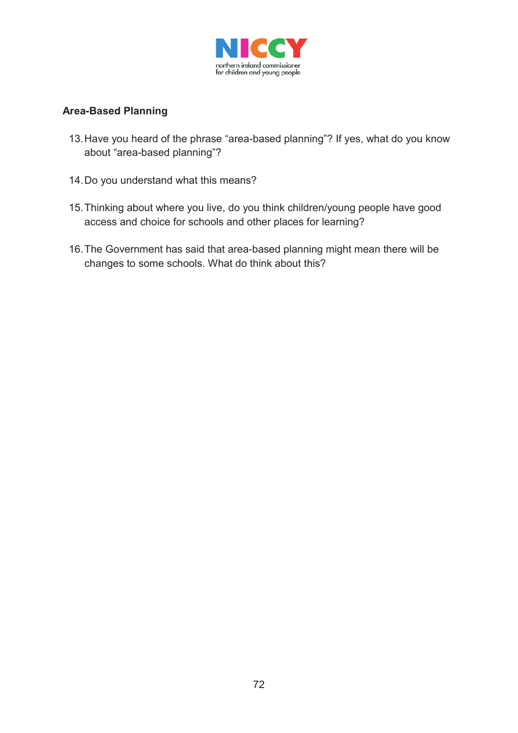

### **Area-Based Planning**

- 13.Have you heard of the phrase "area-based planning"? If yes, what do you know about "area-based planning"?
- 14.Do you understand what this means?
- 15.Thinking about where you live, do you think children/young people have good access and choice for schools and other places for learning?
- 16.The Government has said that area-based planning might mean there will be changes to some schools. What do think about this?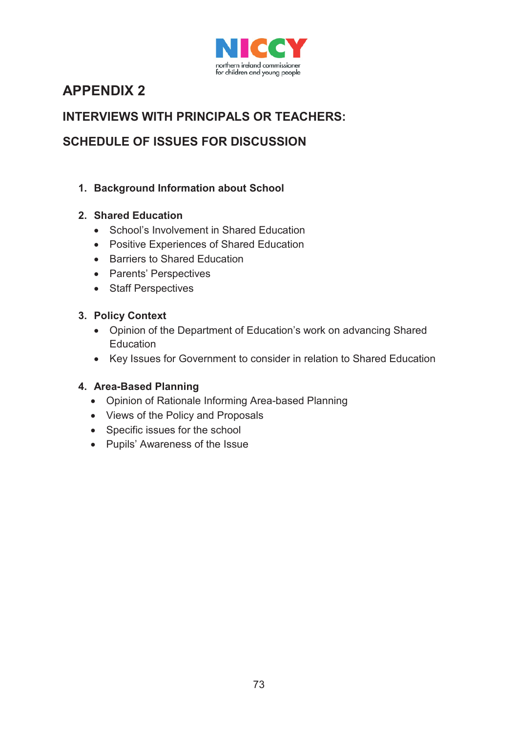

# **APPENDIX 2**

# **INTERVIEWS WITH PRINCIPALS OR TEACHERS:**

# **SCHEDULE OF ISSUES FOR DISCUSSION**

## **1. Background Information about School**

## **2. Shared Education**

- School's Involvement in Shared Education
- Positive Experiences of Shared Education
- Barriers to Shared Education
- Parents' Perspectives
- Staff Perspectives

### **3. Policy Context**

- Opinion of the Department of Education's work on advancing Shared **Education**
- Key Issues for Government to consider in relation to Shared Education

### **4. Area-Based Planning**

- Opinion of Rationale Informing Area-based Planning
- Views of the Policy and Proposals
- Specific issues for the school
- Pupils' Awareness of the Issue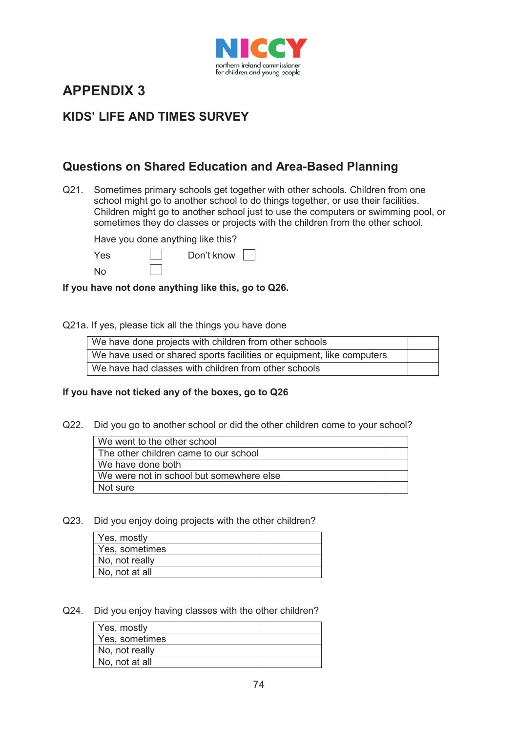

# **APPENDIX 3**

## **KIDS' LIFE AND TIMES SURVEY**

## **Questions on Shared Education and Area-Based Planning**

Q21. Sometimes primary schools get together with other schools. Children from one school might go to another school to do things together, or use their facilities. Children might go to another school just to use the computers or swimming pool, or sometimes they do classes or projects with the children from the other school.

Have you done anything like this?

|  | г<br>., |
|--|---------|
|  |         |

es Don't know 「

**If you have not done anything like this, go to Q26.**

#### Q21a. If yes, please tick all the things you have done

| We have done projects with children from other schools                |  |
|-----------------------------------------------------------------------|--|
| We have used or shared sports facilities or equipment, like computers |  |
| We have had classes with children from other schools                  |  |

#### **If you have not ticked any of the boxes, go to Q26**

Q22. Did you go to another school or did the other children come to your school?

| We went to the other school              |  |
|------------------------------------------|--|
| The other children came to our school    |  |
| We have done both                        |  |
| We were not in school but somewhere else |  |
| Not sure                                 |  |

Q23. Did you enjoy doing projects with the other children?

| Yes, mostly    |  |
|----------------|--|
| Yes, sometimes |  |
| No, not really |  |
| No, not at all |  |

Q24. Did you enjoy having classes with the other children?

| Yes, mostly    |  |
|----------------|--|
| Yes, sometimes |  |
| No, not really |  |
| No, not at all |  |
|                |  |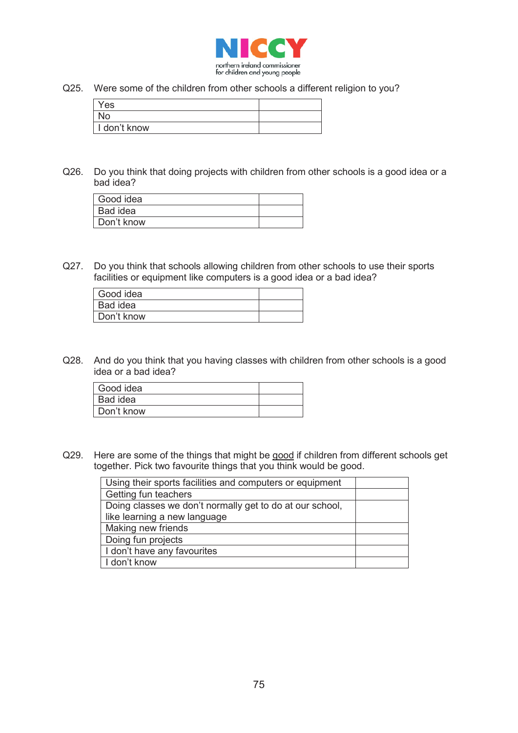

Q25. Were some of the children from other schools a different religion to you?

| Yes          |  |
|--------------|--|
| No           |  |
| I don't know |  |

Q26. Do you think that doing projects with children from other schools is a good idea or a bad idea?

| Good idea  |  |
|------------|--|
| Bad idea   |  |
| Don't know |  |

Q27. Do you think that schools allowing children from other schools to use their sports facilities or equipment like computers is a good idea or a bad idea?

| Good idea  |  |
|------------|--|
| Bad idea   |  |
| Don't know |  |

Q28. And do you think that you having classes with children from other schools is a good idea or a bad idea?

| Good idea  |  |
|------------|--|
| Bad idea   |  |
| Don't know |  |

Q29. Here are some of the things that might be good if children from different schools get together. Pick two favourite things that you think would be good.

| Using their sports facilities and computers or equipment |  |
|----------------------------------------------------------|--|
| Getting fun teachers                                     |  |
| Doing classes we don't normally get to do at our school, |  |
| like learning a new language                             |  |
| Making new friends                                       |  |
| Doing fun projects                                       |  |
| I don't have any favourites                              |  |
| I don't know                                             |  |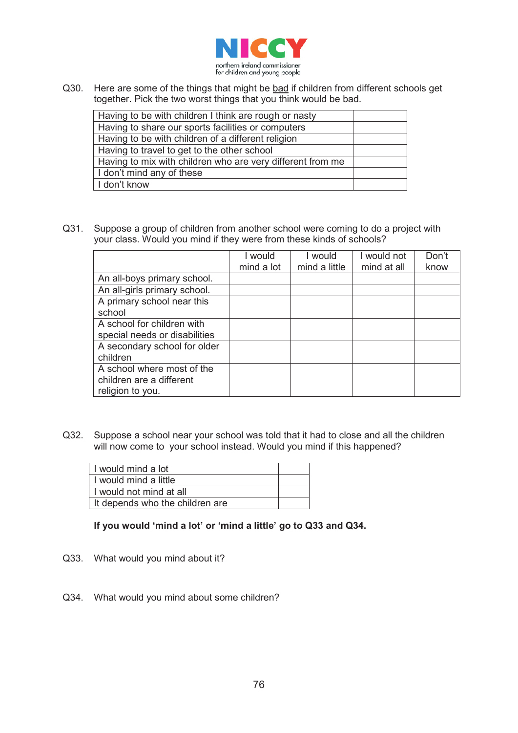

Q30. Here are some of the things that might be bad if children from different schools get together. Pick the two worst things that you think would be bad.

| Having to be with children I think are rough or nasty      |  |
|------------------------------------------------------------|--|
| Having to share our sports facilities or computers         |  |
| Having to be with children of a different religion         |  |
| Having to travel to get to the other school                |  |
| Having to mix with children who are very different from me |  |
| I don't mind any of these                                  |  |
| I don't know                                               |  |

Q31. Suppose a group of children from another school were coming to do a project with your class. Would you mind if they were from these kinds of schools?

|                               | I would    | l would       | I would not | Don't |
|-------------------------------|------------|---------------|-------------|-------|
|                               | mind a lot | mind a little | mind at all | know  |
| An all-boys primary school.   |            |               |             |       |
| An all-girls primary school.  |            |               |             |       |
| A primary school near this    |            |               |             |       |
| school                        |            |               |             |       |
| A school for children with    |            |               |             |       |
| special needs or disabilities |            |               |             |       |
| A secondary school for older  |            |               |             |       |
| children                      |            |               |             |       |
| A school where most of the    |            |               |             |       |
| children are a different      |            |               |             |       |
| religion to you.              |            |               |             |       |

Q32. Suppose a school near your school was told that it had to close and all the children will now come to your school instead. Would you mind if this happened?

| I would mind a lot              |  |
|---------------------------------|--|
| I would mind a little           |  |
| I would not mind at all         |  |
| It depends who the children are |  |

#### **If you would 'mind a lot' or 'mind a little' go to Q33 and Q34.**

- Q33. What would you mind about it?
- Q34. What would you mind about some children?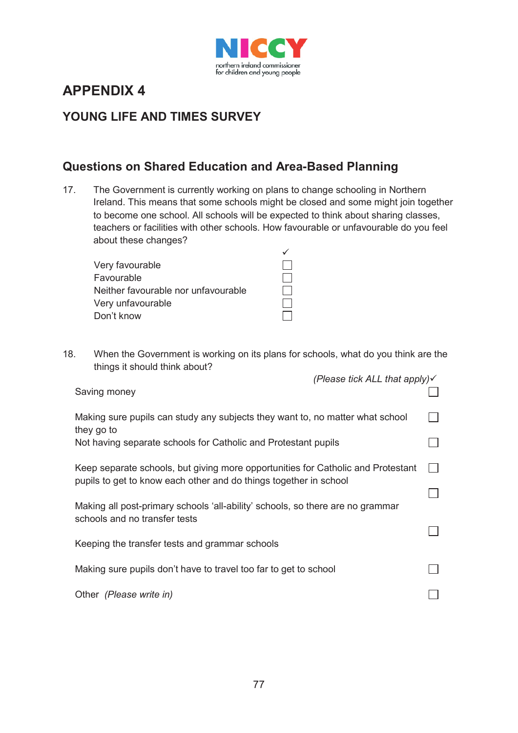

# **APPENDIX 4**

# **YOUNG LIFE AND TIMES SURVEY**

## **Questions on Shared Education and Area-Based Planning**

17. The Government is currently working on plans to change schooling in Northern Ireland. This means that some schools might be closed and some might join together to become one school. All schools will be expected to think about sharing classes, teachers or facilities with other schools. How favourable or unfavourable do you feel about these changes?

18. When the Government is working on its plans for schools, what do you think are the things it should think about?

| (Please tick ALL that apply) $\checkmark$<br>Saving money                                                                                                     |  |
|---------------------------------------------------------------------------------------------------------------------------------------------------------------|--|
| Making sure pupils can study any subjects they want to, no matter what school<br>they go to<br>Not having separate schools for Catholic and Protestant pupils |  |
| Keep separate schools, but giving more opportunities for Catholic and Protestant<br>pupils to get to know each other and do things together in school         |  |
| Making all post-primary schools 'all-ability' schools, so there are no grammar<br>schools and no transfer tests                                               |  |
| Keeping the transfer tests and grammar schools                                                                                                                |  |
| Making sure pupils don't have to travel too far to get to school                                                                                              |  |
| Other (Please write in)                                                                                                                                       |  |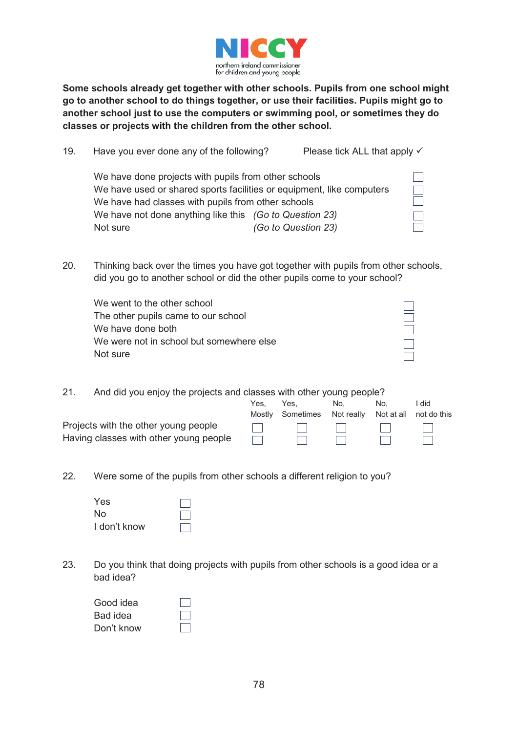

**Some schools already get together with other schools. Pupils from one school might go to another school to do things together, or use their facilities. Pupils might go to another school just to use the computers or swimming pool, or sometimes they do classes or projects with the children from the other school.** 

| 19. | Have you ever done any of the following?                              |                     | Please tick ALL that apply $\checkmark$ |  |
|-----|-----------------------------------------------------------------------|---------------------|-----------------------------------------|--|
|     | We have done projects with pupils from other schools                  |                     |                                         |  |
|     | We have used or shared sports facilities or equipment, like computers |                     |                                         |  |
|     | We have had classes with pupils from other schools                    |                     |                                         |  |
|     | We have not done anything like this (Go to Question 23)               |                     |                                         |  |
|     | Not sure                                                              | (Go to Question 23) |                                         |  |

20. Thinking back over the times you have got together with pupils from other schools, did you go to another school or did the other pupils come to your school?

| We went to the other school              |  |
|------------------------------------------|--|
| The other pupils came to our school      |  |
| We have done both                        |  |
| We were not in school but somewhere else |  |
| Not sure                                 |  |

21. And did you enjoy the projects and classes with other young people?

|                                        | Yes.<br>Mostlv | Yes.<br>Sometimes Not really Not at all not do this | No.                          | No.                     | did             |
|----------------------------------------|----------------|-----------------------------------------------------|------------------------------|-------------------------|-----------------|
| Projects with the other young people   |                | $\sim$ 1 $\sim$ 1 $\sim$                            | and the property of the con- | and the property of the | and the first   |
| Having classes with other young people |                |                                                     |                              | $\sim$ 1 $\sim$ 1       | <b>Contract</b> |

22. Were some of the pupils from other schools a different religion to you?

| Yes          |  |
|--------------|--|
| No.          |  |
| I don't know |  |

23. Do you think that doing projects with pupils from other schools is a good idea or a bad idea?

| Good idea  |  |
|------------|--|
| Bad idea   |  |
| Don't know |  |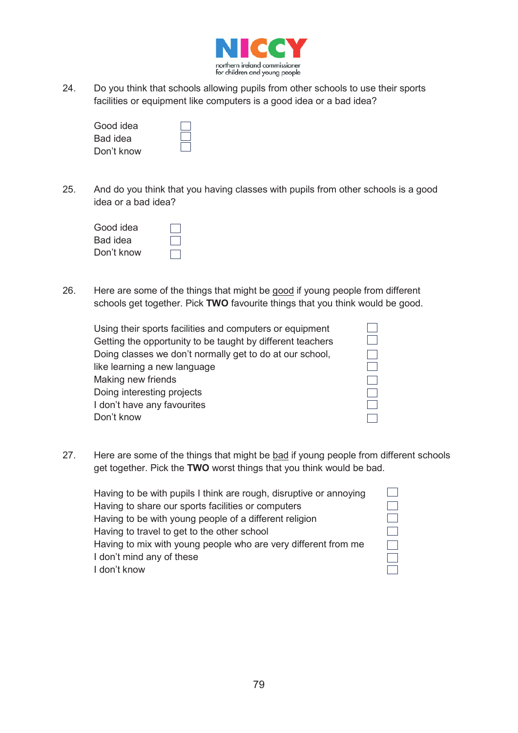

24. Do you think that schools allowing pupils from other schools to use their sports facilities or equipment like computers is a good idea or a bad idea?

| Good idea  |  |
|------------|--|
| Bad idea   |  |
| Don't know |  |

25. And do you think that you having classes with pupils from other schools is a good idea or a bad idea?

| Good idea  |  |
|------------|--|
| Bad idea   |  |
| Don't know |  |

26. Here are some of the things that might be good if young people from different schools get together. Pick **TWO** favourite things that you think would be good.

| Using their sports facilities and computers or equipment   |
|------------------------------------------------------------|
| Getting the opportunity to be taught by different teachers |
| Doing classes we don't normally get to do at our school,   |
| like learning a new language                               |
| Making new friends                                         |
| Doing interesting projects                                 |
| I don't have any favourites                                |
| Don't know                                                 |
|                                                            |

27. Here are some of the things that might be bad if young people from different schools get together. Pick the **TWO** worst things that you think would be bad.